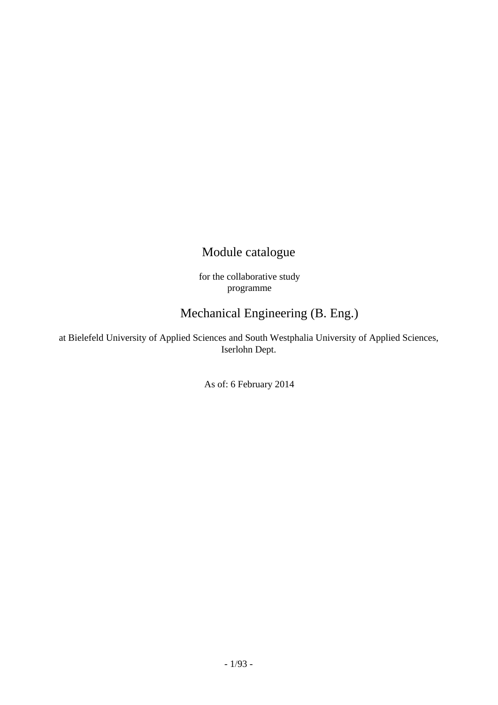## Module catalogue

for the collaborative study programme

## Mechanical Engineering (B. Eng.)

at Bielefeld University of Applied Sciences and South Westphalia University of Applied Sciences, Iserlohn Dept.

As of: 6 February 2014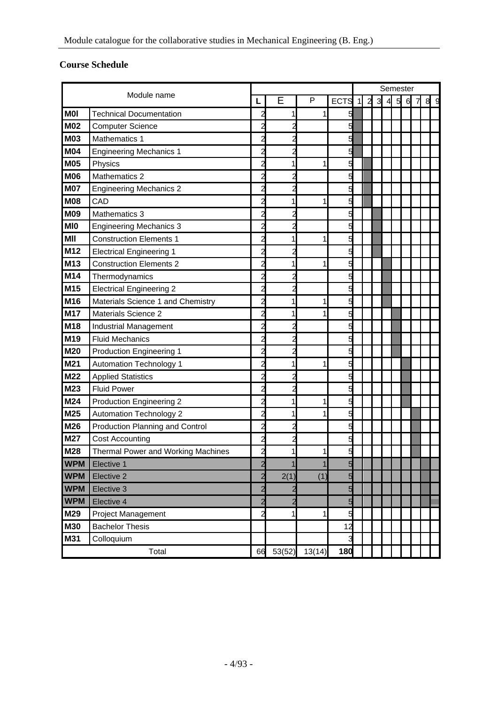## <span id="page-3-0"></span>**Course Schedule**

|            |                                    |                         |                |        |             | Semester    |   |   |                |   |   |   |  |
|------------|------------------------------------|-------------------------|----------------|--------|-------------|-------------|---|---|----------------|---|---|---|--|
|            | Module name                        |                         | Е              | P      | <b>ECTS</b> | $\mathbf 1$ | 2 | 3 | $\overline{4}$ | 5 | 6 | 8 |  |
| <b>MOI</b> | <b>Technical Documentation</b>     | 2                       |                |        | 5           |             |   |   |                |   |   |   |  |
| <b>M02</b> | <b>Computer Science</b>            | 2                       |                |        | 5           |             |   |   |                |   |   |   |  |
| M03        | Mathematics 1                      |                         |                |        | 5           |             |   |   |                |   |   |   |  |
| <b>M04</b> | <b>Engineering Mechanics 1</b>     |                         |                |        | 5           |             |   |   |                |   |   |   |  |
| <b>M05</b> | Physics                            |                         |                |        | 5           |             |   |   |                |   |   |   |  |
| <b>M06</b> | Mathematics 2                      | 2                       |                |        | 5           |             |   |   |                |   |   |   |  |
| <b>M07</b> | <b>Engineering Mechanics 2</b>     |                         |                |        | 5           |             |   |   |                |   |   |   |  |
| M08        | CAD                                | 2                       |                |        | 5           |             |   |   |                |   |   |   |  |
| <b>M09</b> | Mathematics 3                      |                         |                |        | 5           |             |   |   |                |   |   |   |  |
| <b>MIO</b> | <b>Engineering Mechanics 3</b>     | $\overline{a}$          |                |        | 5           |             |   |   |                |   |   |   |  |
| MII        | <b>Construction Elements 1</b>     | 2                       |                |        | 5           |             |   |   |                |   |   |   |  |
| M12        | <b>Electrical Engineering 1</b>    | $\overline{c}$          |                |        | 5           |             |   |   |                |   |   |   |  |
| M13        | <b>Construction Elements 2</b>     | $\overline{a}$          |                |        | 5           |             |   |   |                |   |   |   |  |
| <b>M14</b> | Thermodynamics                     | $\overline{a}$          | 2              |        | 5           |             |   |   |                |   |   |   |  |
| M15        | <b>Electrical Engineering 2</b>    | 2                       |                |        | 5           |             |   |   |                |   |   |   |  |
| M16        | Materials Science 1 and Chemistry  | 2                       | 1              |        | 5           |             |   |   |                |   |   |   |  |
| <b>M17</b> | <b>Materials Science 2</b>         | 2                       | 1              |        | 5           |             |   |   |                |   |   |   |  |
| <b>M18</b> | Industrial Management              | 2                       |                |        | 5           |             |   |   |                |   |   |   |  |
| M19        | <b>Fluid Mechanics</b>             | 2                       |                |        | 5           |             |   |   |                |   |   |   |  |
| M20        | <b>Production Engineering 1</b>    | 2                       |                |        | 5           |             |   |   |                |   |   |   |  |
| M21        | <b>Automation Technology 1</b>     | $\overline{a}$          | 1              | 1      | 5           |             |   |   |                |   |   |   |  |
| M22        | <b>Applied Statistics</b>          | $\overline{a}$          | $\overline{c}$ |        | 5           |             |   |   |                |   |   |   |  |
| M23        | <b>Fluid Power</b>                 | 2                       | 2              |        | 5           |             |   |   |                |   |   |   |  |
| M24        | <b>Production Engineering 2</b>    | 2                       | 1              |        | 5           |             |   |   |                |   |   |   |  |
| M25        | <b>Automation Technology 2</b>     | $\overline{a}$          |                |        | 5           |             |   |   |                |   |   |   |  |
| <b>M26</b> | Production Planning and Control    | $\overline{a}$          |                |        | 5           |             |   |   |                |   |   |   |  |
| M27        | <b>Cost Accounting</b>             |                         |                |        |             |             |   |   |                |   |   |   |  |
| <b>M28</b> | Thermal Power and Working Machines | $\overline{a}$          |                |        |             |             |   |   |                |   |   |   |  |
| <b>WPM</b> | Elective 1                         | $\overline{\mathbf{c}}$ | 1              | 1      | 5           |             |   |   |                |   |   |   |  |
| <b>WPM</b> | Elective 2                         | $\overline{a}$          | 2(1)           | (1)    | 5           |             |   |   |                |   |   |   |  |
| <b>WPM</b> | Elective 3                         | $\overline{a}$          |                |        | 5           |             |   |   |                |   |   |   |  |
| <b>WPM</b> | Elective 4                         | $\overline{a}$          | $\overline{c}$ |        | 5           |             |   |   |                |   |   |   |  |
| M29        | Project Management                 | $\overline{a}$          | 1              | 1      | 5           |             |   |   |                |   |   |   |  |
| <b>M30</b> | <b>Bachelor Thesis</b>             |                         |                |        | 12          |             |   |   |                |   |   |   |  |
| M31        | Colloquium                         |                         |                |        | 3           |             |   |   |                |   |   |   |  |
|            | Total                              | 66                      | 53(52)         | 13(14) | 180         |             |   |   |                |   |   |   |  |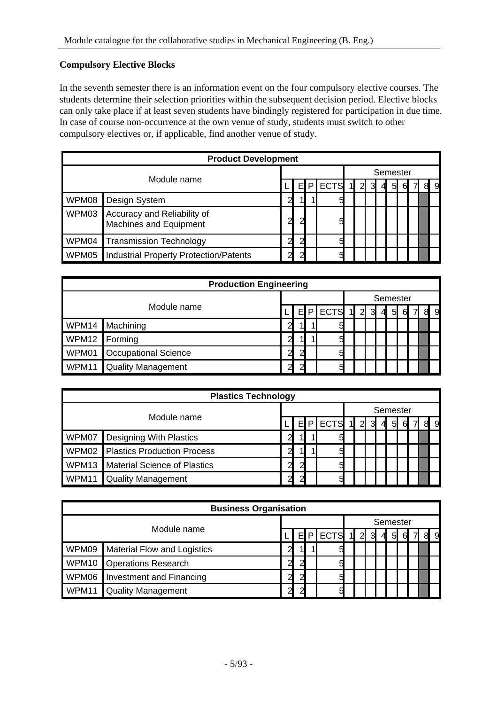## <span id="page-4-0"></span>**Compulsory Elective Blocks**

In the seventh semester there is an information event on the four compulsory elective courses. The students determine their selection priorities within the subsequent decision period. Elective blocks can only take place if at least seven students have bindingly registered for participation in due time. In case of course non-occurrence at the own venue of study, students must switch to other compulsory electives or, if applicable, find another venue of study.

|       | <b>Product Development</b>                            |   |    |   |             |  |   |   |   |          |   |  |   |   |
|-------|-------------------------------------------------------|---|----|---|-------------|--|---|---|---|----------|---|--|---|---|
|       | Module name                                           |   |    |   |             |  |   |   |   | Semester |   |  |   |   |
|       |                                                       |   |    | P | <b>ECTS</b> |  | 2 | 3 | 4 | 5        | 6 |  | 8 | 9 |
| WPM08 | Design System                                         | 2 | 11 |   | 5           |  |   |   |   |          |   |  |   |   |
| WPM03 | Accuracy and Reliability of<br>Machines and Equipment | 2 | ົ  |   | 5           |  |   |   |   |          |   |  |   |   |
| WPM04 | <b>Transmission Technology</b>                        | 2 | ົ  |   | 5           |  |   |   |   |          |   |  |   |   |
| WPM05 | <b>Industrial Property Protection/Patents</b>         | ∼ | ⌒  |   | 5           |  |   |   |   |          |   |  |   |   |

| <b>Production Engineering</b> |                             |                |               |   |             |              |                |   |                |                 |   |   |   |   |  |
|-------------------------------|-----------------------------|----------------|---------------|---|-------------|--------------|----------------|---|----------------|-----------------|---|---|---|---|--|
|                               |                             |                |               |   |             |              | Semester       |   |                |                 |   |   |   |   |  |
| Module name                   |                             |                | EI            | P | <b>ECTS</b> | $\mathbf{1}$ | $\overline{2}$ | 3 | $\overline{4}$ | $5\overline{a}$ | 6 | 7 | 8 | 9 |  |
| WPM14                         | Machining                   | 2              | 11            |   | 5           |              |                |   |                |                 |   |   |   |   |  |
| WPM12                         | Forming                     | 2              | 11            |   | 5           |              |                |   |                |                 |   |   |   |   |  |
| WPM01                         | <b>Occupational Science</b> | $\overline{a}$ | $\mathcal{D}$ |   | 5           |              |                |   |                |                 |   |   |   |   |  |
| WPM11                         | <b>Quality Management</b>   | 2              | റ             |   | 5           |              |                |   |                |                 |   |   |   |   |  |

| <b>Plastics Technology</b> |                                   |               |    |   |             |              |          |                   |   |   |                  |  |                |   |
|----------------------------|-----------------------------------|---------------|----|---|-------------|--------------|----------|-------------------|---|---|------------------|--|----------------|---|
|                            |                                   |               |    |   |             |              | Semester |                   |   |   |                  |  |                |   |
| Module name                |                                   |               | El | P | <b>ECTS</b> | $\mathbf{1}$ |          | $2 \vert 3 \vert$ | 4 | 5 | $6 \blacksquare$ |  | 8 <sup>l</sup> | 9 |
| WPM07                      | Designing With Plastics           | っ             | 11 |   | 5           |              |          |                   |   |   |                  |  |                |   |
|                            | WPM02 Plastics Production Process | $\mathcal{P}$ | 41 |   | 5           |              |          |                   |   |   |                  |  |                |   |
| WPM13                      | Material Science of Plastics      | $\mathcal{D}$ | 2  |   | 5           |              |          |                   |   |   |                  |  |                |   |
| WPM11                      | <b>Quality Management</b>         | っ             | ⌒  |   | 5           |              |          |                   |   |   |                  |  |                |   |

| <b>Business Organisation</b> |                                    |               |               |             |              |                |          |     |   |   |  |                  |   |  |
|------------------------------|------------------------------------|---------------|---------------|-------------|--------------|----------------|----------|-----|---|---|--|------------------|---|--|
|                              |                                    |               |               |             |              |                | Semester |     |   |   |  |                  |   |  |
|                              | Module name<br>P<br>EI             |               |               | <b>ECTS</b> | $\mathbf{1}$ | $\overline{2}$ | 3        | -41 | 5 | 6 |  | $8 \blacksquare$ | 9 |  |
| WPM09                        | <b>Material Flow and Logistics</b> | າ             | 11            |             | 5            |                |          |     |   |   |  |                  |   |  |
| WPM10                        | <b>Operations Research</b>         | っ             | 2             |             | 5            |                |          |     |   |   |  |                  |   |  |
| WPM06                        | <b>Investment and Financing</b>    | $\mathcal{D}$ | $\mathcal{P}$ |             | 5            |                |          |     |   |   |  |                  |   |  |
| WPM11                        | <b>Quality Management</b>          | າ             | ົ             |             | 5            |                |          |     |   |   |  |                  |   |  |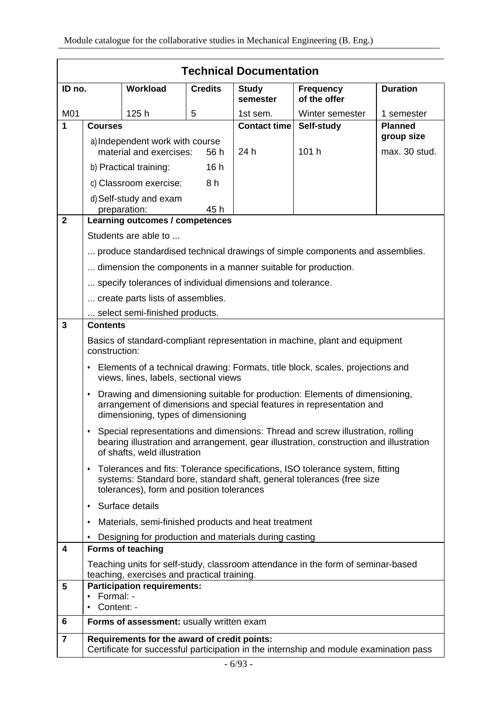|                |                                                                                              |                                                               |                | <b>Technical Documentation</b> |                                                                                                                                                                          |                 |  |  |  |  |  |
|----------------|----------------------------------------------------------------------------------------------|---------------------------------------------------------------|----------------|--------------------------------|--------------------------------------------------------------------------------------------------------------------------------------------------------------------------|-----------------|--|--|--|--|--|
| ID no.         |                                                                                              | <b>Workload</b>                                               | <b>Credits</b> | <b>Study</b><br>semester       | <b>Frequency</b><br>of the offer                                                                                                                                         | <b>Duration</b> |  |  |  |  |  |
| M01            |                                                                                              | 125h                                                          | 5              | 1st sem.                       | Winter semester                                                                                                                                                          | 1 semester      |  |  |  |  |  |
| 1              | <b>Courses</b>                                                                               |                                                               |                | <b>Contact time</b>            | Self-study                                                                                                                                                               | <b>Planned</b>  |  |  |  |  |  |
|                |                                                                                              | a) Independent work with course                               |                |                                |                                                                                                                                                                          | group size      |  |  |  |  |  |
|                |                                                                                              | material and exercises:                                       | 56 h           | 24 h                           | 101h                                                                                                                                                                     | max. 30 stud.   |  |  |  |  |  |
|                |                                                                                              | b) Practical training:                                        | 16h            |                                |                                                                                                                                                                          |                 |  |  |  |  |  |
|                |                                                                                              | c) Classroom exercise:                                        | 8h             |                                |                                                                                                                                                                          |                 |  |  |  |  |  |
|                |                                                                                              | d) Self-study and exam<br>preparation:                        | 45h            |                                |                                                                                                                                                                          |                 |  |  |  |  |  |
| $\overline{2}$ |                                                                                              | Learning outcomes / competences                               |                |                                |                                                                                                                                                                          |                 |  |  |  |  |  |
|                |                                                                                              | Students are able to                                          |                |                                |                                                                                                                                                                          |                 |  |  |  |  |  |
|                |                                                                                              |                                                               |                |                                | produce standardised technical drawings of simple components and assemblies.                                                                                             |                 |  |  |  |  |  |
|                |                                                                                              | dimension the components in a manner suitable for production. |                |                                |                                                                                                                                                                          |                 |  |  |  |  |  |
|                |                                                                                              | specify tolerances of individual dimensions and tolerance.    |                |                                |                                                                                                                                                                          |                 |  |  |  |  |  |
|                |                                                                                              | create parts lists of assemblies.                             |                |                                |                                                                                                                                                                          |                 |  |  |  |  |  |
|                |                                                                                              | select semi-finished products.                                |                |                                |                                                                                                                                                                          |                 |  |  |  |  |  |
| 3              | <b>Contents</b>                                                                              |                                                               |                |                                |                                                                                                                                                                          |                 |  |  |  |  |  |
|                | Basics of standard-compliant representation in machine, plant and equipment<br>construction: |                                                               |                |                                |                                                                                                                                                                          |                 |  |  |  |  |  |
|                | ٠                                                                                            | views, lines, labels, sectional views                         |                |                                | Elements of a technical drawing: Formats, title block, scales, projections and                                                                                           |                 |  |  |  |  |  |
|                | $\bullet$                                                                                    | dimensioning, types of dimensioning                           |                |                                | Drawing and dimensioning suitable for production: Elements of dimensioning,<br>arrangement of dimensions and special features in representation and                      |                 |  |  |  |  |  |
|                |                                                                                              | of shafts, weld illustration                                  |                |                                | Special representations and dimensions: Thread and screw illustration, rolling<br>bearing illustration and arrangement, gear illustration, construction and illustration |                 |  |  |  |  |  |
|                | ٠                                                                                            | tolerances), form and position tolerances                     |                |                                | Tolerances and fits: Tolerance specifications, ISO tolerance system, fitting<br>systems: Standard bore, standard shaft, general tolerances (free size                    |                 |  |  |  |  |  |
|                | ٠                                                                                            | Surface details                                               |                |                                |                                                                                                                                                                          |                 |  |  |  |  |  |
|                | ٠                                                                                            | Materials, semi-finished products and heat treatment          |                |                                |                                                                                                                                                                          |                 |  |  |  |  |  |
|                |                                                                                              | Designing for production and materials during casting         |                |                                |                                                                                                                                                                          |                 |  |  |  |  |  |
| 4              |                                                                                              | <b>Forms of teaching</b>                                      |                |                                |                                                                                                                                                                          |                 |  |  |  |  |  |
|                |                                                                                              | teaching, exercises and practical training.                   |                |                                | Teaching units for self-study, classroom attendance in the form of seminar-based                                                                                         |                 |  |  |  |  |  |
| 5              | Formal: -<br>$\bullet$                                                                       | <b>Participation requirements:</b>                            |                |                                |                                                                                                                                                                          |                 |  |  |  |  |  |
|                | Content: -                                                                                   |                                                               |                |                                |                                                                                                                                                                          |                 |  |  |  |  |  |
| 6              |                                                                                              | Forms of assessment: usually written exam                     |                |                                |                                                                                                                                                                          |                 |  |  |  |  |  |
| $\overline{7}$ |                                                                                              | Requirements for the award of credit points:                  |                |                                |                                                                                                                                                                          |                 |  |  |  |  |  |
|                |                                                                                              |                                                               |                |                                | Certificate for successful participation in the internship and module examination pass                                                                                   |                 |  |  |  |  |  |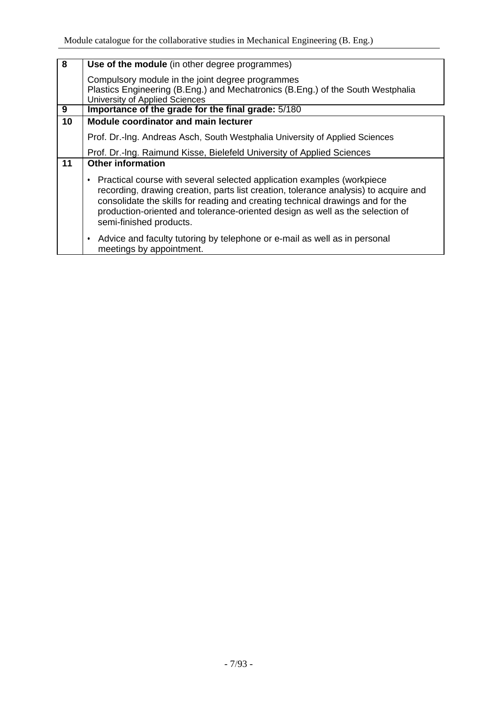| $\overline{\mathbf{8}}$ | Use of the module (in other degree programmes)                                                                                                                                                                                                                                                                                                               |
|-------------------------|--------------------------------------------------------------------------------------------------------------------------------------------------------------------------------------------------------------------------------------------------------------------------------------------------------------------------------------------------------------|
|                         | Compulsory module in the joint degree programmes<br>Plastics Engineering (B.Eng.) and Mechatronics (B.Eng.) of the South Westphalia<br>University of Applied Sciences                                                                                                                                                                                        |
| 9                       | Importance of the grade for the final grade: 5/180                                                                                                                                                                                                                                                                                                           |
| 10                      | <b>Module coordinator and main lecturer</b>                                                                                                                                                                                                                                                                                                                  |
|                         | Prof. Dr.-Ing. Andreas Asch, South Westphalia University of Applied Sciences                                                                                                                                                                                                                                                                                 |
|                         | Prof. Dr.-Ing. Raimund Kisse, Bielefeld University of Applied Sciences                                                                                                                                                                                                                                                                                       |
| 11                      | <b>Other information</b>                                                                                                                                                                                                                                                                                                                                     |
|                         | Practical course with several selected application examples (workpiece<br>recording, drawing creation, parts list creation, tolerance analysis) to acquire and<br>consolidate the skills for reading and creating technical drawings and for the<br>production-oriented and tolerance-oriented design as well as the selection of<br>semi-finished products. |
|                         | Advice and faculty tutoring by telephone or e-mail as well as in personal<br>meetings by appointment.                                                                                                                                                                                                                                                        |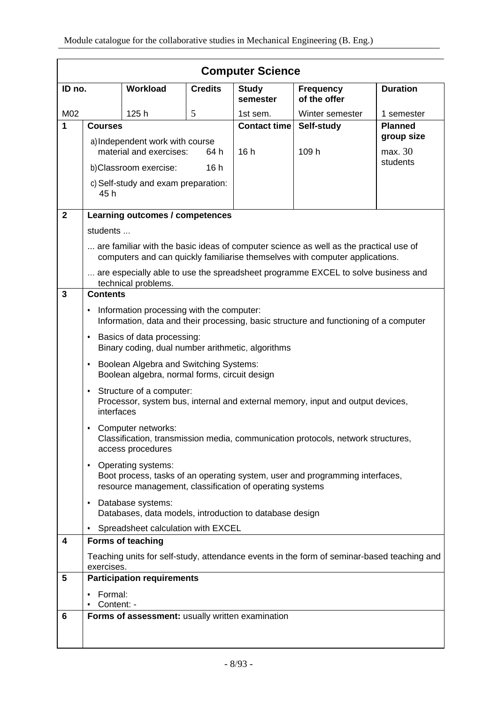| <b>Computer Science</b> |                                                  |                                                                                         |                |                          |                                                                                                                                                                       |                     |  |  |  |  |  |  |
|-------------------------|--------------------------------------------------|-----------------------------------------------------------------------------------------|----------------|--------------------------|-----------------------------------------------------------------------------------------------------------------------------------------------------------------------|---------------------|--|--|--|--|--|--|
| ID no.                  |                                                  | <b>Workload</b>                                                                         | <b>Credits</b> | <b>Study</b><br>semester | <b>Frequency</b><br>of the offer                                                                                                                                      | <b>Duration</b>     |  |  |  |  |  |  |
| M02                     |                                                  | 125h                                                                                    | 5              | 1st sem.                 | Winter semester                                                                                                                                                       | 1 semester          |  |  |  |  |  |  |
| 1                       | <b>Courses</b>                                   |                                                                                         |                | <b>Contact time</b>      | Self-study                                                                                                                                                            | <b>Planned</b>      |  |  |  |  |  |  |
|                         |                                                  | a) Independent work with course                                                         |                |                          |                                                                                                                                                                       | group size          |  |  |  |  |  |  |
|                         |                                                  | material and exercises:                                                                 | 64 h           | 16h                      | 109 h                                                                                                                                                                 | max. 30<br>students |  |  |  |  |  |  |
|                         |                                                  | b)Classroom exercise:                                                                   | 16h            |                          |                                                                                                                                                                       |                     |  |  |  |  |  |  |
|                         | 45 h                                             | c) Self-study and exam preparation:                                                     |                |                          |                                                                                                                                                                       |                     |  |  |  |  |  |  |
| $\overline{2}$          |                                                  | Learning outcomes / competences                                                         |                |                          |                                                                                                                                                                       |                     |  |  |  |  |  |  |
|                         | students                                         |                                                                                         |                |                          |                                                                                                                                                                       |                     |  |  |  |  |  |  |
|                         |                                                  |                                                                                         |                |                          | are familiar with the basic ideas of computer science as well as the practical use of<br>computers and can quickly familiarise themselves with computer applications. |                     |  |  |  |  |  |  |
|                         |                                                  | technical problems.                                                                     |                |                          | are especially able to use the spreadsheet programme EXCEL to solve business and                                                                                      |                     |  |  |  |  |  |  |
| $\overline{3}$          | <b>Contents</b>                                  |                                                                                         |                |                          |                                                                                                                                                                       |                     |  |  |  |  |  |  |
|                         | ٠                                                | Information processing with the computer:                                               |                |                          | Information, data and their processing, basic structure and functioning of a computer                                                                                 |                     |  |  |  |  |  |  |
|                         | $\bullet$                                        | Basics of data processing:<br>Binary coding, dual number arithmetic, algorithms         |                |                          |                                                                                                                                                                       |                     |  |  |  |  |  |  |
|                         | $\bullet$                                        | Boolean Algebra and Switching Systems:<br>Boolean algebra, normal forms, circuit design |                |                          |                                                                                                                                                                       |                     |  |  |  |  |  |  |
|                         | $\bullet$<br>interfaces                          | Structure of a computer:                                                                |                |                          | Processor, system bus, internal and external memory, input and output devices,                                                                                        |                     |  |  |  |  |  |  |
|                         | ٠                                                | Computer networks:<br>access procedures                                                 |                |                          | Classification, transmission media, communication protocols, network structures,                                                                                      |                     |  |  |  |  |  |  |
|                         | $\bullet$                                        | Operating systems:<br>resource management, classification of operating systems          |                |                          | Boot process, tasks of an operating system, user and programming interfaces,                                                                                          |                     |  |  |  |  |  |  |
|                         | $\bullet$                                        | Database systems:<br>Databases, data models, introduction to database design            |                |                          |                                                                                                                                                                       |                     |  |  |  |  |  |  |
|                         | $\bullet$                                        | Spreadsheet calculation with EXCEL                                                      |                |                          |                                                                                                                                                                       |                     |  |  |  |  |  |  |
| 4                       |                                                  | Forms of teaching                                                                       |                |                          |                                                                                                                                                                       |                     |  |  |  |  |  |  |
|                         | exercises.                                       |                                                                                         |                |                          | Teaching units for self-study, attendance events in the form of seminar-based teaching and                                                                            |                     |  |  |  |  |  |  |
| 5                       |                                                  | <b>Participation requirements</b>                                                       |                |                          |                                                                                                                                                                       |                     |  |  |  |  |  |  |
|                         | Formal:<br>Content: -                            |                                                                                         |                |                          |                                                                                                                                                                       |                     |  |  |  |  |  |  |
| 6                       |                                                  |                                                                                         |                |                          |                                                                                                                                                                       |                     |  |  |  |  |  |  |
|                         | Forms of assessment: usually written examination |                                                                                         |                |                          |                                                                                                                                                                       |                     |  |  |  |  |  |  |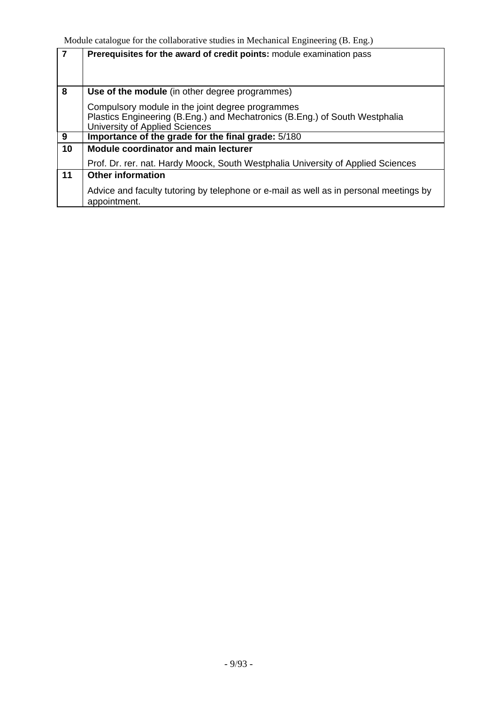| $\overline{7}$ | Prerequisites for the award of credit points: module examination pass                                                                                             |
|----------------|-------------------------------------------------------------------------------------------------------------------------------------------------------------------|
| 8              | Use of the module (in other degree programmes)                                                                                                                    |
|                | Compulsory module in the joint degree programmes<br>Plastics Engineering (B.Eng.) and Mechatronics (B.Eng.) of South Westphalia<br>University of Applied Sciences |
| 9              | Importance of the grade for the final grade: 5/180                                                                                                                |
| 10             | <b>Module coordinator and main lecturer</b>                                                                                                                       |
|                | Prof. Dr. rer. nat. Hardy Moock, South Westphalia University of Applied Sciences                                                                                  |
| 11             | <b>Other information</b>                                                                                                                                          |
|                | Advice and faculty tutoring by telephone or e-mail as well as in personal meetings by<br>appointment.                                                             |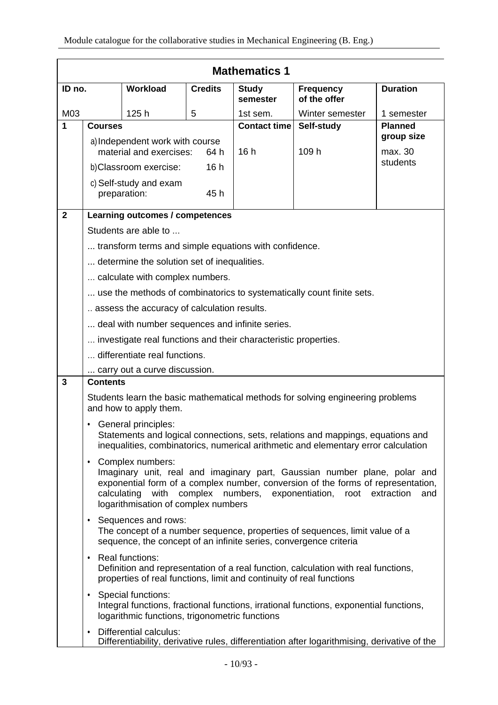| <b>Mathematics 1</b> |                                                                                                                                                                           |                                                                                           |                |                          |                                                                                                                                                                                                                                    |                     |  |  |  |  |  |  |
|----------------------|---------------------------------------------------------------------------------------------------------------------------------------------------------------------------|-------------------------------------------------------------------------------------------|----------------|--------------------------|------------------------------------------------------------------------------------------------------------------------------------------------------------------------------------------------------------------------------------|---------------------|--|--|--|--|--|--|
| ID no.               |                                                                                                                                                                           | <b>Workload</b>                                                                           | <b>Credits</b> | <b>Study</b><br>semester | <b>Frequency</b><br>of the offer                                                                                                                                                                                                   | <b>Duration</b>     |  |  |  |  |  |  |
| M03                  |                                                                                                                                                                           | 125h                                                                                      | 5              | 1st sem.                 | Winter semester                                                                                                                                                                                                                    | 1 semester          |  |  |  |  |  |  |
| 1                    | <b>Courses</b>                                                                                                                                                            |                                                                                           |                | <b>Contact time</b>      | Self-study                                                                                                                                                                                                                         | <b>Planned</b>      |  |  |  |  |  |  |
|                      |                                                                                                                                                                           | a) Independent work with course                                                           |                |                          |                                                                                                                                                                                                                                    | group size          |  |  |  |  |  |  |
|                      |                                                                                                                                                                           | material and exercises:                                                                   | 64 h           | 16 h                     | 109 h                                                                                                                                                                                                                              | max. 30<br>students |  |  |  |  |  |  |
|                      |                                                                                                                                                                           | b) Classroom exercise:                                                                    | 16h            |                          |                                                                                                                                                                                                                                    |                     |  |  |  |  |  |  |
|                      |                                                                                                                                                                           | c) Self-study and exam<br>preparation:                                                    | 45h            |                          |                                                                                                                                                                                                                                    |                     |  |  |  |  |  |  |
| $\mathbf{2}$         |                                                                                                                                                                           | Learning outcomes / competences                                                           |                |                          |                                                                                                                                                                                                                                    |                     |  |  |  |  |  |  |
|                      |                                                                                                                                                                           | Students are able to                                                                      |                |                          |                                                                                                                                                                                                                                    |                     |  |  |  |  |  |  |
|                      |                                                                                                                                                                           | transform terms and simple equations with confidence.                                     |                |                          |                                                                                                                                                                                                                                    |                     |  |  |  |  |  |  |
|                      |                                                                                                                                                                           | determine the solution set of inequalities.                                               |                |                          |                                                                                                                                                                                                                                    |                     |  |  |  |  |  |  |
|                      |                                                                                                                                                                           | calculate with complex numbers.                                                           |                |                          |                                                                                                                                                                                                                                    |                     |  |  |  |  |  |  |
|                      |                                                                                                                                                                           |                                                                                           |                |                          | use the methods of combinatorics to systematically count finite sets.                                                                                                                                                              |                     |  |  |  |  |  |  |
|                      |                                                                                                                                                                           | assess the accuracy of calculation results.                                               |                |                          |                                                                                                                                                                                                                                    |                     |  |  |  |  |  |  |
|                      |                                                                                                                                                                           | deal with number sequences and infinite series.                                           |                |                          |                                                                                                                                                                                                                                    |                     |  |  |  |  |  |  |
|                      |                                                                                                                                                                           | investigate real functions and their characteristic properties.                           |                |                          |                                                                                                                                                                                                                                    |                     |  |  |  |  |  |  |
|                      |                                                                                                                                                                           | differentiate real functions.                                                             |                |                          |                                                                                                                                                                                                                                    |                     |  |  |  |  |  |  |
|                      |                                                                                                                                                                           | carry out a curve discussion.                                                             |                |                          |                                                                                                                                                                                                                                    |                     |  |  |  |  |  |  |
| $\mathbf{3}$         | <b>Contents</b>                                                                                                                                                           |                                                                                           |                |                          |                                                                                                                                                                                                                                    |                     |  |  |  |  |  |  |
|                      |                                                                                                                                                                           | and how to apply them.                                                                    |                |                          | Students learn the basic mathematical methods for solving engineering problems                                                                                                                                                     |                     |  |  |  |  |  |  |
|                      |                                                                                                                                                                           | <b>General principles:</b>                                                                |                |                          | Statements and logical connections, sets, relations and mappings, equations and<br>inequalities, combinatorics, numerical arithmetic and elementary error calculation                                                              |                     |  |  |  |  |  |  |
|                      |                                                                                                                                                                           | • Complex numbers:<br>logarithmisation of complex numbers                                 |                |                          | Imaginary unit, real and imaginary part, Gaussian number plane, polar and<br>exponential form of a complex number, conversion of the forms of representation,<br>calculating with complex numbers, exponentiation, root extraction | and                 |  |  |  |  |  |  |
|                      | • Sequences and rows:<br>The concept of a number sequence, properties of sequences, limit value of a<br>sequence, the concept of an infinite series, convergence criteria |                                                                                           |                |                          |                                                                                                                                                                                                                                    |                     |  |  |  |  |  |  |
|                      |                                                                                                                                                                           | • Real functions:<br>properties of real functions, limit and continuity of real functions |                |                          | Definition and representation of a real function, calculation with real functions,                                                                                                                                                 |                     |  |  |  |  |  |  |
|                      |                                                                                                                                                                           | • Special functions:<br>logarithmic functions, trigonometric functions                    |                |                          | Integral functions, fractional functions, irrational functions, exponential functions,                                                                                                                                             |                     |  |  |  |  |  |  |
|                      | ٠                                                                                                                                                                         | Differential calculus:                                                                    |                |                          | Differentiability, derivative rules, differentiation after logarithmising, derivative of the                                                                                                                                       |                     |  |  |  |  |  |  |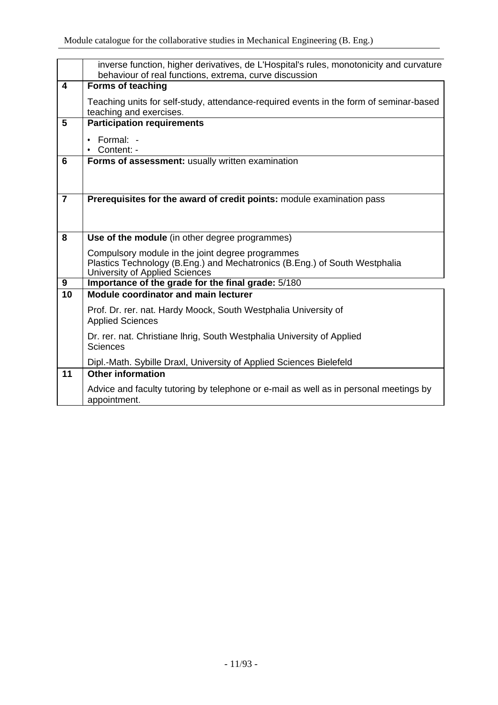|                 | inverse function, higher derivatives, de L'Hospital's rules, monotonicity and curvature<br>behaviour of real functions, extrema, curve discussion                |
|-----------------|------------------------------------------------------------------------------------------------------------------------------------------------------------------|
| 4               | <b>Forms of teaching</b>                                                                                                                                         |
|                 | Teaching units for self-study, attendance-required events in the form of seminar-based<br>teaching and exercises.                                                |
| 5               | <b>Participation requirements</b>                                                                                                                                |
|                 | Formal: -<br>$\bullet$<br>$\bullet$ Content: -                                                                                                                   |
| 6               | Forms of assessment: usually written examination                                                                                                                 |
|                 |                                                                                                                                                                  |
|                 |                                                                                                                                                                  |
| $\overline{7}$  | Prerequisites for the award of credit points: module examination pass                                                                                            |
|                 |                                                                                                                                                                  |
| 8               | Use of the module (in other degree programmes)                                                                                                                   |
|                 |                                                                                                                                                                  |
|                 | Compulsory module in the joint degree programmes<br>Plastics Technology (B.Eng.) and Mechatronics (B.Eng.) of South Westphalia<br>University of Applied Sciences |
| 9               | Importance of the grade for the final grade: 5/180                                                                                                               |
| $\overline{10}$ | <b>Module coordinator and main lecturer</b>                                                                                                                      |
|                 | Prof. Dr. rer. nat. Hardy Moock, South Westphalia University of<br><b>Applied Sciences</b>                                                                       |
|                 | Dr. rer. nat. Christiane Ihrig, South Westphalia University of Applied<br><b>Sciences</b>                                                                        |
|                 | Dipl.-Math. Sybille Draxl, University of Applied Sciences Bielefeld                                                                                              |
| 11              | <b>Other information</b>                                                                                                                                         |
|                 | Advice and faculty tutoring by telephone or e-mail as well as in personal meetings by<br>appointment.                                                            |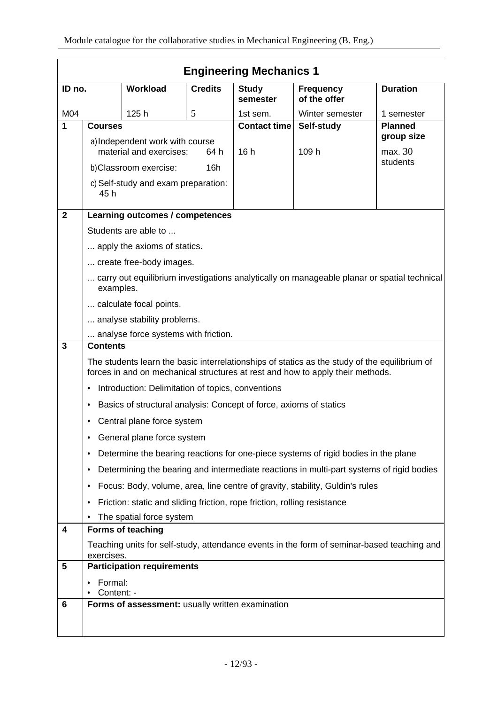|                | <b>Engineering Mechanics 1</b>  |                                                                          |                |                          |                                                                                                                                                                                 |                 |  |
|----------------|---------------------------------|--------------------------------------------------------------------------|----------------|--------------------------|---------------------------------------------------------------------------------------------------------------------------------------------------------------------------------|-----------------|--|
| ID no.         |                                 | Workload                                                                 | <b>Credits</b> | <b>Study</b><br>semester | <b>Frequency</b><br>of the offer                                                                                                                                                | <b>Duration</b> |  |
| M04            |                                 | 125h                                                                     | 5              | 1st sem.                 | Winter semester                                                                                                                                                                 | 1 semester      |  |
| 1              | <b>Courses</b>                  |                                                                          |                | <b>Contact time</b>      | Self-study                                                                                                                                                                      | <b>Planned</b>  |  |
|                | a) Independent work with course |                                                                          |                |                          |                                                                                                                                                                                 | group size      |  |
|                | material and exercises:<br>64 h |                                                                          | 16h            | 109 h                    | max. 30                                                                                                                                                                         |                 |  |
|                | 16h<br>b)Classroom exercise:    |                                                                          |                |                          | students                                                                                                                                                                        |                 |  |
|                | 45 h                            | c) Self-study and exam preparation:                                      |                |                          |                                                                                                                                                                                 |                 |  |
| $\overline{2}$ |                                 | Learning outcomes / competences                                          |                |                          |                                                                                                                                                                                 |                 |  |
|                |                                 | Students are able to                                                     |                |                          |                                                                                                                                                                                 |                 |  |
|                |                                 | apply the axioms of statics.                                             |                |                          |                                                                                                                                                                                 |                 |  |
|                |                                 | create free-body images.                                                 |                |                          |                                                                                                                                                                                 |                 |  |
|                | examples.                       |                                                                          |                |                          | carry out equilibrium investigations analytically on manageable planar or spatial technical                                                                                     |                 |  |
|                |                                 | calculate focal points.                                                  |                |                          |                                                                                                                                                                                 |                 |  |
|                |                                 | analyse stability problems.                                              |                |                          |                                                                                                                                                                                 |                 |  |
|                |                                 | analyse force systems with friction.                                     |                |                          |                                                                                                                                                                                 |                 |  |
| 3              | <b>Contents</b>                 |                                                                          |                |                          |                                                                                                                                                                                 |                 |  |
|                |                                 |                                                                          |                |                          | The students learn the basic interrelationships of statics as the study of the equilibrium of<br>forces in and on mechanical structures at rest and how to apply their methods. |                 |  |
|                | $\bullet$                       | Introduction: Delimitation of topics, conventions                        |                |                          |                                                                                                                                                                                 |                 |  |
|                | ٠                               | Basics of structural analysis: Concept of force, axioms of statics       |                |                          |                                                                                                                                                                                 |                 |  |
|                |                                 | Central plane force system                                               |                |                          |                                                                                                                                                                                 |                 |  |
|                |                                 | General plane force system                                               |                |                          |                                                                                                                                                                                 |                 |  |
|                | ٠                               |                                                                          |                |                          | Determine the bearing reactions for one-piece systems of rigid bodies in the plane                                                                                              |                 |  |
|                | ٠                               |                                                                          |                |                          | Determining the bearing and intermediate reactions in multi-part systems of rigid bodies                                                                                        |                 |  |
|                | ٠                               |                                                                          |                |                          | Focus: Body, volume, area, line centre of gravity, stability, Guldin's rules                                                                                                    |                 |  |
|                | ٠                               | Friction: static and sliding friction, rope friction, rolling resistance |                |                          |                                                                                                                                                                                 |                 |  |
|                |                                 | The spatial force system                                                 |                |                          |                                                                                                                                                                                 |                 |  |
| 4              |                                 | Forms of teaching                                                        |                |                          |                                                                                                                                                                                 |                 |  |
|                | exercises.                      |                                                                          |                |                          | Teaching units for self-study, attendance events in the form of seminar-based teaching and                                                                                      |                 |  |
| 5              |                                 | <b>Participation requirements</b>                                        |                |                          |                                                                                                                                                                                 |                 |  |
|                | Formal:                         |                                                                          |                |                          |                                                                                                                                                                                 |                 |  |
|                | Content: -                      |                                                                          |                |                          |                                                                                                                                                                                 |                 |  |
| 6              |                                 | Forms of assessment: usually written examination                         |                |                          |                                                                                                                                                                                 |                 |  |
|                |                                 |                                                                          |                |                          |                                                                                                                                                                                 |                 |  |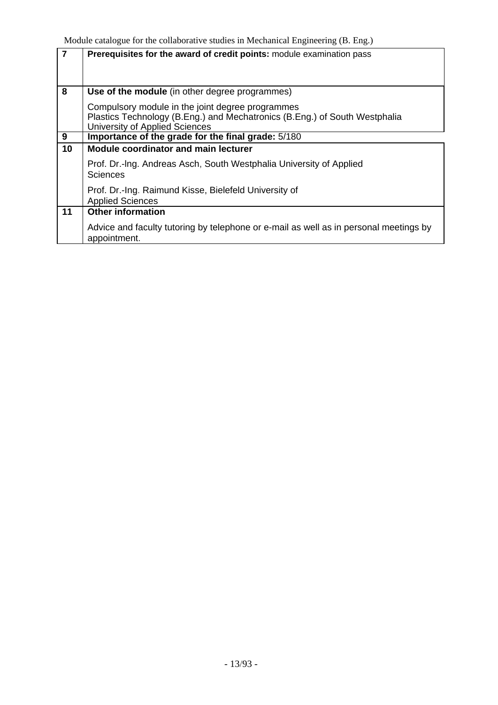| $\overline{7}$ | Prerequisites for the award of credit points: module examination pass                                                                                            |
|----------------|------------------------------------------------------------------------------------------------------------------------------------------------------------------|
| 8              | Use of the module (in other degree programmes)                                                                                                                   |
|                | Compulsory module in the joint degree programmes<br>Plastics Technology (B.Eng.) and Mechatronics (B.Eng.) of South Westphalia<br>University of Applied Sciences |
| 9              | Importance of the grade for the final grade: 5/180                                                                                                               |
| 10             | <b>Module coordinator and main lecturer</b>                                                                                                                      |
|                | Prof. Dr.-Ing. Andreas Asch, South Westphalia University of Applied<br><b>Sciences</b>                                                                           |
|                | Prof. Dr.-Ing. Raimund Kisse, Bielefeld University of<br><b>Applied Sciences</b>                                                                                 |
| 11             | <b>Other information</b>                                                                                                                                         |
|                | Advice and faculty tutoring by telephone or e-mail as well as in personal meetings by<br>appointment.                                                            |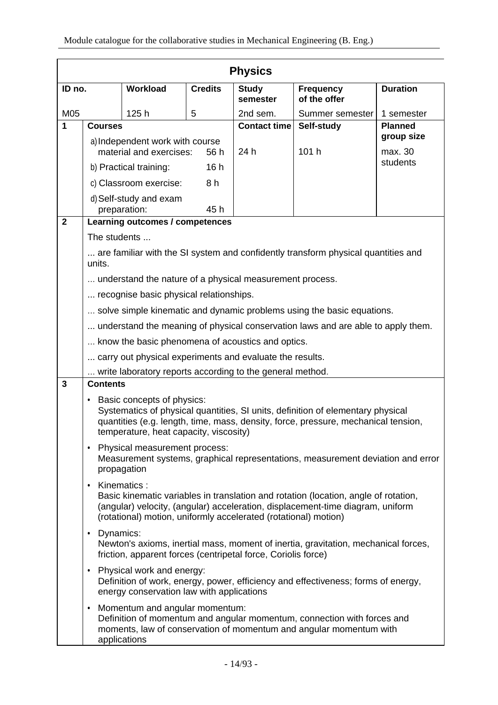|              | <b>Physics</b>                                                                                                                                                                                                                                                       |                                                                      |                |                          |                                                                                                                                                                       |                              |  |
|--------------|----------------------------------------------------------------------------------------------------------------------------------------------------------------------------------------------------------------------------------------------------------------------|----------------------------------------------------------------------|----------------|--------------------------|-----------------------------------------------------------------------------------------------------------------------------------------------------------------------|------------------------------|--|
| ID no.       |                                                                                                                                                                                                                                                                      | Workload                                                             | <b>Credits</b> | <b>Study</b><br>semester | <b>Frequency</b><br>of the offer                                                                                                                                      | <b>Duration</b>              |  |
| M05          |                                                                                                                                                                                                                                                                      | 125h                                                                 | 5              | 2nd sem.                 | Summer semester                                                                                                                                                       | 1 semester                   |  |
| $\mathbf 1$  | <b>Courses</b>                                                                                                                                                                                                                                                       |                                                                      |                | <b>Contact time</b>      | Self-study                                                                                                                                                            | <b>Planned</b><br>group size |  |
|              | a) Independent work with course<br>material and exercises:<br>56 h                                                                                                                                                                                                   |                                                                      | 24 h           | 101 h                    | max. 30                                                                                                                                                               |                              |  |
|              |                                                                                                                                                                                                                                                                      | b) Practical training:                                               | 16h            |                          |                                                                                                                                                                       | students                     |  |
|              |                                                                                                                                                                                                                                                                      | c) Classroom exercise:                                               | 8 h            |                          |                                                                                                                                                                       |                              |  |
|              |                                                                                                                                                                                                                                                                      | d) Self-study and exam<br>preparation:                               | 45 h           |                          |                                                                                                                                                                       |                              |  |
| $\mathbf{2}$ |                                                                                                                                                                                                                                                                      | Learning outcomes / competences                                      |                |                          |                                                                                                                                                                       |                              |  |
|              | The students                                                                                                                                                                                                                                                         |                                                                      |                |                          |                                                                                                                                                                       |                              |  |
|              | units.                                                                                                                                                                                                                                                               |                                                                      |                |                          | are familiar with the SI system and confidently transform physical quantities and                                                                                     |                              |  |
|              |                                                                                                                                                                                                                                                                      | understand the nature of a physical measurement process.             |                |                          |                                                                                                                                                                       |                              |  |
|              |                                                                                                                                                                                                                                                                      | recognise basic physical relationships.                              |                |                          |                                                                                                                                                                       |                              |  |
|              |                                                                                                                                                                                                                                                                      |                                                                      |                |                          | solve simple kinematic and dynamic problems using the basic equations.                                                                                                |                              |  |
|              |                                                                                                                                                                                                                                                                      |                                                                      |                |                          | understand the meaning of physical conservation laws and are able to apply them.                                                                                      |                              |  |
|              |                                                                                                                                                                                                                                                                      | know the basic phenomena of acoustics and optics.                    |                |                          |                                                                                                                                                                       |                              |  |
|              |                                                                                                                                                                                                                                                                      | carry out physical experiments and evaluate the results.             |                |                          |                                                                                                                                                                       |                              |  |
| 3            | <b>Contents</b>                                                                                                                                                                                                                                                      | write laboratory reports according to the general method.            |                |                          |                                                                                                                                                                       |                              |  |
|              | $\bullet$                                                                                                                                                                                                                                                            | Basic concepts of physics:<br>temperature, heat capacity, viscosity) |                |                          | Systematics of physical quantities, SI units, definition of elementary physical<br>quantities (e.g. length, time, mass, density, force, pressure, mechanical tension, |                              |  |
|              | ٠                                                                                                                                                                                                                                                                    | Physical measurement process:<br>propagation                         |                |                          | Measurement systems, graphical representations, measurement deviation and error                                                                                       |                              |  |
|              | Kinematics:<br>$\bullet$<br>Basic kinematic variables in translation and rotation (location, angle of rotation,<br>(angular) velocity, (angular) acceleration, displacement-time diagram, uniform<br>(rotational) motion, uniformly accelerated (rotational) motion) |                                                                      |                |                          |                                                                                                                                                                       |                              |  |
|              | Dynamics:<br>$\bullet$<br>Newton's axioms, inertial mass, moment of inertia, gravitation, mechanical forces,<br>friction, apparent forces (centripetal force, Coriolis force)                                                                                        |                                                                      |                |                          |                                                                                                                                                                       |                              |  |
|              | Physical work and energy:<br>٠<br>Definition of work, energy, power, efficiency and effectiveness; forms of energy,<br>energy conservation law with applications                                                                                                     |                                                                      |                |                          |                                                                                                                                                                       |                              |  |
|              | ٠                                                                                                                                                                                                                                                                    | Momentum and angular momentum:<br>applications                       |                |                          | Definition of momentum and angular momentum, connection with forces and<br>moments, law of conservation of momentum and angular momentum with                         |                              |  |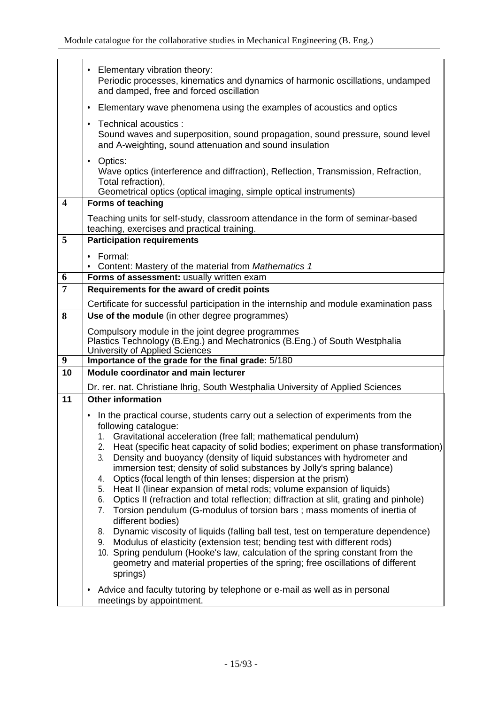|                         | Elementary vibration theory:<br>٠<br>Periodic processes, kinematics and dynamics of harmonic oscillations, undamped<br>and damped, free and forced oscillation                                                                                                                                                                                                                                                                                                                                                                                                                                                                                                                                                                                                                                                                                                                                                                                                                                                                                                                                                                                                                                                                                |
|-------------------------|-----------------------------------------------------------------------------------------------------------------------------------------------------------------------------------------------------------------------------------------------------------------------------------------------------------------------------------------------------------------------------------------------------------------------------------------------------------------------------------------------------------------------------------------------------------------------------------------------------------------------------------------------------------------------------------------------------------------------------------------------------------------------------------------------------------------------------------------------------------------------------------------------------------------------------------------------------------------------------------------------------------------------------------------------------------------------------------------------------------------------------------------------------------------------------------------------------------------------------------------------|
|                         | Elementary wave phenomena using the examples of acoustics and optics<br>٠                                                                                                                                                                                                                                                                                                                                                                                                                                                                                                                                                                                                                                                                                                                                                                                                                                                                                                                                                                                                                                                                                                                                                                     |
|                         | Technical acoustics :<br>٠<br>Sound waves and superposition, sound propagation, sound pressure, sound level<br>and A-weighting, sound attenuation and sound insulation                                                                                                                                                                                                                                                                                                                                                                                                                                                                                                                                                                                                                                                                                                                                                                                                                                                                                                                                                                                                                                                                        |
|                         | Optics:<br>٠<br>Wave optics (interference and diffraction), Reflection, Transmission, Refraction,<br>Total refraction),<br>Geometrical optics (optical imaging, simple optical instruments)                                                                                                                                                                                                                                                                                                                                                                                                                                                                                                                                                                                                                                                                                                                                                                                                                                                                                                                                                                                                                                                   |
| $\overline{\mathbf{4}}$ | <b>Forms of teaching</b>                                                                                                                                                                                                                                                                                                                                                                                                                                                                                                                                                                                                                                                                                                                                                                                                                                                                                                                                                                                                                                                                                                                                                                                                                      |
|                         | Teaching units for self-study, classroom attendance in the form of seminar-based<br>teaching, exercises and practical training.                                                                                                                                                                                                                                                                                                                                                                                                                                                                                                                                                                                                                                                                                                                                                                                                                                                                                                                                                                                                                                                                                                               |
| 5                       | <b>Participation requirements</b>                                                                                                                                                                                                                                                                                                                                                                                                                                                                                                                                                                                                                                                                                                                                                                                                                                                                                                                                                                                                                                                                                                                                                                                                             |
|                         | Formal:                                                                                                                                                                                                                                                                                                                                                                                                                                                                                                                                                                                                                                                                                                                                                                                                                                                                                                                                                                                                                                                                                                                                                                                                                                       |
|                         | Content: Mastery of the material from Mathematics 1                                                                                                                                                                                                                                                                                                                                                                                                                                                                                                                                                                                                                                                                                                                                                                                                                                                                                                                                                                                                                                                                                                                                                                                           |
| 6                       | Forms of assessment: usually written exam                                                                                                                                                                                                                                                                                                                                                                                                                                                                                                                                                                                                                                                                                                                                                                                                                                                                                                                                                                                                                                                                                                                                                                                                     |
| $\overline{7}$          | Requirements for the award of credit points                                                                                                                                                                                                                                                                                                                                                                                                                                                                                                                                                                                                                                                                                                                                                                                                                                                                                                                                                                                                                                                                                                                                                                                                   |
|                         | Certificate for successful participation in the internship and module examination pass                                                                                                                                                                                                                                                                                                                                                                                                                                                                                                                                                                                                                                                                                                                                                                                                                                                                                                                                                                                                                                                                                                                                                        |
| 8                       | Use of the module (in other degree programmes)                                                                                                                                                                                                                                                                                                                                                                                                                                                                                                                                                                                                                                                                                                                                                                                                                                                                                                                                                                                                                                                                                                                                                                                                |
|                         | Compulsory module in the joint degree programmes<br>Plastics Technology (B.Eng.) and Mechatronics (B.Eng.) of South Westphalia<br>University of Applied Sciences                                                                                                                                                                                                                                                                                                                                                                                                                                                                                                                                                                                                                                                                                                                                                                                                                                                                                                                                                                                                                                                                              |
| $\boldsymbol{9}$        | Importance of the grade for the final grade: 5/180                                                                                                                                                                                                                                                                                                                                                                                                                                                                                                                                                                                                                                                                                                                                                                                                                                                                                                                                                                                                                                                                                                                                                                                            |
| 10                      | <b>Module coordinator and main lecturer</b>                                                                                                                                                                                                                                                                                                                                                                                                                                                                                                                                                                                                                                                                                                                                                                                                                                                                                                                                                                                                                                                                                                                                                                                                   |
|                         | Dr. rer. nat. Christiane Ihrig, South Westphalia University of Applied Sciences                                                                                                                                                                                                                                                                                                                                                                                                                                                                                                                                                                                                                                                                                                                                                                                                                                                                                                                                                                                                                                                                                                                                                               |
| 11                      | <b>Other information</b>                                                                                                                                                                                                                                                                                                                                                                                                                                                                                                                                                                                                                                                                                                                                                                                                                                                                                                                                                                                                                                                                                                                                                                                                                      |
|                         | In the practical course, students carry out a selection of experiments from the<br>٠<br>following catalogue:<br>1. Gravitational acceleration (free fall; mathematical pendulum)<br>Heat (specific heat capacity of solid bodies; experiment on phase transformation)<br>2.<br>3.<br>Density and buoyancy (density of liquid substances with hydrometer and<br>immersion test; density of solid substances by Jolly's spring balance)<br>Optics (focal length of thin lenses; dispersion at the prism)<br>4.<br>Heat II (linear expansion of metal rods; volume expansion of liquids)<br>5.<br>Optics II (refraction and total reflection; diffraction at slit, grating and pinhole)<br>6.<br>Torsion pendulum (G-modulus of torsion bars; mass moments of inertia of<br>7.<br>different bodies)<br>Dynamic viscosity of liquids (falling ball test, test on temperature dependence)<br>8.<br>Modulus of elasticity (extension test; bending test with different rods)<br>9.<br>10. Spring pendulum (Hooke's law, calculation of the spring constant from the<br>geometry and material properties of the spring; free oscillations of different<br>springs)<br>Advice and faculty tutoring by telephone or e-mail as well as in personal<br>٠ |
|                         | meetings by appointment.                                                                                                                                                                                                                                                                                                                                                                                                                                                                                                                                                                                                                                                                                                                                                                                                                                                                                                                                                                                                                                                                                                                                                                                                                      |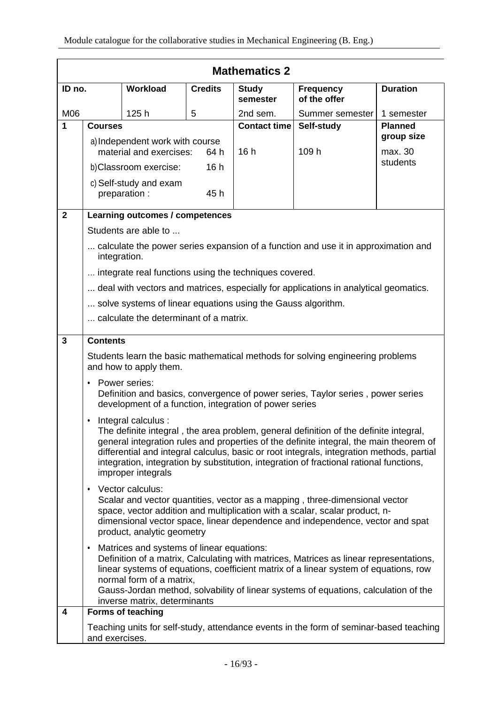|              | <b>Mathematics 2</b>                                                                                                                                                                                                                                                                                                                                                                                                      |                                                                         |                |                          |                                                                                        |                              |  |
|--------------|---------------------------------------------------------------------------------------------------------------------------------------------------------------------------------------------------------------------------------------------------------------------------------------------------------------------------------------------------------------------------------------------------------------------------|-------------------------------------------------------------------------|----------------|--------------------------|----------------------------------------------------------------------------------------|------------------------------|--|
| ID no.       |                                                                                                                                                                                                                                                                                                                                                                                                                           | <b>Workload</b>                                                         | <b>Credits</b> | <b>Study</b><br>semester | <b>Frequency</b><br>of the offer                                                       | <b>Duration</b>              |  |
| M06          | 125h<br>5                                                                                                                                                                                                                                                                                                                                                                                                                 |                                                                         |                | 2nd sem.                 | Summer semester                                                                        | 1 semester                   |  |
| 1            | <b>Courses</b>                                                                                                                                                                                                                                                                                                                                                                                                            |                                                                         |                | <b>Contact time</b>      | Self-study                                                                             | <b>Planned</b><br>group size |  |
|              | a) Independent work with course<br>material and exercises:<br>64 h                                                                                                                                                                                                                                                                                                                                                        |                                                                         | 16h            | 109 h                    | max. 30                                                                                |                              |  |
|              | 16h<br>b)Classroom exercise:                                                                                                                                                                                                                                                                                                                                                                                              |                                                                         |                |                          | students                                                                               |                              |  |
|              |                                                                                                                                                                                                                                                                                                                                                                                                                           | c) Self-study and exam                                                  |                |                          |                                                                                        |                              |  |
|              |                                                                                                                                                                                                                                                                                                                                                                                                                           | preparation :                                                           | 45 h           |                          |                                                                                        |                              |  |
| $\mathbf{2}$ |                                                                                                                                                                                                                                                                                                                                                                                                                           | Learning outcomes / competences                                         |                |                          |                                                                                        |                              |  |
|              |                                                                                                                                                                                                                                                                                                                                                                                                                           | Students are able to                                                    |                |                          |                                                                                        |                              |  |
|              | integration.                                                                                                                                                                                                                                                                                                                                                                                                              |                                                                         |                |                          | calculate the power series expansion of a function and use it in approximation and     |                              |  |
|              |                                                                                                                                                                                                                                                                                                                                                                                                                           | integrate real functions using the techniques covered.                  |                |                          |                                                                                        |                              |  |
|              |                                                                                                                                                                                                                                                                                                                                                                                                                           |                                                                         |                |                          | deal with vectors and matrices, especially for applications in analytical geomatics.   |                              |  |
|              |                                                                                                                                                                                                                                                                                                                                                                                                                           | solve systems of linear equations using the Gauss algorithm.            |                |                          |                                                                                        |                              |  |
|              |                                                                                                                                                                                                                                                                                                                                                                                                                           | calculate the determinant of a matrix.                                  |                |                          |                                                                                        |                              |  |
| 3            | <b>Contents</b>                                                                                                                                                                                                                                                                                                                                                                                                           |                                                                         |                |                          |                                                                                        |                              |  |
|              |                                                                                                                                                                                                                                                                                                                                                                                                                           | and how to apply them.                                                  |                |                          | Students learn the basic mathematical methods for solving engineering problems         |                              |  |
|              | $\bullet$                                                                                                                                                                                                                                                                                                                                                                                                                 | Power series:<br>development of a function, integration of power series |                |                          | Definition and basics, convergence of power series, Taylor series, power series        |                              |  |
|              | Integral calculus :<br>٠<br>The definite integral, the area problem, general definition of the definite integral,<br>general integration rules and properties of the definite integral, the main theorem of<br>differential and integral calculus, basic or root integrals, integration methods, partial<br>integration, integration by substitution, integration of fractional rational functions,<br>improper integrals |                                                                         |                |                          |                                                                                        |                              |  |
|              | Vector calculus:<br>٠<br>Scalar and vector quantities, vector as a mapping, three-dimensional vector<br>space, vector addition and multiplication with a scalar, scalar product, n-<br>dimensional vector space, linear dependence and independence, vector and spat<br>product, analytic geometry                                                                                                                        |                                                                         |                |                          |                                                                                        |                              |  |
|              | Matrices and systems of linear equations:<br>٠<br>Definition of a matrix, Calculating with matrices, Matrices as linear representations,<br>linear systems of equations, coefficient matrix of a linear system of equations, row<br>normal form of a matrix,<br>Gauss-Jordan method, solvability of linear systems of equations, calculation of the<br>inverse matrix, determinants                                       |                                                                         |                |                          |                                                                                        |                              |  |
| 4            |                                                                                                                                                                                                                                                                                                                                                                                                                           | Forms of teaching                                                       |                |                          |                                                                                        |                              |  |
|              | and exercises.                                                                                                                                                                                                                                                                                                                                                                                                            |                                                                         |                |                          | Teaching units for self-study, attendance events in the form of seminar-based teaching |                              |  |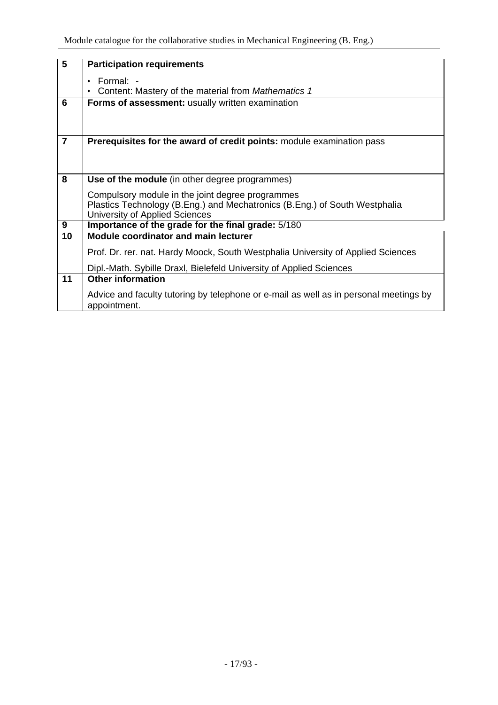| $5\phantom{.0}$ | <b>Participation requirements</b>                                                     |  |  |  |  |  |  |  |  |
|-----------------|---------------------------------------------------------------------------------------|--|--|--|--|--|--|--|--|
|                 | Formal: -                                                                             |  |  |  |  |  |  |  |  |
|                 | Content: Mastery of the material from Mathematics 1                                   |  |  |  |  |  |  |  |  |
|                 |                                                                                       |  |  |  |  |  |  |  |  |
| 6               | Forms of assessment: usually written examination                                      |  |  |  |  |  |  |  |  |
|                 |                                                                                       |  |  |  |  |  |  |  |  |
|                 |                                                                                       |  |  |  |  |  |  |  |  |
|                 |                                                                                       |  |  |  |  |  |  |  |  |
| $\overline{7}$  | Prerequisites for the award of credit points: module examination pass                 |  |  |  |  |  |  |  |  |
|                 |                                                                                       |  |  |  |  |  |  |  |  |
|                 |                                                                                       |  |  |  |  |  |  |  |  |
|                 |                                                                                       |  |  |  |  |  |  |  |  |
| 8               | Use of the module (in other degree programmes)                                        |  |  |  |  |  |  |  |  |
|                 | Compulsory module in the joint degree programmes                                      |  |  |  |  |  |  |  |  |
|                 | Plastics Technology (B.Eng.) and Mechatronics (B.Eng.) of South Westphalia            |  |  |  |  |  |  |  |  |
|                 | University of Applied Sciences                                                        |  |  |  |  |  |  |  |  |
| $\overline{9}$  | Importance of the grade for the final grade: 5/180                                    |  |  |  |  |  |  |  |  |
| 10              | <b>Module coordinator and main lecturer</b>                                           |  |  |  |  |  |  |  |  |
|                 |                                                                                       |  |  |  |  |  |  |  |  |
|                 | Prof. Dr. rer. nat. Hardy Moock, South Westphalia University of Applied Sciences      |  |  |  |  |  |  |  |  |
|                 | Dipl.-Math. Sybille Draxl, Bielefeld University of Applied Sciences                   |  |  |  |  |  |  |  |  |
|                 |                                                                                       |  |  |  |  |  |  |  |  |
| 11              | <b>Other information</b>                                                              |  |  |  |  |  |  |  |  |
|                 | Advice and faculty tutoring by telephone or e-mail as well as in personal meetings by |  |  |  |  |  |  |  |  |
|                 | appointment.                                                                          |  |  |  |  |  |  |  |  |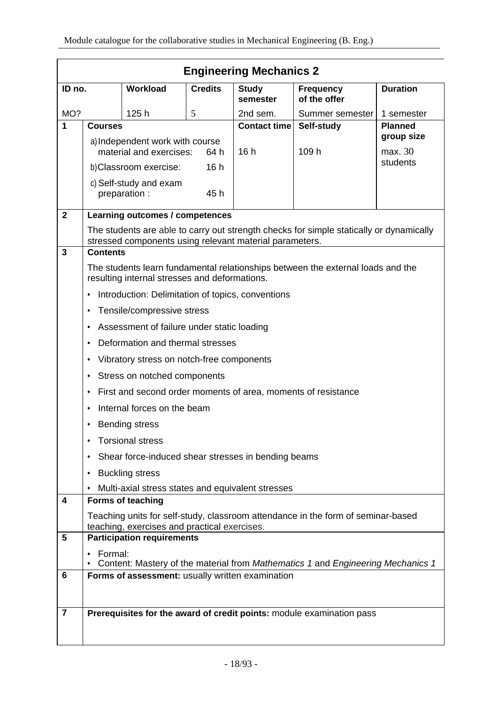|                         | <b>Engineering Mechanics 2</b>                                                                                                   |                                                         |                |                          |                                                                                         |                 |
|-------------------------|----------------------------------------------------------------------------------------------------------------------------------|---------------------------------------------------------|----------------|--------------------------|-----------------------------------------------------------------------------------------|-----------------|
| ID no.                  |                                                                                                                                  | <b>Workload</b>                                         | <b>Credits</b> | <b>Study</b><br>semester | <b>Frequency</b><br>of the offer                                                        | <b>Duration</b> |
| MO?                     |                                                                                                                                  | 125h                                                    | 5              | 2nd sem.                 | Summer semester                                                                         | 1 semester      |
| 1                       | <b>Courses</b>                                                                                                                   |                                                         |                | <b>Contact time</b>      | Self-study                                                                              | <b>Planned</b>  |
|                         | a) Independent work with course                                                                                                  |                                                         |                |                          |                                                                                         | group size      |
|                         | material and exercises:<br>64 h                                                                                                  |                                                         | 16h            | 109 h                    | max. 30<br>students                                                                     |                 |
|                         | 16h<br>b) Classroom exercise:                                                                                                    |                                                         |                |                          |                                                                                         |                 |
|                         |                                                                                                                                  | c) Self-study and exam<br>preparation :                 | 45 h           |                          |                                                                                         |                 |
| $\mathbf{2}$            |                                                                                                                                  | Learning outcomes / competences                         |                |                          |                                                                                         |                 |
|                         |                                                                                                                                  |                                                         |                |                          | The students are able to carry out strength checks for simple statically or dynamically |                 |
| $\overline{\mathbf{3}}$ | <b>Contents</b>                                                                                                                  | stressed components using relevant material parameters. |                |                          |                                                                                         |                 |
|                         |                                                                                                                                  |                                                         |                |                          |                                                                                         |                 |
|                         |                                                                                                                                  | resulting internal stresses and deformations.           |                |                          | The students learn fundamental relationships between the external loads and the         |                 |
|                         | ٠                                                                                                                                | Introduction: Delimitation of topics, conventions       |                |                          |                                                                                         |                 |
|                         | ٠                                                                                                                                | Tensile/compressive stress                              |                |                          |                                                                                         |                 |
|                         | ٠                                                                                                                                | Assessment of failure under static loading              |                |                          |                                                                                         |                 |
|                         | ٠                                                                                                                                | Deformation and thermal stresses                        |                |                          |                                                                                         |                 |
|                         | ٠                                                                                                                                | Vibratory stress on notch-free components               |                |                          |                                                                                         |                 |
|                         | ٠                                                                                                                                | Stress on notched components                            |                |                          |                                                                                         |                 |
|                         | ٠                                                                                                                                |                                                         |                |                          | First and second order moments of area, moments of resistance                           |                 |
|                         | ٠                                                                                                                                | Internal forces on the beam                             |                |                          |                                                                                         |                 |
|                         | ٠                                                                                                                                | <b>Bending stress</b>                                   |                |                          |                                                                                         |                 |
|                         |                                                                                                                                  | <b>Torsional stress</b>                                 |                |                          |                                                                                         |                 |
|                         |                                                                                                                                  | Shear force-induced shear stresses in bending beams     |                |                          |                                                                                         |                 |
|                         | ٠                                                                                                                                | <b>Buckling stress</b>                                  |                |                          |                                                                                         |                 |
|                         | $\bullet$                                                                                                                        | Multi-axial stress states and equivalent stresses       |                |                          |                                                                                         |                 |
| 4                       |                                                                                                                                  | <b>Forms of teaching</b>                                |                |                          |                                                                                         |                 |
|                         | Teaching units for self-study, classroom attendance in the form of seminar-based<br>teaching, exercises and practical exercises. |                                                         |                |                          |                                                                                         |                 |
| 5                       |                                                                                                                                  | <b>Participation requirements</b>                       |                |                          |                                                                                         |                 |
|                         | Formal:<br>٠                                                                                                                     |                                                         |                |                          |                                                                                         |                 |
| 6                       |                                                                                                                                  | Forms of assessment: usually written examination        |                |                          | Content: Mastery of the material from Mathematics 1 and Engineering Mechanics 1         |                 |
|                         |                                                                                                                                  |                                                         |                |                          |                                                                                         |                 |
|                         |                                                                                                                                  |                                                         |                |                          |                                                                                         |                 |
| $\overline{7}$          |                                                                                                                                  |                                                         |                |                          | Prerequisites for the award of credit points: module examination pass                   |                 |
|                         |                                                                                                                                  |                                                         |                |                          |                                                                                         |                 |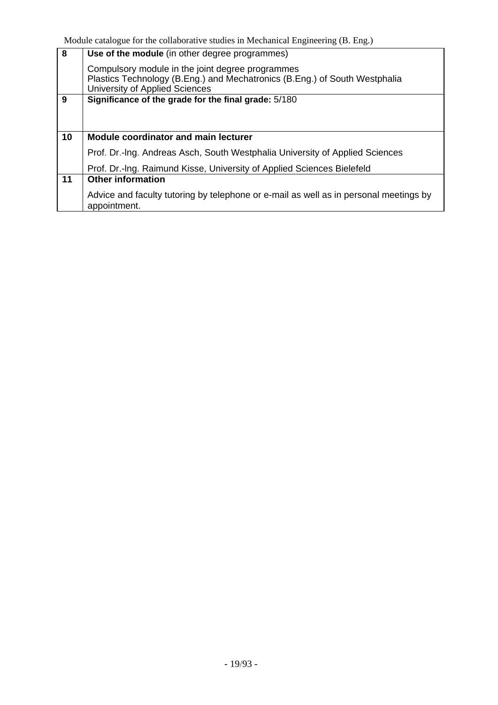| 8  | Use of the module (in other degree programmes)                                                                                                                   |
|----|------------------------------------------------------------------------------------------------------------------------------------------------------------------|
|    | Compulsory module in the joint degree programmes<br>Plastics Technology (B.Eng.) and Mechatronics (B.Eng.) of South Westphalia<br>University of Applied Sciences |
| 9  | Significance of the grade for the final grade: 5/180                                                                                                             |
|    |                                                                                                                                                                  |
|    |                                                                                                                                                                  |
| 10 | <b>Module coordinator and main lecturer</b>                                                                                                                      |
|    | Prof. Dr.-Ing. Andreas Asch, South Westphalia University of Applied Sciences                                                                                     |
|    | Prof. Dr.-Ing. Raimund Kisse, University of Applied Sciences Bielefeld                                                                                           |
| 11 | <b>Other information</b>                                                                                                                                         |
|    | Advice and faculty tutoring by telephone or e-mail as well as in personal meetings by<br>appointment.                                                            |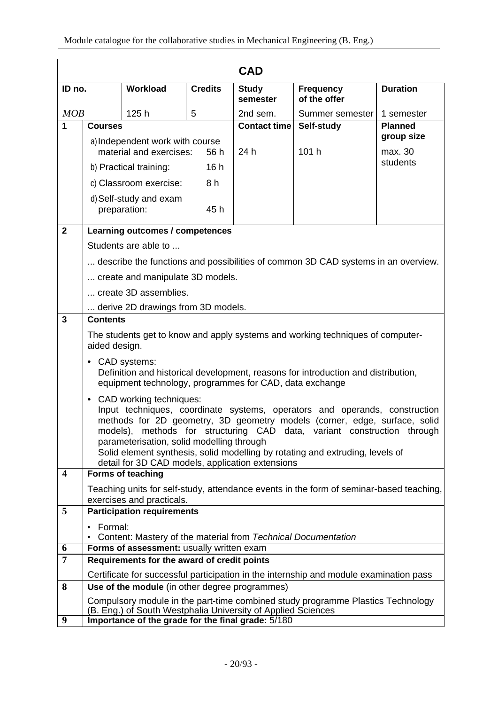|                         |                                                                                                            |                                                                                                                            |                     | <b>CAD</b>               |                                                                                                                                                                                                                                                                                                            |                 |
|-------------------------|------------------------------------------------------------------------------------------------------------|----------------------------------------------------------------------------------------------------------------------------|---------------------|--------------------------|------------------------------------------------------------------------------------------------------------------------------------------------------------------------------------------------------------------------------------------------------------------------------------------------------------|-----------------|
| ID no.                  |                                                                                                            | Workload                                                                                                                   | <b>Credits</b>      | <b>Study</b><br>semester | <b>Frequency</b><br>of the offer                                                                                                                                                                                                                                                                           | <b>Duration</b> |
| MOB                     |                                                                                                            | 125h                                                                                                                       | 5                   | 2nd sem.                 | Summer semester                                                                                                                                                                                                                                                                                            | 1 semester      |
| 1                       | <b>Courses</b>                                                                                             |                                                                                                                            | <b>Contact time</b> | Self-study               | <b>Planned</b>                                                                                                                                                                                                                                                                                             |                 |
|                         |                                                                                                            | a) Independent work with course                                                                                            |                     |                          |                                                                                                                                                                                                                                                                                                            | group size      |
|                         |                                                                                                            | material and exercises:                                                                                                    | 56 h                | 24 h                     | 101 h                                                                                                                                                                                                                                                                                                      | max. 30         |
|                         | 16h<br>b) Practical training:                                                                              |                                                                                                                            |                     |                          | students                                                                                                                                                                                                                                                                                                   |                 |
|                         |                                                                                                            | c) Classroom exercise:                                                                                                     | 8 h                 |                          |                                                                                                                                                                                                                                                                                                            |                 |
|                         |                                                                                                            | d) Self-study and exam<br>preparation:                                                                                     | 45h                 |                          |                                                                                                                                                                                                                                                                                                            |                 |
| $\overline{\mathbf{2}}$ |                                                                                                            | Learning outcomes / competences                                                                                            |                     |                          |                                                                                                                                                                                                                                                                                                            |                 |
|                         |                                                                                                            | Students are able to                                                                                                       |                     |                          |                                                                                                                                                                                                                                                                                                            |                 |
|                         |                                                                                                            |                                                                                                                            |                     |                          | describe the functions and possibilities of common 3D CAD systems in an overview.                                                                                                                                                                                                                          |                 |
|                         |                                                                                                            | create and manipulate 3D models.                                                                                           |                     |                          |                                                                                                                                                                                                                                                                                                            |                 |
|                         |                                                                                                            | create 3D assemblies.                                                                                                      |                     |                          |                                                                                                                                                                                                                                                                                                            |                 |
|                         |                                                                                                            | derive 2D drawings from 3D models.                                                                                         |                     |                          |                                                                                                                                                                                                                                                                                                            |                 |
| $\mathbf{3}$            | <b>Contents</b>                                                                                            |                                                                                                                            |                     |                          |                                                                                                                                                                                                                                                                                                            |                 |
|                         | aided design.                                                                                              |                                                                                                                            |                     |                          | The students get to know and apply systems and working techniques of computer-                                                                                                                                                                                                                             |                 |
|                         |                                                                                                            | • CAD systems:<br>equipment technology, programmes for CAD, data exchange                                                  |                     |                          | Definition and historical development, reasons for introduction and distribution,                                                                                                                                                                                                                          |                 |
|                         | models),                                                                                                   | • CAD working techniques:<br>parameterisation, solid modelling through<br>detail for 3D CAD models, application extensions |                     |                          | Input techniques, coordinate systems, operators and operands, construction<br>methods for 2D geometry, 3D geometry models (corner, edge, surface, solid<br>methods for structuring CAD data, variant construction through<br>Solid element synthesis, solid modelling by rotating and extruding, levels of |                 |
| $\overline{\mathbf{4}}$ |                                                                                                            | Forms of teaching                                                                                                          |                     |                          |                                                                                                                                                                                                                                                                                                            |                 |
|                         |                                                                                                            | exercises and practicals.                                                                                                  |                     |                          | Teaching units for self-study, attendance events in the form of seminar-based teaching,                                                                                                                                                                                                                    |                 |
| 5                       |                                                                                                            | <b>Participation requirements</b>                                                                                          |                     |                          |                                                                                                                                                                                                                                                                                                            |                 |
|                         | Formal:<br>٠                                                                                               |                                                                                                                            |                     |                          |                                                                                                                                                                                                                                                                                                            |                 |
|                         | Content: Mastery of the material from Technical Documentation<br>Forms of assessment: usually written exam |                                                                                                                            |                     |                          |                                                                                                                                                                                                                                                                                                            |                 |
| 6<br>$\overline{7}$     |                                                                                                            | Requirements for the award of credit points                                                                                |                     |                          |                                                                                                                                                                                                                                                                                                            |                 |
|                         |                                                                                                            |                                                                                                                            |                     |                          | Certificate for successful participation in the internship and module examination pass                                                                                                                                                                                                                     |                 |
| 8                       |                                                                                                            | Use of the module (in other degree programmes)                                                                             |                     |                          |                                                                                                                                                                                                                                                                                                            |                 |
|                         |                                                                                                            | (B. Eng.) of South Westphalia University of Applied Sciences                                                               |                     |                          | Compulsory module in the part-time combined study programme Plastics Technology                                                                                                                                                                                                                            |                 |
| 9                       |                                                                                                            | Importance of the grade for the final grade: 5/180                                                                         |                     |                          |                                                                                                                                                                                                                                                                                                            |                 |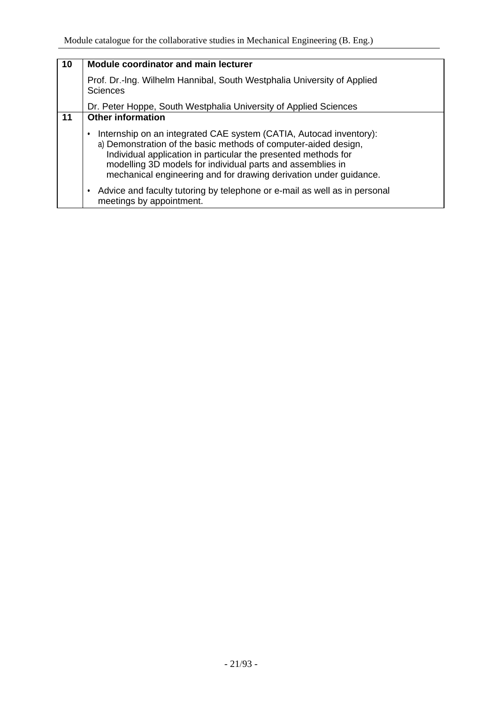| 10 | <b>Module coordinator and main lecturer</b>                                                                                                                                                                                                                                                                                                |
|----|--------------------------------------------------------------------------------------------------------------------------------------------------------------------------------------------------------------------------------------------------------------------------------------------------------------------------------------------|
|    | Prof. Dr.-Ing. Wilhelm Hannibal, South Westphalia University of Applied<br><b>Sciences</b>                                                                                                                                                                                                                                                 |
|    | Dr. Peter Hoppe, South Westphalia University of Applied Sciences                                                                                                                                                                                                                                                                           |
| 11 | <b>Other information</b>                                                                                                                                                                                                                                                                                                                   |
|    | Internship on an integrated CAE system (CATIA, Autocad inventory):<br>a) Demonstration of the basic methods of computer-aided design,<br>Individual application in particular the presented methods for<br>modelling 3D models for individual parts and assemblies in<br>mechanical engineering and for drawing derivation under guidance. |
|    | Advice and faculty tutoring by telephone or e-mail as well as in personal<br>meetings by appointment.                                                                                                                                                                                                                                      |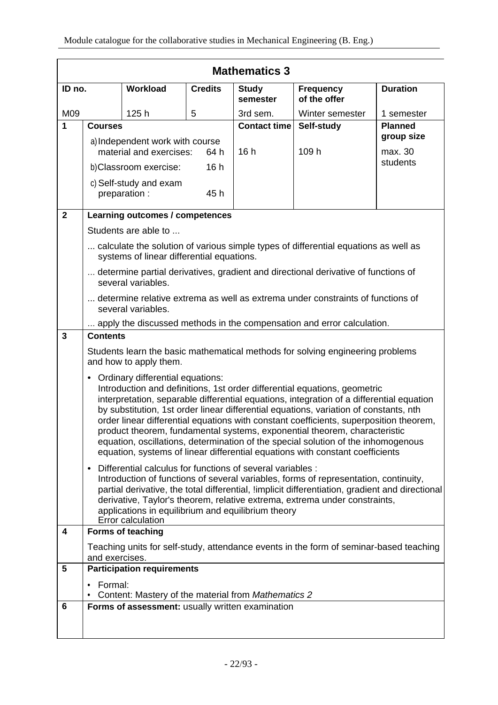|                | <b>Mathematics 3</b>                                                                                                                                                                                                                                                                                                                                                                                                                                                                                                                                                                                                                                         |                                                     |                     |                          |                                                                                        |                 |  |
|----------------|--------------------------------------------------------------------------------------------------------------------------------------------------------------------------------------------------------------------------------------------------------------------------------------------------------------------------------------------------------------------------------------------------------------------------------------------------------------------------------------------------------------------------------------------------------------------------------------------------------------------------------------------------------------|-----------------------------------------------------|---------------------|--------------------------|----------------------------------------------------------------------------------------|-----------------|--|
| ID no.         |                                                                                                                                                                                                                                                                                                                                                                                                                                                                                                                                                                                                                                                              | Workload                                            | <b>Credits</b>      | <b>Study</b><br>semester | <b>Frequency</b><br>of the offer                                                       | <b>Duration</b> |  |
| M09            |                                                                                                                                                                                                                                                                                                                                                                                                                                                                                                                                                                                                                                                              | 125h                                                | 5                   | 3rd sem.                 | Winter semester                                                                        | 1 semester      |  |
| 1              | <b>Courses</b>                                                                                                                                                                                                                                                                                                                                                                                                                                                                                                                                                                                                                                               |                                                     | <b>Contact time</b> | Self-study               | <b>Planned</b>                                                                         |                 |  |
|                |                                                                                                                                                                                                                                                                                                                                                                                                                                                                                                                                                                                                                                                              | a) Independent work with course                     |                     |                          |                                                                                        | group size      |  |
|                | material and exercises:<br>64 h                                                                                                                                                                                                                                                                                                                                                                                                                                                                                                                                                                                                                              |                                                     | 16h                 | 109 h                    | max. 30<br>students                                                                    |                 |  |
|                |                                                                                                                                                                                                                                                                                                                                                                                                                                                                                                                                                                                                                                                              | b)Classroom exercise:                               | 16h                 |                          |                                                                                        |                 |  |
|                |                                                                                                                                                                                                                                                                                                                                                                                                                                                                                                                                                                                                                                                              | c) Self-study and exam<br>preparation :             | 45 h                |                          |                                                                                        |                 |  |
| $\overline{2}$ |                                                                                                                                                                                                                                                                                                                                                                                                                                                                                                                                                                                                                                                              | Learning outcomes / competences                     |                     |                          |                                                                                        |                 |  |
|                |                                                                                                                                                                                                                                                                                                                                                                                                                                                                                                                                                                                                                                                              | Students are able to                                |                     |                          |                                                                                        |                 |  |
|                |                                                                                                                                                                                                                                                                                                                                                                                                                                                                                                                                                                                                                                                              |                                                     |                     |                          | calculate the solution of various simple types of differential equations as well as    |                 |  |
|                |                                                                                                                                                                                                                                                                                                                                                                                                                                                                                                                                                                                                                                                              | systems of linear differential equations.           |                     |                          |                                                                                        |                 |  |
|                |                                                                                                                                                                                                                                                                                                                                                                                                                                                                                                                                                                                                                                                              | several variables.                                  |                     |                          | determine partial derivatives, gradient and directional derivative of functions of     |                 |  |
|                | determine relative extrema as well as extrema under constraints of functions of<br>several variables.                                                                                                                                                                                                                                                                                                                                                                                                                                                                                                                                                        |                                                     |                     |                          |                                                                                        |                 |  |
|                | apply the discussed methods in the compensation and error calculation.                                                                                                                                                                                                                                                                                                                                                                                                                                                                                                                                                                                       |                                                     |                     |                          |                                                                                        |                 |  |
| 3              | <b>Contents</b>                                                                                                                                                                                                                                                                                                                                                                                                                                                                                                                                                                                                                                              |                                                     |                     |                          |                                                                                        |                 |  |
|                |                                                                                                                                                                                                                                                                                                                                                                                                                                                                                                                                                                                                                                                              | and how to apply them.                              |                     |                          | Students learn the basic mathematical methods for solving engineering problems         |                 |  |
|                | Ordinary differential equations:<br>$\bullet$<br>Introduction and definitions, 1st order differential equations, geometric<br>interpretation, separable differential equations, integration of a differential equation<br>by substitution, 1st order linear differential equations, variation of constants, nth<br>order linear differential equations with constant coefficients, superposition theorem,<br>product theorem, fundamental systems, exponential theorem, characteristic<br>equation, oscillations, determination of the special solution of the inhomogenous<br>equation, systems of linear differential equations with constant coefficients |                                                     |                     |                          |                                                                                        |                 |  |
|                | Differential calculus for functions of several variables :<br>Introduction of functions of several variables, forms of representation, continuity,<br>partial derivative, the total differential, limplicit differentiation, gradient and directional<br>derivative, Taylor's theorem, relative extrema, extrema under constraints,<br>applications in equilibrium and equilibrium theory<br>Error calculation                                                                                                                                                                                                                                               |                                                     |                     |                          |                                                                                        |                 |  |
| 4              |                                                                                                                                                                                                                                                                                                                                                                                                                                                                                                                                                                                                                                                              | <b>Forms of teaching</b>                            |                     |                          |                                                                                        |                 |  |
|                | and exercises.                                                                                                                                                                                                                                                                                                                                                                                                                                                                                                                                                                                                                                               |                                                     |                     |                          | Teaching units for self-study, attendance events in the form of seminar-based teaching |                 |  |
| 5              |                                                                                                                                                                                                                                                                                                                                                                                                                                                                                                                                                                                                                                                              | <b>Participation requirements</b>                   |                     |                          |                                                                                        |                 |  |
|                | Formal:                                                                                                                                                                                                                                                                                                                                                                                                                                                                                                                                                                                                                                                      | Content: Mastery of the material from Mathematics 2 |                     |                          |                                                                                        |                 |  |
| 6              |                                                                                                                                                                                                                                                                                                                                                                                                                                                                                                                                                                                                                                                              | Forms of assessment: usually written examination    |                     |                          |                                                                                        |                 |  |
|                |                                                                                                                                                                                                                                                                                                                                                                                                                                                                                                                                                                                                                                                              |                                                     |                     |                          |                                                                                        |                 |  |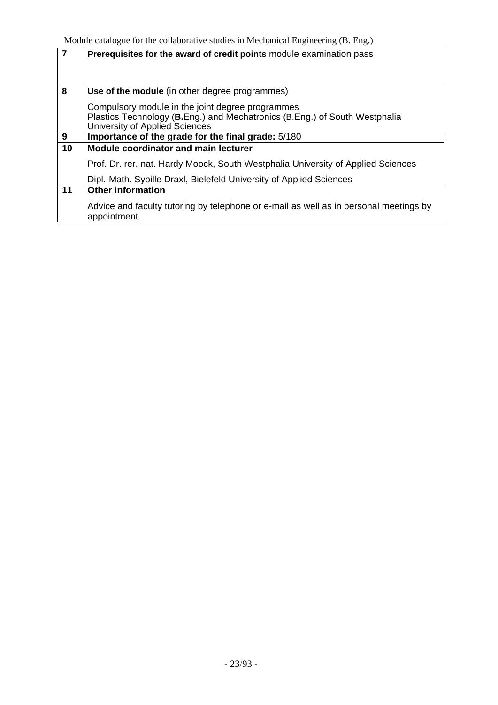| $\overline{7}$ | Prerequisites for the award of credit points module examination pass                                  |
|----------------|-------------------------------------------------------------------------------------------------------|
|                |                                                                                                       |
| 8              | Use of the module (in other degree programmes)                                                        |
|                | Compulsory module in the joint degree programmes                                                      |
|                | Plastics Technology (B.Eng.) and Mechatronics (B.Eng.) of South Westphalia                            |
|                | University of Applied Sciences                                                                        |
| 9              | Importance of the grade for the final grade: 5/180                                                    |
| 10             | <b>Module coordinator and main lecturer</b>                                                           |
|                | Prof. Dr. rer. nat. Hardy Moock, South Westphalia University of Applied Sciences                      |
|                | Dipl.-Math. Sybille Draxl, Bielefeld University of Applied Sciences                                   |
| 11             | <b>Other information</b>                                                                              |
|                | Advice and faculty tutoring by telephone or e-mail as well as in personal meetings by<br>appointment. |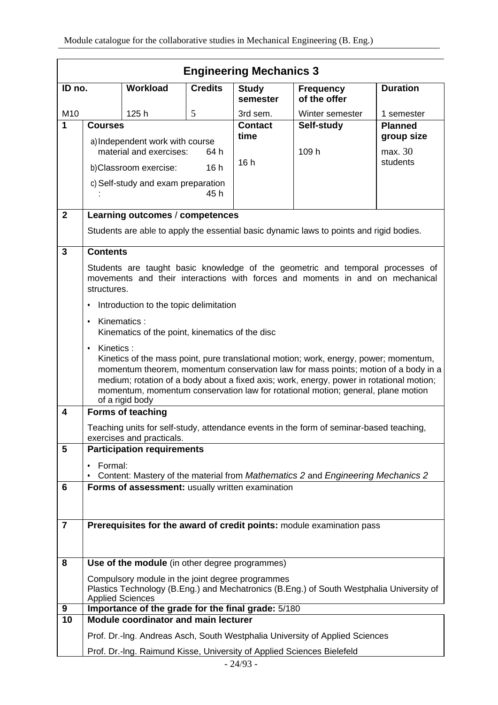|                | <b>Engineering Mechanics 3</b>                                                                                                                                          |                                                    |                |                          |                                                                                                                                                                                                                                                                                                                                                             |                 |  |
|----------------|-------------------------------------------------------------------------------------------------------------------------------------------------------------------------|----------------------------------------------------|----------------|--------------------------|-------------------------------------------------------------------------------------------------------------------------------------------------------------------------------------------------------------------------------------------------------------------------------------------------------------------------------------------------------------|-----------------|--|
| ID no.         |                                                                                                                                                                         | Workload                                           | <b>Credits</b> | <b>Study</b><br>semester | <b>Frequency</b><br>of the offer                                                                                                                                                                                                                                                                                                                            | <b>Duration</b> |  |
| M10            |                                                                                                                                                                         | 125h                                               | 5              | 3rd sem.                 | Winter semester                                                                                                                                                                                                                                                                                                                                             | 1 semester      |  |
| 1              | <b>Courses</b>                                                                                                                                                          |                                                    |                | <b>Contact</b>           | Self-study                                                                                                                                                                                                                                                                                                                                                  | <b>Planned</b>  |  |
|                |                                                                                                                                                                         | a) Independent work with course                    |                | time                     |                                                                                                                                                                                                                                                                                                                                                             | group size      |  |
|                |                                                                                                                                                                         | material and exercises:                            | 64 h           |                          | 109 h                                                                                                                                                                                                                                                                                                                                                       | max. 30         |  |
|                |                                                                                                                                                                         | b)Classroom exercise:                              | 16h            | 16h                      |                                                                                                                                                                                                                                                                                                                                                             | students        |  |
|                |                                                                                                                                                                         | c) Self-study and exam preparation                 | 45 h           |                          |                                                                                                                                                                                                                                                                                                                                                             |                 |  |
| $\mathbf{2}$   |                                                                                                                                                                         | Learning outcomes / competences                    |                |                          |                                                                                                                                                                                                                                                                                                                                                             |                 |  |
|                |                                                                                                                                                                         |                                                    |                |                          | Students are able to apply the essential basic dynamic laws to points and rigid bodies.                                                                                                                                                                                                                                                                     |                 |  |
| $\overline{3}$ | <b>Contents</b>                                                                                                                                                         |                                                    |                |                          |                                                                                                                                                                                                                                                                                                                                                             |                 |  |
|                | structures.                                                                                                                                                             |                                                    |                |                          | Students are taught basic knowledge of the geometric and temporal processes of<br>movements and their interactions with forces and moments in and on mechanical                                                                                                                                                                                             |                 |  |
|                | Introduction to the topic delimitation<br>٠                                                                                                                             |                                                    |                |                          |                                                                                                                                                                                                                                                                                                                                                             |                 |  |
|                | Kinematics:<br>$\bullet$<br>Kinematics of the point, kinematics of the disc                                                                                             |                                                    |                |                          |                                                                                                                                                                                                                                                                                                                                                             |                 |  |
|                | Kinetics:<br>$\bullet$                                                                                                                                                  | of a rigid body                                    |                |                          | Kinetics of the mass point, pure translational motion; work, energy, power; momentum,<br>momentum theorem, momentum conservation law for mass points; motion of a body in a<br>medium; rotation of a body about a fixed axis; work, energy, power in rotational motion;<br>momentum, momentum conservation law for rotational motion; general, plane motion |                 |  |
| 4              |                                                                                                                                                                         | <b>Forms of teaching</b>                           |                |                          |                                                                                                                                                                                                                                                                                                                                                             |                 |  |
|                |                                                                                                                                                                         | exercises and practicals.                          |                |                          | Teaching units for self-study, attendance events in the form of seminar-based teaching,                                                                                                                                                                                                                                                                     |                 |  |
| 5              |                                                                                                                                                                         | <b>Participation requirements</b>                  |                |                          |                                                                                                                                                                                                                                                                                                                                                             |                 |  |
|                | Formal:                                                                                                                                                                 |                                                    |                |                          |                                                                                                                                                                                                                                                                                                                                                             |                 |  |
|                |                                                                                                                                                                         |                                                    |                |                          | Content: Mastery of the material from Mathematics 2 and Engineering Mechanics 2                                                                                                                                                                                                                                                                             |                 |  |
| 6              |                                                                                                                                                                         | Forms of assessment: usually written examination   |                |                          |                                                                                                                                                                                                                                                                                                                                                             |                 |  |
|                |                                                                                                                                                                         |                                                    |                |                          |                                                                                                                                                                                                                                                                                                                                                             |                 |  |
|                |                                                                                                                                                                         |                                                    |                |                          |                                                                                                                                                                                                                                                                                                                                                             |                 |  |
| $\overline{7}$ |                                                                                                                                                                         |                                                    |                |                          | Prerequisites for the award of credit points: module examination pass                                                                                                                                                                                                                                                                                       |                 |  |
|                |                                                                                                                                                                         |                                                    |                |                          |                                                                                                                                                                                                                                                                                                                                                             |                 |  |
| 8              |                                                                                                                                                                         | Use of the module (in other degree programmes)     |                |                          |                                                                                                                                                                                                                                                                                                                                                             |                 |  |
|                | Compulsory module in the joint degree programmes<br>Plastics Technology (B.Eng.) and Mechatronics (B.Eng.) of South Westphalia University of<br><b>Applied Sciences</b> |                                                    |                |                          |                                                                                                                                                                                                                                                                                                                                                             |                 |  |
| 9              |                                                                                                                                                                         | Importance of the grade for the final grade: 5/180 |                |                          |                                                                                                                                                                                                                                                                                                                                                             |                 |  |
| 10             |                                                                                                                                                                         | <b>Module coordinator and main lecturer</b>        |                |                          |                                                                                                                                                                                                                                                                                                                                                             |                 |  |
|                |                                                                                                                                                                         |                                                    |                |                          | Prof. Dr.-Ing. Andreas Asch, South Westphalia University of Applied Sciences                                                                                                                                                                                                                                                                                |                 |  |
|                |                                                                                                                                                                         |                                                    |                |                          | Prof. Dr.-Ing. Raimund Kisse, University of Applied Sciences Bielefeld                                                                                                                                                                                                                                                                                      |                 |  |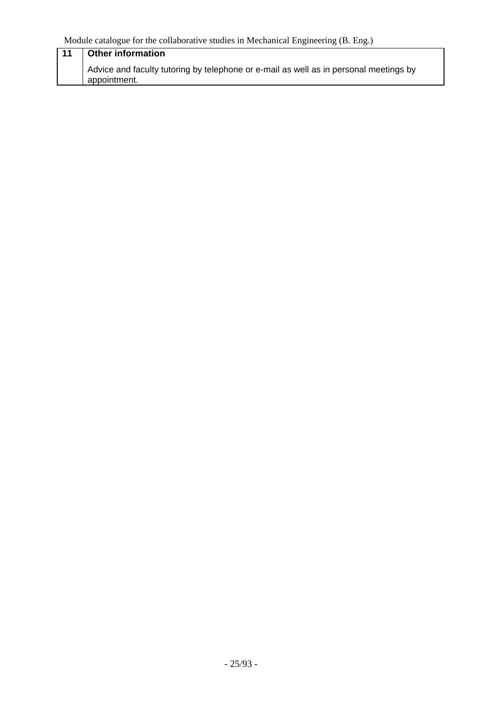| $-11$ | <b>Other information</b>                                                                              |
|-------|-------------------------------------------------------------------------------------------------------|
|       | Advice and faculty tutoring by telephone or e-mail as well as in personal meetings by<br>appointment. |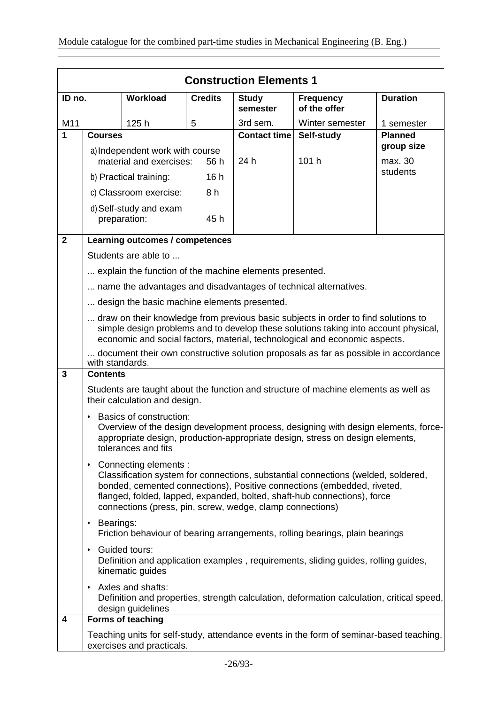|                | <b>Construction Elements 1</b>                                                                                                                                                                                                                                                                                                              |                                                         |                |                          |                                                                                                                                                                     |                     |  |
|----------------|---------------------------------------------------------------------------------------------------------------------------------------------------------------------------------------------------------------------------------------------------------------------------------------------------------------------------------------------|---------------------------------------------------------|----------------|--------------------------|---------------------------------------------------------------------------------------------------------------------------------------------------------------------|---------------------|--|
| ID no.         |                                                                                                                                                                                                                                                                                                                                             | Workload                                                | <b>Credits</b> | <b>Study</b><br>semester | <b>Frequency</b><br>of the offer                                                                                                                                    | <b>Duration</b>     |  |
| M11            |                                                                                                                                                                                                                                                                                                                                             | 125h                                                    | 5              | 3rd sem.                 | Winter semester                                                                                                                                                     | 1 semester          |  |
| $\mathbf{1}$   | <b>Courses</b>                                                                                                                                                                                                                                                                                                                              |                                                         |                | <b>Contact time</b>      | Self-study                                                                                                                                                          | <b>Planned</b>      |  |
|                |                                                                                                                                                                                                                                                                                                                                             | a) Independent work with course                         |                |                          |                                                                                                                                                                     | group size          |  |
|                |                                                                                                                                                                                                                                                                                                                                             | material and exercises:                                 | 56 h           | 24 h                     | 101 h                                                                                                                                                               | max. 30<br>students |  |
|                |                                                                                                                                                                                                                                                                                                                                             | b) Practical training:                                  | 16h            |                          |                                                                                                                                                                     |                     |  |
|                |                                                                                                                                                                                                                                                                                                                                             | c) Classroom exercise:                                  | 8 h            |                          |                                                                                                                                                                     |                     |  |
|                |                                                                                                                                                                                                                                                                                                                                             | d) Self-study and exam<br>preparation:                  | 45h            |                          |                                                                                                                                                                     |                     |  |
| $\overline{2}$ |                                                                                                                                                                                                                                                                                                                                             | Learning outcomes / competences                         |                |                          |                                                                                                                                                                     |                     |  |
|                |                                                                                                                                                                                                                                                                                                                                             | Students are able to                                    |                |                          |                                                                                                                                                                     |                     |  |
|                |                                                                                                                                                                                                                                                                                                                                             | explain the function of the machine elements presented. |                |                          |                                                                                                                                                                     |                     |  |
|                |                                                                                                                                                                                                                                                                                                                                             |                                                         |                |                          | name the advantages and disadvantages of technical alternatives.                                                                                                    |                     |  |
|                |                                                                                                                                                                                                                                                                                                                                             | design the basic machine elements presented.            |                |                          |                                                                                                                                                                     |                     |  |
|                | draw on their knowledge from previous basic subjects in order to find solutions to<br>simple design problems and to develop these solutions taking into account physical,<br>economic and social factors, material, technological and economic aspects.                                                                                     |                                                         |                |                          |                                                                                                                                                                     |                     |  |
|                | with standards.                                                                                                                                                                                                                                                                                                                             |                                                         |                |                          | document their own constructive solution proposals as far as possible in accordance                                                                                 |                     |  |
| $\mathbf{3}$   | <b>Contents</b>                                                                                                                                                                                                                                                                                                                             |                                                         |                |                          |                                                                                                                                                                     |                     |  |
|                |                                                                                                                                                                                                                                                                                                                                             | their calculation and design.                           |                |                          | Students are taught about the function and structure of machine elements as well as                                                                                 |                     |  |
|                | $\bullet$                                                                                                                                                                                                                                                                                                                                   | Basics of construction:<br>tolerances and fits          |                |                          | Overview of the design development process, designing with design elements, force-<br>appropriate design, production-appropriate design, stress on design elements, |                     |  |
|                | Connecting elements :<br>$\bullet$<br>Classification system for connections, substantial connections (welded, soldered,<br>bonded, cemented connections), Positive connections (embedded, riveted,<br>flanged, folded, lapped, expanded, bolted, shaft-hub connections), force<br>connections (press, pin, screw, wedge, clamp connections) |                                                         |                |                          |                                                                                                                                                                     |                     |  |
|                | Bearings:<br>٠<br>Friction behaviour of bearing arrangements, rolling bearings, plain bearings                                                                                                                                                                                                                                              |                                                         |                |                          |                                                                                                                                                                     |                     |  |
|                | <b>Guided tours:</b><br>$\bullet$<br>Definition and application examples, requirements, sliding guides, rolling guides,<br>kinematic guides                                                                                                                                                                                                 |                                                         |                |                          |                                                                                                                                                                     |                     |  |
|                | • Axles and shafts:<br>Definition and properties, strength calculation, deformation calculation, critical speed,<br>design guidelines                                                                                                                                                                                                       |                                                         |                |                          |                                                                                                                                                                     |                     |  |
| 4              |                                                                                                                                                                                                                                                                                                                                             | Forms of teaching                                       |                |                          |                                                                                                                                                                     |                     |  |
|                |                                                                                                                                                                                                                                                                                                                                             | exercises and practicals.                               |                |                          | Teaching units for self-study, attendance events in the form of seminar-based teaching,                                                                             |                     |  |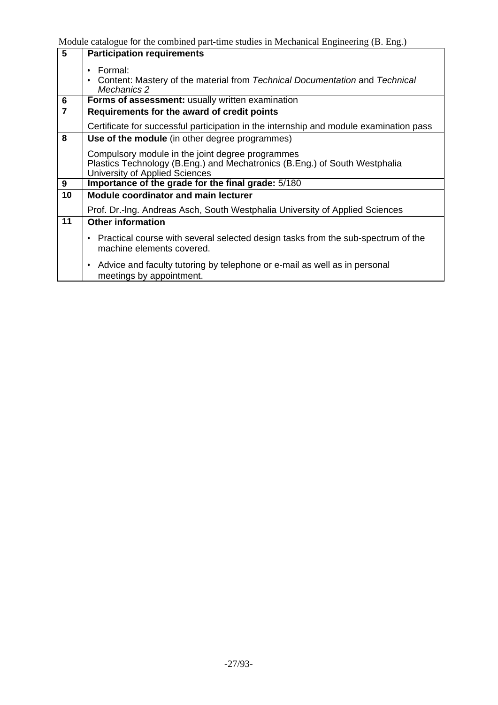| $\overline{5}$          | <b>Participation requirements</b>                                                                                                                                |
|-------------------------|------------------------------------------------------------------------------------------------------------------------------------------------------------------|
|                         | Formal:<br>Content: Mastery of the material from Technical Documentation and Technical<br>Mechanics 2                                                            |
| 6                       | Forms of assessment: usually written examination                                                                                                                 |
| $\overline{\mathbf{7}}$ | Requirements for the award of credit points                                                                                                                      |
|                         | Certificate for successful participation in the internship and module examination pass                                                                           |
| 8                       | Use of the module (in other degree programmes)                                                                                                                   |
|                         | Compulsory module in the joint degree programmes<br>Plastics Technology (B.Eng.) and Mechatronics (B.Eng.) of South Westphalia<br>University of Applied Sciences |
| 9                       | Importance of the grade for the final grade: 5/180                                                                                                               |
| 10                      | Module coordinator and main lecturer                                                                                                                             |
|                         | Prof. Dr.-Ing. Andreas Asch, South Westphalia University of Applied Sciences                                                                                     |
| 11                      | <b>Other information</b>                                                                                                                                         |
|                         | • Practical course with several selected design tasks from the sub-spectrum of the<br>machine elements covered.                                                  |
|                         | • Advice and faculty tutoring by telephone or e-mail as well as in personal<br>meetings by appointment.                                                          |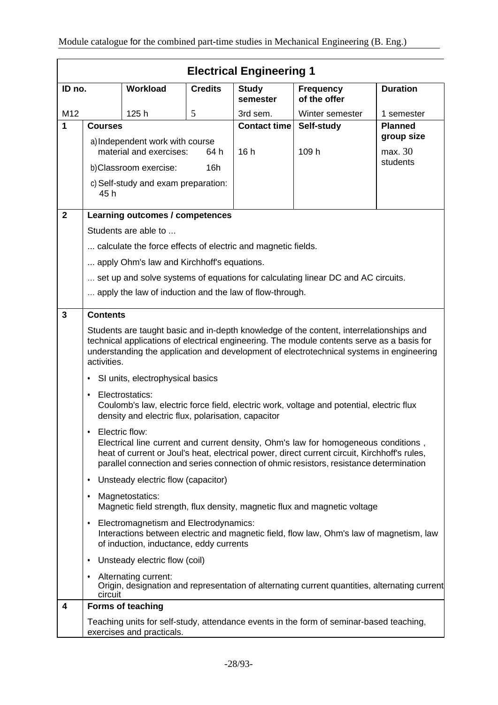|                | <b>Electrical Engineering 1</b>                                                                                                                                                                                                                                                                  |                                                                       |                |                          |                                                                                          |                     |  |
|----------------|--------------------------------------------------------------------------------------------------------------------------------------------------------------------------------------------------------------------------------------------------------------------------------------------------|-----------------------------------------------------------------------|----------------|--------------------------|------------------------------------------------------------------------------------------|---------------------|--|
| ID no.         |                                                                                                                                                                                                                                                                                                  | Workload                                                              | <b>Credits</b> | <b>Study</b><br>semester | <b>Frequency</b><br>of the offer                                                         | <b>Duration</b>     |  |
| M12            |                                                                                                                                                                                                                                                                                                  | 125h                                                                  | 5              | 3rd sem.                 | Winter semester                                                                          | 1 semester          |  |
| 1              | <b>Courses</b>                                                                                                                                                                                                                                                                                   |                                                                       |                | <b>Contact time</b>      | Self-study                                                                               | <b>Planned</b>      |  |
|                |                                                                                                                                                                                                                                                                                                  | a) Independent work with course                                       |                |                          |                                                                                          | group size          |  |
|                |                                                                                                                                                                                                                                                                                                  | material and exercises:                                               | 64 h           | 16h                      | 109 h                                                                                    | max. 30<br>students |  |
|                |                                                                                                                                                                                                                                                                                                  | b)Classroom exercise:                                                 | 16h            |                          |                                                                                          |                     |  |
|                | 45 h                                                                                                                                                                                                                                                                                             | c) Self-study and exam preparation:                                   |                |                          |                                                                                          |                     |  |
| $\overline{2}$ |                                                                                                                                                                                                                                                                                                  | Learning outcomes / competences                                       |                |                          |                                                                                          |                     |  |
|                |                                                                                                                                                                                                                                                                                                  | Students are able to                                                  |                |                          |                                                                                          |                     |  |
|                |                                                                                                                                                                                                                                                                                                  | calculate the force effects of electric and magnetic fields.          |                |                          |                                                                                          |                     |  |
|                |                                                                                                                                                                                                                                                                                                  | apply Ohm's law and Kirchhoff's equations.                            |                |                          |                                                                                          |                     |  |
|                |                                                                                                                                                                                                                                                                                                  |                                                                       |                |                          | set up and solve systems of equations for calculating linear DC and AC circuits.         |                     |  |
|                |                                                                                                                                                                                                                                                                                                  | apply the law of induction and the law of flow-through.               |                |                          |                                                                                          |                     |  |
|                |                                                                                                                                                                                                                                                                                                  |                                                                       |                |                          |                                                                                          |                     |  |
| 3              | <b>Contents</b>                                                                                                                                                                                                                                                                                  |                                                                       |                |                          |                                                                                          |                     |  |
|                | Students are taught basic and in-depth knowledge of the content, interrelationships and<br>technical applications of electrical engineering. The module contents serve as a basis for<br>understanding the application and development of electrotechnical systems in engineering<br>activities. |                                                                       |                |                          |                                                                                          |                     |  |
|                | ٠                                                                                                                                                                                                                                                                                                | SI units, electrophysical basics                                      |                |                          |                                                                                          |                     |  |
|                | $\bullet$                                                                                                                                                                                                                                                                                        | Electrostatics:<br>density and electric flux, polarisation, capacitor |                |                          | Coulomb's law, electric force field, electric work, voltage and potential, electric flux |                     |  |
|                | Electric flow:<br>Electrical line current and current density, Ohm's law for homogeneous conditions,<br>heat of current or Joul's heat, electrical power, direct current circuit, Kirchhoff's rules,<br>parallel connection and series connection of ohmic resistors, resistance determination   |                                                                       |                |                          |                                                                                          |                     |  |
|                | ٠                                                                                                                                                                                                                                                                                                | Unsteady electric flow (capacitor)                                    |                |                          |                                                                                          |                     |  |
|                | ٠                                                                                                                                                                                                                                                                                                | Magnetostatics:                                                       |                |                          | Magnetic field strength, flux density, magnetic flux and magnetic voltage                |                     |  |
|                | Electromagnetism and Electrodynamics:<br>٠<br>Interactions between electric and magnetic field, flow law, Ohm's law of magnetism, law<br>of induction, inductance, eddy currents                                                                                                                 |                                                                       |                |                          |                                                                                          |                     |  |
|                | ٠                                                                                                                                                                                                                                                                                                | Unsteady electric flow (coil)                                         |                |                          |                                                                                          |                     |  |
|                | Alternating current:<br>٠<br>Origin, designation and representation of alternating current quantities, alternating current<br>circuit                                                                                                                                                            |                                                                       |                |                          |                                                                                          |                     |  |
| 4              |                                                                                                                                                                                                                                                                                                  | Forms of teaching                                                     |                |                          |                                                                                          |                     |  |
|                |                                                                                                                                                                                                                                                                                                  | exercises and practicals.                                             |                |                          | Teaching units for self-study, attendance events in the form of seminar-based teaching,  |                     |  |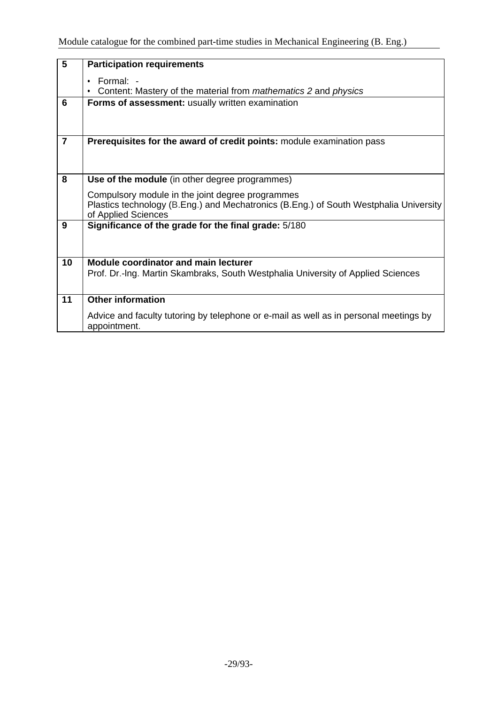| $\overline{\mathbf{5}}$ | <b>Participation requirements</b>                                                                                                                                |
|-------------------------|------------------------------------------------------------------------------------------------------------------------------------------------------------------|
|                         | $\cdot$ Formal: $\cdot$<br>Content: Mastery of the material from mathematics 2 and physics                                                                       |
| 6                       | Forms of assessment: usually written examination                                                                                                                 |
|                         |                                                                                                                                                                  |
| $\overline{7}$          | Prerequisites for the award of credit points: module examination pass                                                                                            |
|                         |                                                                                                                                                                  |
| 8                       | Use of the module (in other degree programmes)                                                                                                                   |
|                         | Compulsory module in the joint degree programmes<br>Plastics technology (B.Eng.) and Mechatronics (B.Eng.) of South Westphalia University<br>of Applied Sciences |
| 9                       | Significance of the grade for the final grade: 5/180                                                                                                             |
|                         |                                                                                                                                                                  |
| 10                      | <b>Module coordinator and main lecturer</b>                                                                                                                      |
|                         | Prof. Dr.-Ing. Martin Skambraks, South Westphalia University of Applied Sciences                                                                                 |
|                         |                                                                                                                                                                  |
| 11                      | <b>Other information</b>                                                                                                                                         |
|                         | Advice and faculty tutoring by telephone or e-mail as well as in personal meetings by<br>appointment.                                                            |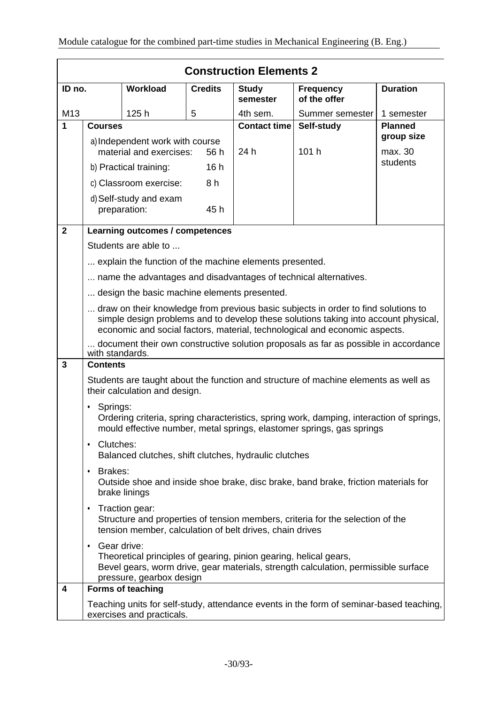|                | <b>Construction Elements 2</b>                                                                                                                                                                                  |                                                         |                |                          |                                                                                                                                                                                                                                                         |                     |  |  |
|----------------|-----------------------------------------------------------------------------------------------------------------------------------------------------------------------------------------------------------------|---------------------------------------------------------|----------------|--------------------------|---------------------------------------------------------------------------------------------------------------------------------------------------------------------------------------------------------------------------------------------------------|---------------------|--|--|
| ID no.         |                                                                                                                                                                                                                 | <b>Workload</b>                                         | <b>Credits</b> | <b>Study</b><br>semester | <b>Frequency</b><br>of the offer                                                                                                                                                                                                                        | <b>Duration</b>     |  |  |
| M13            |                                                                                                                                                                                                                 | 125h                                                    | 5              | 4th sem.                 | Summer semester                                                                                                                                                                                                                                         | 1 semester          |  |  |
| 1              | <b>Courses</b>                                                                                                                                                                                                  |                                                         |                | <b>Contact time</b>      | Self-study                                                                                                                                                                                                                                              | <b>Planned</b>      |  |  |
|                |                                                                                                                                                                                                                 | a) Independent work with course                         |                |                          |                                                                                                                                                                                                                                                         | group size          |  |  |
|                |                                                                                                                                                                                                                 | material and exercises:                                 | 56 h           | 24 h                     | 101 h                                                                                                                                                                                                                                                   | max. 30<br>students |  |  |
|                | 16h<br>b) Practical training:                                                                                                                                                                                   |                                                         |                |                          |                                                                                                                                                                                                                                                         |                     |  |  |
|                |                                                                                                                                                                                                                 | c) Classroom exercise:                                  | 8h             |                          |                                                                                                                                                                                                                                                         |                     |  |  |
|                |                                                                                                                                                                                                                 | d) Self-study and exam<br>preparation:                  | 45 h           |                          |                                                                                                                                                                                                                                                         |                     |  |  |
| $\overline{2}$ |                                                                                                                                                                                                                 | Learning outcomes / competences                         |                |                          |                                                                                                                                                                                                                                                         |                     |  |  |
|                |                                                                                                                                                                                                                 | Students are able to                                    |                |                          |                                                                                                                                                                                                                                                         |                     |  |  |
|                |                                                                                                                                                                                                                 | explain the function of the machine elements presented. |                |                          |                                                                                                                                                                                                                                                         |                     |  |  |
|                |                                                                                                                                                                                                                 |                                                         |                |                          | name the advantages and disadvantages of technical alternatives.                                                                                                                                                                                        |                     |  |  |
|                |                                                                                                                                                                                                                 | design the basic machine elements presented.            |                |                          |                                                                                                                                                                                                                                                         |                     |  |  |
|                |                                                                                                                                                                                                                 |                                                         |                |                          | draw on their knowledge from previous basic subjects in order to find solutions to<br>simple design problems and to develop these solutions taking into account physical,<br>economic and social factors, material, technological and economic aspects. |                     |  |  |
|                | with standards.                                                                                                                                                                                                 |                                                         |                |                          | document their own constructive solution proposals as far as possible in accordance                                                                                                                                                                     |                     |  |  |
| 3              | <b>Contents</b>                                                                                                                                                                                                 |                                                         |                |                          |                                                                                                                                                                                                                                                         |                     |  |  |
|                |                                                                                                                                                                                                                 | their calculation and design.                           |                |                          | Students are taught about the function and structure of machine elements as well as                                                                                                                                                                     |                     |  |  |
|                | Springs:                                                                                                                                                                                                        |                                                         |                |                          | Ordering criteria, spring characteristics, spring work, damping, interaction of springs,<br>mould effective number, metal springs, elastomer springs, gas springs                                                                                       |                     |  |  |
|                | Clutches:<br>٠                                                                                                                                                                                                  | Balanced clutches, shift clutches, hydraulic clutches   |                |                          |                                                                                                                                                                                                                                                         |                     |  |  |
|                | Brakes:<br>$\bullet$<br>Outside shoe and inside shoe brake, disc brake, band brake, friction materials for<br>brake linings                                                                                     |                                                         |                |                          |                                                                                                                                                                                                                                                         |                     |  |  |
|                | Traction gear:<br>٠<br>Structure and properties of tension members, criteria for the selection of the<br>tension member, calculation of belt drives, chain drives                                               |                                                         |                |                          |                                                                                                                                                                                                                                                         |                     |  |  |
|                | Gear drive:<br>$\bullet$<br>Theoretical principles of gearing, pinion gearing, helical gears,<br>Bevel gears, worm drive, gear materials, strength calculation, permissible surface<br>pressure, gearbox design |                                                         |                |                          |                                                                                                                                                                                                                                                         |                     |  |  |
| 4              |                                                                                                                                                                                                                 | Forms of teaching                                       |                |                          |                                                                                                                                                                                                                                                         |                     |  |  |
|                |                                                                                                                                                                                                                 | exercises and practicals.                               |                |                          | Teaching units for self-study, attendance events in the form of seminar-based teaching,                                                                                                                                                                 |                     |  |  |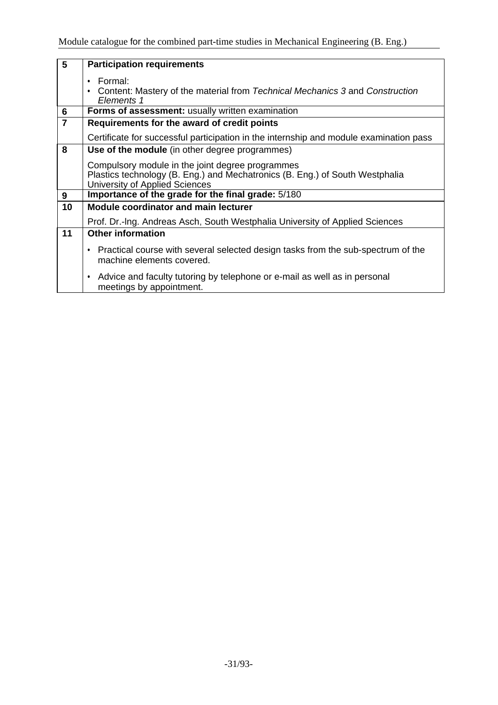| $\overline{\mathbf{5}}$ | <b>Participation requirements</b>                                                                                                                                  |
|-------------------------|--------------------------------------------------------------------------------------------------------------------------------------------------------------------|
|                         | Formal:<br>٠<br>Content: Mastery of the material from Technical Mechanics 3 and Construction<br>٠<br>Elements 1                                                    |
| $6\phantom{1}$          | <b>Forms of assessment: usually written examination</b>                                                                                                            |
| $\overline{7}$          | Requirements for the award of credit points                                                                                                                        |
|                         | Certificate for successful participation in the internship and module examination pass                                                                             |
| 8                       | Use of the module (in other degree programmes)                                                                                                                     |
|                         | Compulsory module in the joint degree programmes<br>Plastics technology (B. Eng.) and Mechatronics (B. Eng.) of South Westphalia<br>University of Applied Sciences |
| 9                       | Importance of the grade for the final grade: 5/180                                                                                                                 |
| 10                      | Module coordinator and main lecturer                                                                                                                               |
|                         | Prof. Dr.-Ing. Andreas Asch, South Westphalia University of Applied Sciences                                                                                       |
| 11                      | <b>Other information</b>                                                                                                                                           |
|                         | Practical course with several selected design tasks from the sub-spectrum of the<br>$\bullet$<br>machine elements covered.                                         |
|                         | Advice and faculty tutoring by telephone or e-mail as well as in personal<br>$\bullet$<br>meetings by appointment.                                                 |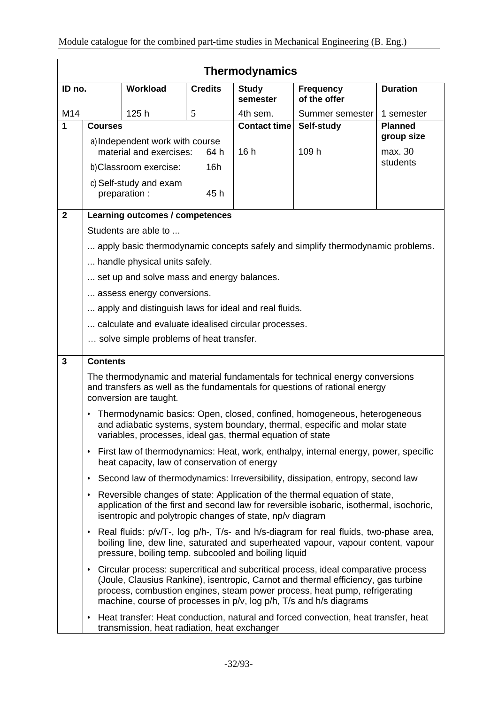|                | <b>Thermodynamics</b>                                                                                                                                                                                                                                                                                                         |                                                            |                |                          |                                                                                                                                                            |                 |  |
|----------------|-------------------------------------------------------------------------------------------------------------------------------------------------------------------------------------------------------------------------------------------------------------------------------------------------------------------------------|------------------------------------------------------------|----------------|--------------------------|------------------------------------------------------------------------------------------------------------------------------------------------------------|-----------------|--|
| ID no.         |                                                                                                                                                                                                                                                                                                                               | <b>Workload</b>                                            | <b>Credits</b> | <b>Study</b><br>semester | <b>Frequency</b><br>of the offer                                                                                                                           | <b>Duration</b> |  |
| M14            |                                                                                                                                                                                                                                                                                                                               | 125h                                                       | 5              | 4th sem.                 | Summer semester                                                                                                                                            | 1 semester      |  |
| 1              | <b>Courses</b>                                                                                                                                                                                                                                                                                                                |                                                            |                | <b>Contact time</b>      | Self-study                                                                                                                                                 | <b>Planned</b>  |  |
|                |                                                                                                                                                                                                                                                                                                                               | a) Independent work with course                            |                |                          |                                                                                                                                                            | group size      |  |
|                | material and exercises:<br>64 h                                                                                                                                                                                                                                                                                               |                                                            | 16h            | 109 h                    | max. 30<br>students                                                                                                                                        |                 |  |
|                |                                                                                                                                                                                                                                                                                                                               | b)Classroom exercise:                                      | 16h            |                          |                                                                                                                                                            |                 |  |
|                |                                                                                                                                                                                                                                                                                                                               | c) Self-study and exam<br>preparation :                    | 45h            |                          |                                                                                                                                                            |                 |  |
| $\overline{2}$ |                                                                                                                                                                                                                                                                                                                               | Learning outcomes / competences                            |                |                          |                                                                                                                                                            |                 |  |
|                |                                                                                                                                                                                                                                                                                                                               | Students are able to                                       |                |                          |                                                                                                                                                            |                 |  |
|                |                                                                                                                                                                                                                                                                                                                               |                                                            |                |                          | apply basic thermodynamic concepts safely and simplify thermodynamic problems.                                                                             |                 |  |
|                |                                                                                                                                                                                                                                                                                                                               | handle physical units safely.                              |                |                          |                                                                                                                                                            |                 |  |
|                |                                                                                                                                                                                                                                                                                                                               | set up and solve mass and energy balances.                 |                |                          |                                                                                                                                                            |                 |  |
|                |                                                                                                                                                                                                                                                                                                                               | assess energy conversions.                                 |                |                          |                                                                                                                                                            |                 |  |
|                |                                                                                                                                                                                                                                                                                                                               | apply and distinguish laws for ideal and real fluids.      |                |                          |                                                                                                                                                            |                 |  |
|                |                                                                                                                                                                                                                                                                                                                               | calculate and evaluate idealised circular processes.       |                |                          |                                                                                                                                                            |                 |  |
|                |                                                                                                                                                                                                                                                                                                                               | solve simple problems of heat transfer.                    |                |                          |                                                                                                                                                            |                 |  |
| $\overline{3}$ | <b>Contents</b>                                                                                                                                                                                                                                                                                                               |                                                            |                |                          |                                                                                                                                                            |                 |  |
|                |                                                                                                                                                                                                                                                                                                                               | conversion are taught.                                     |                |                          | The thermodynamic and material fundamentals for technical energy conversions<br>and transfers as well as the fundamentals for questions of rational energy |                 |  |
|                | $\bullet$                                                                                                                                                                                                                                                                                                                     | variables, processes, ideal gas, thermal equation of state |                |                          | Thermodynamic basics: Open, closed, confined, homogeneous, heterogeneous<br>and adiabatic systems, system boundary, thermal, especific and molar state     |                 |  |
|                | ٠                                                                                                                                                                                                                                                                                                                             | heat capacity, law of conservation of energy               |                |                          | First law of thermodynamics: Heat, work, enthalpy, internal energy, power, specific                                                                        |                 |  |
|                | ٠                                                                                                                                                                                                                                                                                                                             |                                                            |                |                          | Second law of thermodynamics: Irreversibility, dissipation, entropy, second law                                                                            |                 |  |
|                | Reversible changes of state: Application of the thermal equation of state,<br>٠<br>application of the first and second law for reversible isobaric, isothermal, isochoric,<br>isentropic and polytropic changes of state, np/v diagram                                                                                        |                                                            |                |                          |                                                                                                                                                            |                 |  |
|                | Real fluids: p/v/T-, log p/h-, T/s- and h/s-diagram for real fluids, two-phase area,<br>٠<br>boiling line, dew line, saturated and superheated vapour, vapour content, vapour<br>pressure, boiling temp. subcooled and boiling liquid                                                                                         |                                                            |                |                          |                                                                                                                                                            |                 |  |
|                | • Circular process: supercritical and subcritical process, ideal comparative process<br>(Joule, Clausius Rankine), isentropic, Carnot and thermal efficiency, gas turbine<br>process, combustion engines, steam power process, heat pump, refrigerating<br>machine, course of processes in p/v, log p/h, T/s and h/s diagrams |                                                            |                |                          |                                                                                                                                                            |                 |  |
|                | ٠                                                                                                                                                                                                                                                                                                                             | transmission, heat radiation, heat exchanger               |                |                          | Heat transfer: Heat conduction, natural and forced convection, heat transfer, heat                                                                         |                 |  |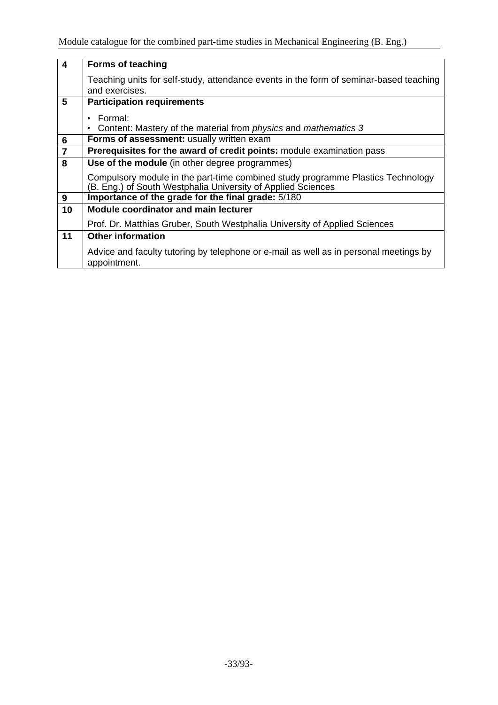| $\overline{4}$                     | <b>Forms of teaching</b>                                                                                                                        |
|------------------------------------|-------------------------------------------------------------------------------------------------------------------------------------------------|
|                                    | Teaching units for self-study, attendance events in the form of seminar-based teaching<br>and exercises.                                        |
| 5                                  | <b>Participation requirements</b>                                                                                                               |
|                                    | Formal:                                                                                                                                         |
|                                    | Content: Mastery of the material from <i>physics</i> and <i>mathematics</i> 3                                                                   |
| $\bf 6$                            | Forms of assessment: usually written exam                                                                                                       |
| $\overline{\mathbf{7}}$            | Prerequisites for the award of credit points: module examination pass                                                                           |
| $\overline{\overline{\mathbf{8}}}$ | <b>Use of the module</b> (in other degree programmes)                                                                                           |
|                                    | Compulsory module in the part-time combined study programme Plastics Technology<br>(B. Eng.) of South Westphalia University of Applied Sciences |
| 9                                  | Importance of the grade for the final grade: 5/180                                                                                              |
| 10                                 | <b>Module coordinator and main lecturer</b>                                                                                                     |
|                                    | Prof. Dr. Matthias Gruber, South Westphalia University of Applied Sciences                                                                      |
| 11                                 | <b>Other information</b>                                                                                                                        |
|                                    | Advice and faculty tutoring by telephone or e-mail as well as in personal meetings by<br>appointment.                                           |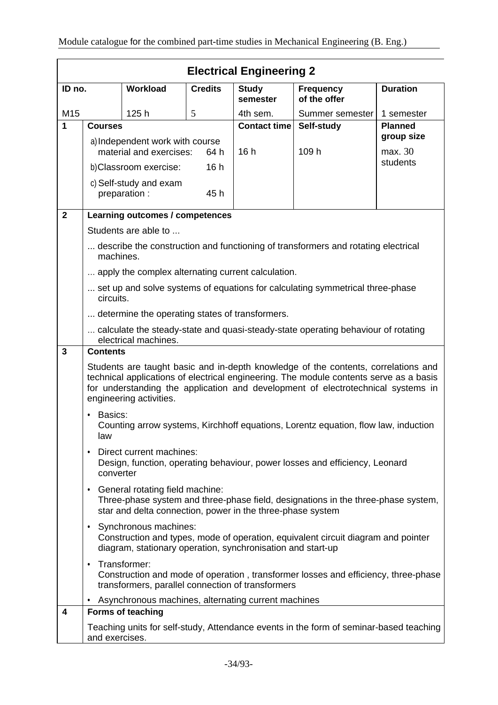|                | <b>Electrical Engineering 2</b>                                                                                                                                                                 |                                                            |                     |                          |                                                                                                                                                                                                                                                                  |                 |  |
|----------------|-------------------------------------------------------------------------------------------------------------------------------------------------------------------------------------------------|------------------------------------------------------------|---------------------|--------------------------|------------------------------------------------------------------------------------------------------------------------------------------------------------------------------------------------------------------------------------------------------------------|-----------------|--|
| ID no.         |                                                                                                                                                                                                 | Workload                                                   | <b>Credits</b>      | <b>Study</b><br>semester | <b>Frequency</b><br>of the offer                                                                                                                                                                                                                                 | <b>Duration</b> |  |
| M15            |                                                                                                                                                                                                 | 125h                                                       | 5                   | 4th sem.                 | Summer semester                                                                                                                                                                                                                                                  | 1 semester      |  |
| 1              | <b>Courses</b>                                                                                                                                                                                  |                                                            | <b>Contact time</b> | Self-study               | <b>Planned</b><br>group size                                                                                                                                                                                                                                     |                 |  |
|                |                                                                                                                                                                                                 | a) Independent work with course<br>material and exercises: | 64 h                | 16h                      | 109 h                                                                                                                                                                                                                                                            | max. 30         |  |
|                |                                                                                                                                                                                                 | b) Classroom exercise:                                     | 16h                 |                          |                                                                                                                                                                                                                                                                  | students        |  |
|                |                                                                                                                                                                                                 | c) Self-study and exam<br>preparation :                    | 45h                 |                          |                                                                                                                                                                                                                                                                  |                 |  |
| $\overline{2}$ |                                                                                                                                                                                                 | Learning outcomes / competences                            |                     |                          |                                                                                                                                                                                                                                                                  |                 |  |
|                |                                                                                                                                                                                                 | Students are able to                                       |                     |                          |                                                                                                                                                                                                                                                                  |                 |  |
|                | machines.                                                                                                                                                                                       |                                                            |                     |                          | describe the construction and functioning of transformers and rotating electrical                                                                                                                                                                                |                 |  |
|                |                                                                                                                                                                                                 | apply the complex alternating current calculation.         |                     |                          |                                                                                                                                                                                                                                                                  |                 |  |
|                | circuits.                                                                                                                                                                                       |                                                            |                     |                          | set up and solve systems of equations for calculating symmetrical three-phase                                                                                                                                                                                    |                 |  |
|                |                                                                                                                                                                                                 | determine the operating states of transformers.            |                     |                          |                                                                                                                                                                                                                                                                  |                 |  |
|                |                                                                                                                                                                                                 | electrical machines.                                       |                     |                          | calculate the steady-state and quasi-steady-state operating behaviour of rotating                                                                                                                                                                                |                 |  |
| $\mathbf{3}$   | <b>Contents</b>                                                                                                                                                                                 |                                                            |                     |                          |                                                                                                                                                                                                                                                                  |                 |  |
|                |                                                                                                                                                                                                 | engineering activities.                                    |                     |                          | Students are taught basic and in-depth knowledge of the contents, correlations and<br>technical applications of electrical engineering. The module contents serve as a basis<br>for understanding the application and development of electrotechnical systems in |                 |  |
|                | Basics:<br>٠<br>law                                                                                                                                                                             |                                                            |                     |                          | Counting arrow systems, Kirchhoff equations, Lorentz equation, flow law, induction                                                                                                                                                                               |                 |  |
|                | ٠<br>converter                                                                                                                                                                                  | Direct current machines:                                   |                     |                          | Design, function, operating behaviour, power losses and efficiency, Leonard                                                                                                                                                                                      |                 |  |
|                | General rotating field machine:<br>$\bullet$<br>Three-phase system and three-phase field, designations in the three-phase system,<br>star and delta connection, power in the three-phase system |                                                            |                     |                          |                                                                                                                                                                                                                                                                  |                 |  |
|                | Synchronous machines:<br>$\bullet$<br>Construction and types, mode of operation, equivalent circuit diagram and pointer<br>diagram, stationary operation, synchronisation and start-up          |                                                            |                     |                          |                                                                                                                                                                                                                                                                  |                 |  |
|                | Transformer:<br>$\bullet$<br>Construction and mode of operation, transformer losses and efficiency, three-phase<br>transformers, parallel connection of transformers                            |                                                            |                     |                          |                                                                                                                                                                                                                                                                  |                 |  |
|                |                                                                                                                                                                                                 | Asynchronous machines, alternating current machines        |                     |                          |                                                                                                                                                                                                                                                                  |                 |  |
| 4              |                                                                                                                                                                                                 | <b>Forms of teaching</b>                                   |                     |                          |                                                                                                                                                                                                                                                                  |                 |  |
|                | and exercises.                                                                                                                                                                                  |                                                            |                     |                          | Teaching units for self-study, Attendance events in the form of seminar-based teaching                                                                                                                                                                           |                 |  |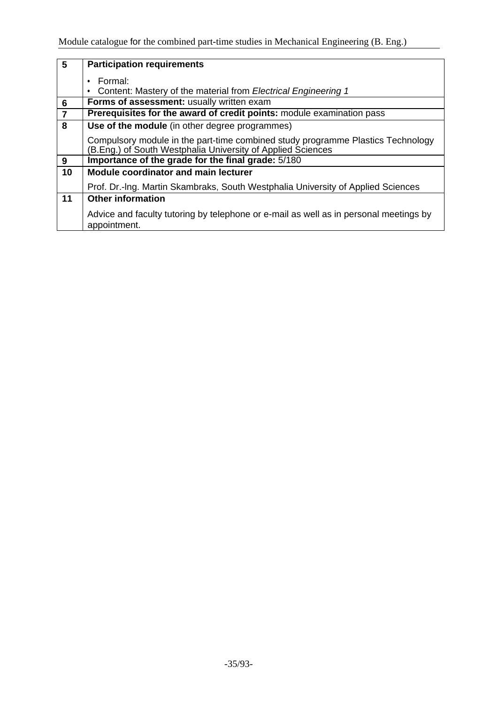| $\overline{5}$ | <b>Participation requirements</b>                                                                                                              |  |  |  |  |  |  |
|----------------|------------------------------------------------------------------------------------------------------------------------------------------------|--|--|--|--|--|--|
|                | Formal:                                                                                                                                        |  |  |  |  |  |  |
|                | Content: Mastery of the material from Electrical Engineering 1<br>٠                                                                            |  |  |  |  |  |  |
| 6              | Forms of assessment: usually written exam                                                                                                      |  |  |  |  |  |  |
| $\overline{7}$ | Prerequisites for the award of credit points: module examination pass                                                                          |  |  |  |  |  |  |
| $\overline{8}$ | Use of the module (in other degree programmes)                                                                                                 |  |  |  |  |  |  |
|                | Compulsory module in the part-time combined study programme Plastics Technology<br>(B.Eng.) of South Westphalia University of Applied Sciences |  |  |  |  |  |  |
| 9              | Importance of the grade for the final grade: 5/180                                                                                             |  |  |  |  |  |  |
| 10             | Module coordinator and main lecturer                                                                                                           |  |  |  |  |  |  |
|                | Prof. Dr.-Ing. Martin Skambraks, South Westphalia University of Applied Sciences                                                               |  |  |  |  |  |  |
| 11             | <b>Other information</b>                                                                                                                       |  |  |  |  |  |  |
|                | Advice and faculty tutoring by telephone or e-mail as well as in personal meetings by<br>appointment.                                          |  |  |  |  |  |  |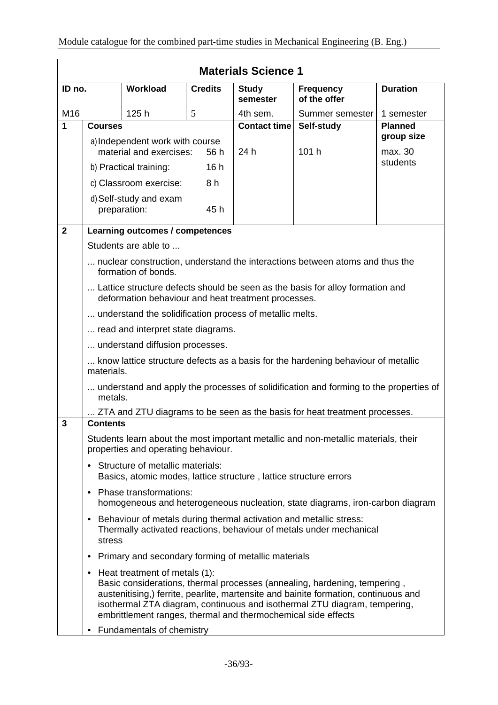| <b>Materials Science 1</b> |                                                                                                                                                                                                                                                                                                                                                                                                |                                        |                |                          |                                  |                 |  |  |
|----------------------------|------------------------------------------------------------------------------------------------------------------------------------------------------------------------------------------------------------------------------------------------------------------------------------------------------------------------------------------------------------------------------------------------|----------------------------------------|----------------|--------------------------|----------------------------------|-----------------|--|--|
| ID no.                     |                                                                                                                                                                                                                                                                                                                                                                                                | <b>Workload</b>                        | <b>Credits</b> | <b>Study</b><br>semester | <b>Frequency</b><br>of the offer | <b>Duration</b> |  |  |
| M16                        |                                                                                                                                                                                                                                                                                                                                                                                                | 125h                                   | 5              | 4th sem.                 | Summer semester                  | 1 semester      |  |  |
| $\blacktriangleleft$       | <b>Courses</b>                                                                                                                                                                                                                                                                                                                                                                                 |                                        |                | Contact time             | Self-study                       | <b>Planned</b>  |  |  |
|                            | a) Independent work with course                                                                                                                                                                                                                                                                                                                                                                |                                        |                |                          |                                  | group size      |  |  |
|                            | material and exercises:<br>56 h                                                                                                                                                                                                                                                                                                                                                                |                                        | 101 h<br>24 h  |                          | max. 30<br>students              |                 |  |  |
|                            | 16h<br>b) Practical training:                                                                                                                                                                                                                                                                                                                                                                  |                                        |                |                          |                                  |                 |  |  |
|                            | 8 h<br>c) Classroom exercise:                                                                                                                                                                                                                                                                                                                                                                  |                                        |                |                          |                                  |                 |  |  |
|                            |                                                                                                                                                                                                                                                                                                                                                                                                | d) Self-study and exam<br>preparation: | 45 h           |                          |                                  |                 |  |  |
| $\overline{2}$             | Learning outcomes / competences                                                                                                                                                                                                                                                                                                                                                                |                                        |                |                          |                                  |                 |  |  |
|                            |                                                                                                                                                                                                                                                                                                                                                                                                | Students are able to                   |                |                          |                                  |                 |  |  |
|                            | nuclear construction, understand the interactions between atoms and thus the<br>formation of bonds.                                                                                                                                                                                                                                                                                            |                                        |                |                          |                                  |                 |  |  |
|                            | Lattice structure defects should be seen as the basis for alloy formation and<br>deformation behaviour and heat treatment processes.                                                                                                                                                                                                                                                           |                                        |                |                          |                                  |                 |  |  |
|                            | understand the solidification process of metallic melts.                                                                                                                                                                                                                                                                                                                                       |                                        |                |                          |                                  |                 |  |  |
|                            | read and interpret state diagrams.                                                                                                                                                                                                                                                                                                                                                             |                                        |                |                          |                                  |                 |  |  |
|                            | understand diffusion processes.                                                                                                                                                                                                                                                                                                                                                                |                                        |                |                          |                                  |                 |  |  |
|                            | know lattice structure defects as a basis for the hardening behaviour of metallic<br>materials.                                                                                                                                                                                                                                                                                                |                                        |                |                          |                                  |                 |  |  |
|                            | understand and apply the processes of solidification and forming to the properties of<br>metals.                                                                                                                                                                                                                                                                                               |                                        |                |                          |                                  |                 |  |  |
|                            | ZTA and ZTU diagrams to be seen as the basis for heat treatment processes.                                                                                                                                                                                                                                                                                                                     |                                        |                |                          |                                  |                 |  |  |
| 3                          | <b>Contents</b>                                                                                                                                                                                                                                                                                                                                                                                |                                        |                |                          |                                  |                 |  |  |
|                            | Students learn about the most important metallic and non-metallic materials, their<br>properties and operating behaviour.                                                                                                                                                                                                                                                                      |                                        |                |                          |                                  |                 |  |  |
|                            | Structure of metallic materials:<br>٠<br>Basics, atomic modes, lattice structure, lattice structure errors                                                                                                                                                                                                                                                                                     |                                        |                |                          |                                  |                 |  |  |
|                            | Phase transformations:<br>$\bullet$<br>homogeneous and heterogeneous nucleation, state diagrams, iron-carbon diagram                                                                                                                                                                                                                                                                           |                                        |                |                          |                                  |                 |  |  |
|                            | Behaviour of metals during thermal activation and metallic stress:<br>٠<br>Thermally activated reactions, behaviour of metals under mechanical<br>stress                                                                                                                                                                                                                                       |                                        |                |                          |                                  |                 |  |  |
|                            | Primary and secondary forming of metallic materials<br>$\bullet$                                                                                                                                                                                                                                                                                                                               |                                        |                |                          |                                  |                 |  |  |
|                            | Heat treatment of metals (1):<br>$\bullet$<br>Basic considerations, thermal processes (annealing, hardening, tempering,<br>austenitising,) ferrite, pearlite, martensite and bainite formation, continuous and<br>isothermal ZTA diagram, continuous and isothermal ZTU diagram, tempering,<br>embrittlement ranges, thermal and thermochemical side effects<br>Fundamentals of chemistry<br>٠ |                                        |                |                          |                                  |                 |  |  |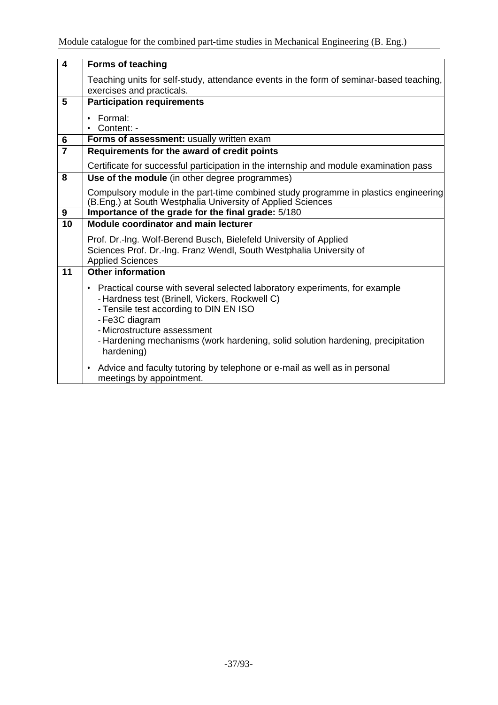| $\overline{\mathbf{4}}$ | <b>Forms of teaching</b>                                                                                                                                                                                                                                                                                                   |
|-------------------------|----------------------------------------------------------------------------------------------------------------------------------------------------------------------------------------------------------------------------------------------------------------------------------------------------------------------------|
|                         | Teaching units for self-study, attendance events in the form of seminar-based teaching,<br>exercises and practicals.                                                                                                                                                                                                       |
| 5                       | <b>Participation requirements</b>                                                                                                                                                                                                                                                                                          |
|                         | Formal:<br>$\bullet$<br>• Content: -                                                                                                                                                                                                                                                                                       |
| $\bf 6$                 | Forms of assessment: usually written exam                                                                                                                                                                                                                                                                                  |
| $\overline{7}$          | Requirements for the award of credit points                                                                                                                                                                                                                                                                                |
|                         | Certificate for successful participation in the internship and module examination pass                                                                                                                                                                                                                                     |
| 8                       | Use of the module (in other degree programmes)                                                                                                                                                                                                                                                                             |
|                         | Compulsory module in the part-time combined study programme in plastics engineering<br>(B.Eng.) at South Westphalia University of Applied Sciences                                                                                                                                                                         |
| 9                       | Importance of the grade for the final grade: 5/180                                                                                                                                                                                                                                                                         |
| 10                      | Module coordinator and main lecturer                                                                                                                                                                                                                                                                                       |
|                         | Prof. Dr.-Ing. Wolf-Berend Busch, Bielefeld University of Applied<br>Sciences Prof. Dr.-Ing. Franz Wendl, South Westphalia University of<br><b>Applied Sciences</b>                                                                                                                                                        |
| 11                      | <b>Other information</b>                                                                                                                                                                                                                                                                                                   |
|                         | • Practical course with several selected laboratory experiments, for example<br>- Hardness test (Brinell, Vickers, Rockwell C)<br>- Tensile test according to DIN EN ISO<br>- Fe3C diagram<br>- Microstructure assessment<br>- Hardening mechanisms (work hardening, solid solution hardening, precipitation<br>hardening) |
|                         | Advice and faculty tutoring by telephone or e-mail as well as in personal<br>$\bullet$<br>meetings by appointment.                                                                                                                                                                                                         |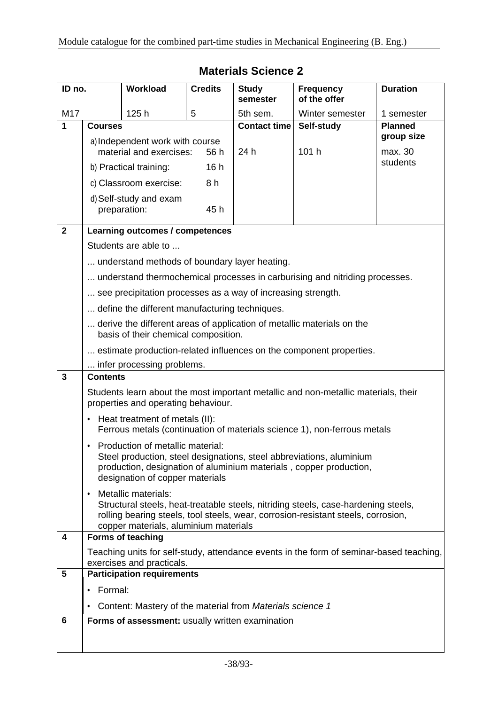|              | <b>Materials Science 2</b>                                                                                                                                                                                                                           |                                                                |                |                          |                                                                             |                 |
|--------------|------------------------------------------------------------------------------------------------------------------------------------------------------------------------------------------------------------------------------------------------------|----------------------------------------------------------------|----------------|--------------------------|-----------------------------------------------------------------------------|-----------------|
| ID no.       |                                                                                                                                                                                                                                                      | Workload                                                       | <b>Credits</b> | <b>Study</b><br>semester | <b>Frequency</b><br>of the offer                                            | <b>Duration</b> |
| M17          | 125h<br>5                                                                                                                                                                                                                                            |                                                                | 5th sem.       | Winter semester          | 1 semester                                                                  |                 |
| 1            | <b>Courses</b>                                                                                                                                                                                                                                       |                                                                |                | <b>Contact time</b>      | Self-study                                                                  | <b>Planned</b>  |
|              |                                                                                                                                                                                                                                                      | a) Independent work with course                                |                |                          |                                                                             | group size      |
|              | material and exercises:<br>56 h                                                                                                                                                                                                                      |                                                                |                | 24 h                     | 101 h                                                                       | max. 30         |
|              |                                                                                                                                                                                                                                                      | b) Practical training:                                         | 16h            |                          |                                                                             | students        |
|              |                                                                                                                                                                                                                                                      | c) Classroom exercise:                                         | 8 h            |                          |                                                                             |                 |
|              |                                                                                                                                                                                                                                                      | d) Self-study and exam<br>preparation:                         | 45 h           |                          |                                                                             |                 |
| $\mathbf{2}$ |                                                                                                                                                                                                                                                      | Learning outcomes / competences                                |                |                          |                                                                             |                 |
|              |                                                                                                                                                                                                                                                      | Students are able to                                           |                |                          |                                                                             |                 |
|              |                                                                                                                                                                                                                                                      | understand methods of boundary layer heating.                  |                |                          |                                                                             |                 |
|              |                                                                                                                                                                                                                                                      |                                                                |                |                          | understand thermochemical processes in carburising and nitriding processes. |                 |
|              |                                                                                                                                                                                                                                                      | see precipitation processes as a way of increasing strength.   |                |                          |                                                                             |                 |
|              |                                                                                                                                                                                                                                                      | define the different manufacturing techniques.                 |                |                          |                                                                             |                 |
|              |                                                                                                                                                                                                                                                      | basis of their chemical composition.                           |                |                          | derive the different areas of application of metallic materials on the      |                 |
|              |                                                                                                                                                                                                                                                      |                                                                |                |                          | estimate production-related influences on the component properties.         |                 |
|              | infer processing problems.                                                                                                                                                                                                                           |                                                                |                |                          |                                                                             |                 |
| 3            | <b>Contents</b>                                                                                                                                                                                                                                      |                                                                |                |                          |                                                                             |                 |
|              | Students learn about the most important metallic and non-metallic materials, their<br>properties and operating behaviour.                                                                                                                            |                                                                |                |                          |                                                                             |                 |
|              | Heat treatment of metals (II):<br>٠<br>Ferrous metals (continuation of materials science 1), non-ferrous metals                                                                                                                                      |                                                                |                |                          |                                                                             |                 |
|              | Production of metallic material:<br>٠<br>Steel production, steel designations, steel abbreviations, aluminium<br>production, designation of aluminium materials, copper production,<br>designation of copper materials                               |                                                                |                |                          |                                                                             |                 |
|              | Metallic materials:<br>$\bullet$<br>Structural steels, heat-treatable steels, nitriding steels, case-hardening steels,<br>rolling bearing steels, tool steels, wear, corrosion-resistant steels, corrosion,<br>copper materials, aluminium materials |                                                                |                |                          |                                                                             |                 |
| 4            |                                                                                                                                                                                                                                                      | <b>Forms of teaching</b>                                       |                |                          |                                                                             |                 |
|              | Teaching units for self-study, attendance events in the form of seminar-based teaching,                                                                                                                                                              |                                                                |                |                          |                                                                             |                 |
| 5            |                                                                                                                                                                                                                                                      | exercises and practicals.<br><b>Participation requirements</b> |                |                          |                                                                             |                 |
|              | Formal:<br>٠                                                                                                                                                                                                                                         |                                                                |                |                          |                                                                             |                 |
|              |                                                                                                                                                                                                                                                      | Content: Mastery of the material from Materials science 1      |                |                          |                                                                             |                 |
| 6            |                                                                                                                                                                                                                                                      | Forms of assessment: usually written examination               |                |                          |                                                                             |                 |
|              |                                                                                                                                                                                                                                                      |                                                                |                |                          |                                                                             |                 |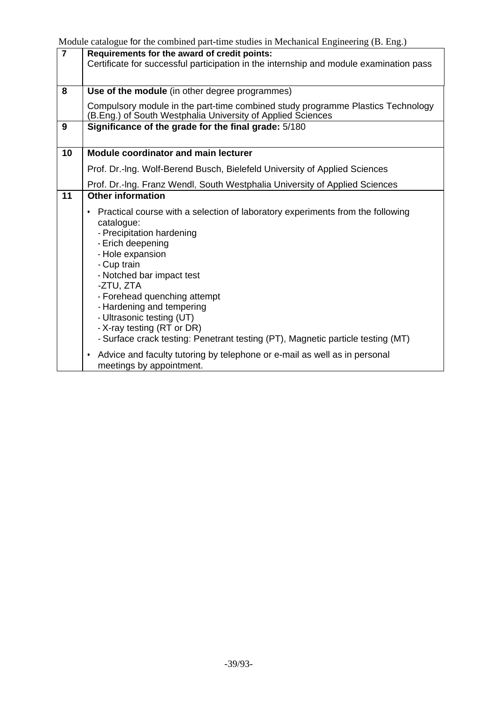|                | <i>יסיים י</i> די סי                                                                                                                                                                                                                                                                                                                                                                                                                                                                                                                                              |
|----------------|-------------------------------------------------------------------------------------------------------------------------------------------------------------------------------------------------------------------------------------------------------------------------------------------------------------------------------------------------------------------------------------------------------------------------------------------------------------------------------------------------------------------------------------------------------------------|
| $\overline{7}$ | Requirements for the award of credit points:<br>Certificate for successful participation in the internship and module examination pass                                                                                                                                                                                                                                                                                                                                                                                                                            |
|                |                                                                                                                                                                                                                                                                                                                                                                                                                                                                                                                                                                   |
| 8              | Use of the module (in other degree programmes)                                                                                                                                                                                                                                                                                                                                                                                                                                                                                                                    |
|                | Compulsory module in the part-time combined study programme Plastics Technology<br>(B.Eng.) of South Westphalia University of Applied Sciences                                                                                                                                                                                                                                                                                                                                                                                                                    |
| 9              | Significance of the grade for the final grade: 5/180                                                                                                                                                                                                                                                                                                                                                                                                                                                                                                              |
|                |                                                                                                                                                                                                                                                                                                                                                                                                                                                                                                                                                                   |
| 10             | <b>Module coordinator and main lecturer</b>                                                                                                                                                                                                                                                                                                                                                                                                                                                                                                                       |
|                |                                                                                                                                                                                                                                                                                                                                                                                                                                                                                                                                                                   |
|                | Prof. Dr.-Ing. Wolf-Berend Busch, Bielefeld University of Applied Sciences                                                                                                                                                                                                                                                                                                                                                                                                                                                                                        |
|                | Prof. Dr.-Ing. Franz Wendl, South Westphalia University of Applied Sciences                                                                                                                                                                                                                                                                                                                                                                                                                                                                                       |
| 11             | <b>Other information</b>                                                                                                                                                                                                                                                                                                                                                                                                                                                                                                                                          |
|                | Practical course with a selection of laboratory experiments from the following<br>$\bullet$<br>catalogue:<br>- Precipitation hardening<br>- Erich deepening<br>- Hole expansion<br>- Cup train<br>- Notched bar impact test<br>-ZTU, ZTA<br>- Forehead quenching attempt<br>- Hardening and tempering<br>- Ultrasonic testing (UT)<br>- X-ray testing (RT or DR)<br>- Surface crack testing: Penetrant testing (PT), Magnetic particle testing (MT)<br>Advice and faculty tutoring by telephone or e-mail as well as in personal<br>٠<br>meetings by appointment. |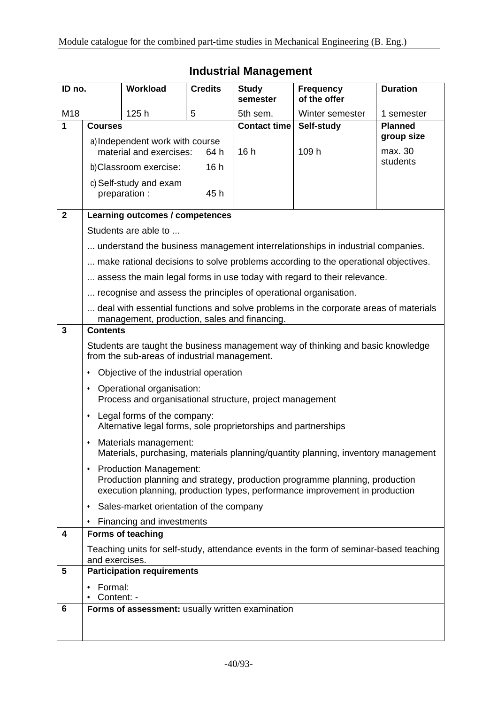|                | <b>Industrial Management</b>                                                                                                                                                                             |                                                                                               |                |                          |                                                                                        |                              |
|----------------|----------------------------------------------------------------------------------------------------------------------------------------------------------------------------------------------------------|-----------------------------------------------------------------------------------------------|----------------|--------------------------|----------------------------------------------------------------------------------------|------------------------------|
| ID no.         |                                                                                                                                                                                                          | Workload                                                                                      | <b>Credits</b> | <b>Study</b><br>semester | <b>Frequency</b><br>of the offer                                                       | <b>Duration</b>              |
| M18            |                                                                                                                                                                                                          | 125h                                                                                          | 5              | 5th sem.                 | Winter semester                                                                        | 1 semester                   |
| 1              | <b>Courses</b>                                                                                                                                                                                           |                                                                                               |                | <b>Contact time</b>      | Self-study                                                                             | <b>Planned</b><br>group size |
|                |                                                                                                                                                                                                          | a) Independent work with course                                                               |                |                          |                                                                                        |                              |
|                |                                                                                                                                                                                                          | material and exercises:                                                                       | 64 h           | 16h                      | 109 h                                                                                  | max. 30<br>students          |
|                |                                                                                                                                                                                                          | b)Classroom exercise:                                                                         | 16h            |                          |                                                                                        |                              |
|                |                                                                                                                                                                                                          | c) Self-study and exam<br>preparation :                                                       | 45 h           |                          |                                                                                        |                              |
| $\overline{2}$ |                                                                                                                                                                                                          | Learning outcomes / competences                                                               |                |                          |                                                                                        |                              |
|                |                                                                                                                                                                                                          | Students are able to                                                                          |                |                          |                                                                                        |                              |
|                |                                                                                                                                                                                                          |                                                                                               |                |                          | understand the business management interrelationships in industrial companies.         |                              |
|                |                                                                                                                                                                                                          |                                                                                               |                |                          | make rational decisions to solve problems according to the operational objectives.     |                              |
|                |                                                                                                                                                                                                          |                                                                                               |                |                          | assess the main legal forms in use today with regard to their relevance.               |                              |
|                |                                                                                                                                                                                                          | recognise and assess the principles of operational organisation.                              |                |                          |                                                                                        |                              |
|                |                                                                                                                                                                                                          | management, production, sales and financing.                                                  |                |                          | deal with essential functions and solve problems in the corporate areas of materials   |                              |
| $\mathbf{3}$   | <b>Contents</b>                                                                                                                                                                                          |                                                                                               |                |                          |                                                                                        |                              |
|                |                                                                                                                                                                                                          | from the sub-areas of industrial management.                                                  |                |                          | Students are taught the business management way of thinking and basic knowledge        |                              |
|                | ٠                                                                                                                                                                                                        | Objective of the industrial operation                                                         |                |                          |                                                                                        |                              |
|                | $\bullet$                                                                                                                                                                                                | Operational organisation:<br>Process and organisational structure, project management         |                |                          |                                                                                        |                              |
|                | $\bullet$                                                                                                                                                                                                | Legal forms of the company:<br>Alternative legal forms, sole proprietorships and partnerships |                |                          |                                                                                        |                              |
|                | $\bullet$                                                                                                                                                                                                | Materials management:                                                                         |                |                          | Materials, purchasing, materials planning/quantity planning, inventory management      |                              |
|                | <b>Production Management:</b><br>$\bullet$<br>Production planning and strategy, production programme planning, production<br>execution planning, production types, performance improvement in production |                                                                                               |                |                          |                                                                                        |                              |
|                | $\bullet$                                                                                                                                                                                                | Sales-market orientation of the company                                                       |                |                          |                                                                                        |                              |
|                | $\bullet$                                                                                                                                                                                                | Financing and investments                                                                     |                |                          |                                                                                        |                              |
| 4              |                                                                                                                                                                                                          | Forms of teaching                                                                             |                |                          |                                                                                        |                              |
|                | and exercises.                                                                                                                                                                                           |                                                                                               |                |                          | Teaching units for self-study, attendance events in the form of seminar-based teaching |                              |
| 5              |                                                                                                                                                                                                          | <b>Participation requirements</b>                                                             |                |                          |                                                                                        |                              |
|                | Formal:<br>Content: -                                                                                                                                                                                    |                                                                                               |                |                          |                                                                                        |                              |
| 6              |                                                                                                                                                                                                          | Forms of assessment: usually written examination                                              |                |                          |                                                                                        |                              |
|                |                                                                                                                                                                                                          |                                                                                               |                |                          |                                                                                        |                              |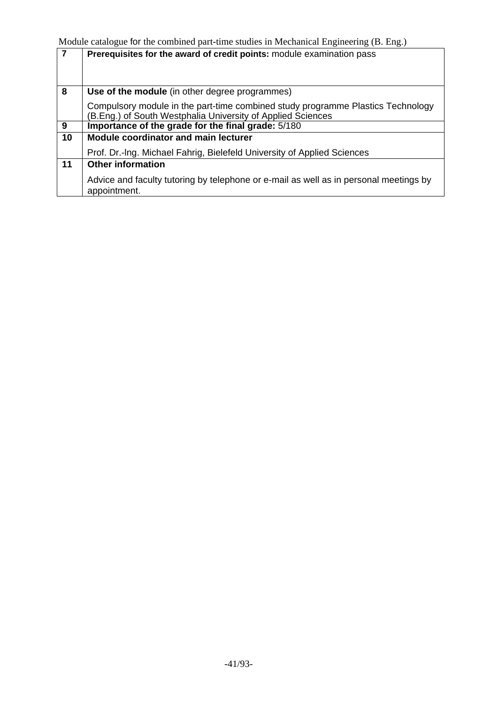| $\overline{7}$ | Prerequisites for the award of credit points: module examination pass                                                                          |
|----------------|------------------------------------------------------------------------------------------------------------------------------------------------|
|                |                                                                                                                                                |
|                |                                                                                                                                                |
| 8              | Use of the module (in other degree programmes)                                                                                                 |
|                | Compulsory module in the part-time combined study programme Plastics Technology<br>(B.Eng.) of South Westphalia University of Applied Sciences |
| 9              | Importance of the grade for the final grade: 5/180                                                                                             |
| 10             | <b>Module coordinator and main lecturer</b>                                                                                                    |
|                | Prof. Dr.-Ing. Michael Fahrig, Bielefeld University of Applied Sciences                                                                        |
| 11             | <b>Other information</b>                                                                                                                       |
|                | Advice and faculty tutoring by telephone or e-mail as well as in personal meetings by<br>appointment.                                          |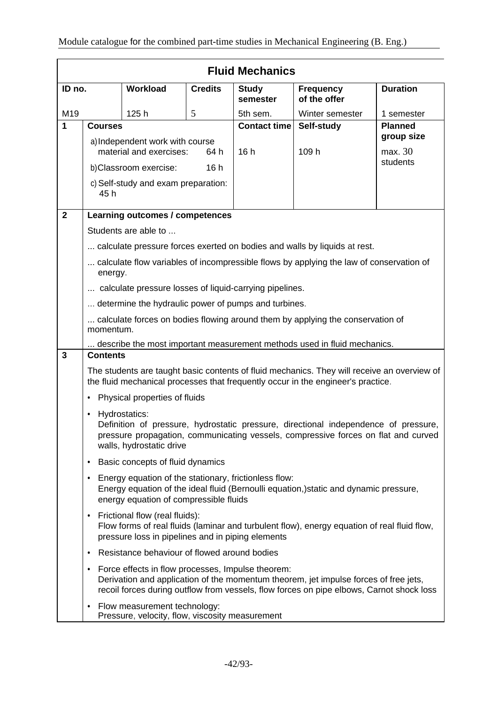|                | <b>Fluid Mechanics</b>                                                                                                                                                                                                              |                                                                                 |                |                          |                                                                                                                                                                                  |                       |
|----------------|-------------------------------------------------------------------------------------------------------------------------------------------------------------------------------------------------------------------------------------|---------------------------------------------------------------------------------|----------------|--------------------------|----------------------------------------------------------------------------------------------------------------------------------------------------------------------------------|-----------------------|
| ID no.         |                                                                                                                                                                                                                                     | <b>Workload</b>                                                                 | <b>Credits</b> | <b>Study</b><br>semester | <b>Frequency</b><br>of the offer                                                                                                                                                 | <b>Duration</b>       |
| M19            |                                                                                                                                                                                                                                     | 125h                                                                            | 5              | 5th sem.                 | Winter semester                                                                                                                                                                  | 1 semester            |
| 1              | <b>Courses</b>                                                                                                                                                                                                                      |                                                                                 |                | <b>Contact time</b>      | Self-study                                                                                                                                                                       | <b>Planned</b>        |
|                |                                                                                                                                                                                                                                     | a) Independent work with course<br>material and exercises:                      | 64 h           | 16h                      | 109 h                                                                                                                                                                            | group size<br>max. 30 |
|                |                                                                                                                                                                                                                                     | b)Classroom exercise:                                                           | 16h            |                          |                                                                                                                                                                                  | students              |
|                | c) Self-study and exam preparation:<br>45 h                                                                                                                                                                                         |                                                                                 |                |                          |                                                                                                                                                                                  |                       |
| $\overline{2}$ |                                                                                                                                                                                                                                     | Learning outcomes / competences                                                 |                |                          |                                                                                                                                                                                  |                       |
|                |                                                                                                                                                                                                                                     | Students are able to                                                            |                |                          |                                                                                                                                                                                  |                       |
|                |                                                                                                                                                                                                                                     |                                                                                 |                |                          | calculate pressure forces exerted on bodies and walls by liquids at rest.                                                                                                        |                       |
|                | energy.                                                                                                                                                                                                                             |                                                                                 |                |                          | calculate flow variables of incompressible flows by applying the law of conservation of                                                                                          |                       |
|                |                                                                                                                                                                                                                                     | calculate pressure losses of liquid-carrying pipelines.                         |                |                          |                                                                                                                                                                                  |                       |
|                |                                                                                                                                                                                                                                     | determine the hydraulic power of pumps and turbines.                            |                |                          |                                                                                                                                                                                  |                       |
|                | momentum.                                                                                                                                                                                                                           |                                                                                 |                |                          | calculate forces on bodies flowing around them by applying the conservation of                                                                                                   |                       |
|                |                                                                                                                                                                                                                                     |                                                                                 |                |                          | describe the most important measurement methods used in fluid mechanics.                                                                                                         |                       |
| 3              | <b>Contents</b>                                                                                                                                                                                                                     |                                                                                 |                |                          |                                                                                                                                                                                  |                       |
|                |                                                                                                                                                                                                                                     |                                                                                 |                |                          | The students are taught basic contents of fluid mechanics. They will receive an overview of<br>the fluid mechanical processes that frequently occur in the engineer's practice.  |                       |
|                | $\bullet$                                                                                                                                                                                                                           | Physical properties of fluids                                                   |                |                          |                                                                                                                                                                                  |                       |
|                | Hydrostatics:<br>$\bullet$<br>Definition of pressure, hydrostatic pressure, directional independence of pressure,<br>pressure propagation, communicating vessels, compressive forces on flat and curved<br>walls, hydrostatic drive |                                                                                 |                |                          |                                                                                                                                                                                  |                       |
|                | ٠                                                                                                                                                                                                                                   | Basic concepts of fluid dynamics                                                |                |                          |                                                                                                                                                                                  |                       |
|                | Energy equation of the stationary, frictionless flow:<br>٠<br>Energy equation of the ideal fluid (Bernoulli equation,)static and dynamic pressure,<br>energy equation of compressible fluids                                        |                                                                                 |                |                          |                                                                                                                                                                                  |                       |
|                | Frictional flow (real fluids):<br>٠<br>Flow forms of real fluids (laminar and turbulent flow), energy equation of real fluid flow,<br>pressure loss in pipelines and in piping elements                                             |                                                                                 |                |                          |                                                                                                                                                                                  |                       |
|                | ٠                                                                                                                                                                                                                                   | Resistance behaviour of flowed around bodies                                    |                |                          |                                                                                                                                                                                  |                       |
|                | ٠                                                                                                                                                                                                                                   | Force effects in flow processes, Impulse theorem:                               |                |                          | Derivation and application of the momentum theorem, jet impulse forces of free jets,<br>recoil forces during outflow from vessels, flow forces on pipe elbows, Carnot shock loss |                       |
|                | ٠                                                                                                                                                                                                                                   | Flow measurement technology:<br>Pressure, velocity, flow, viscosity measurement |                |                          |                                                                                                                                                                                  |                       |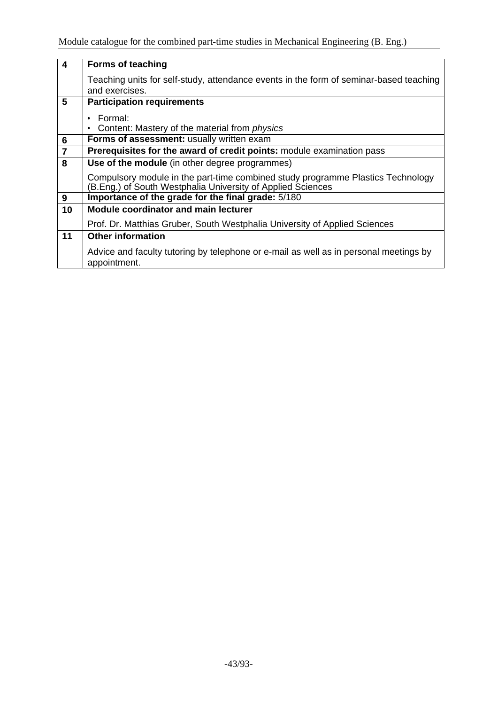| $\overline{4}$ | <b>Forms of teaching</b>                                                                                                                       |
|----------------|------------------------------------------------------------------------------------------------------------------------------------------------|
|                | Teaching units for self-study, attendance events in the form of seminar-based teaching<br>and exercises.                                       |
| 5              | <b>Participation requirements</b>                                                                                                              |
|                | Formal:                                                                                                                                        |
|                | Content: Mastery of the material from <i>physics</i>                                                                                           |
| $\bf 6$        | Forms of assessment: usually written exam                                                                                                      |
| $\overline{7}$ | Prerequisites for the award of credit points: module examination pass                                                                          |
| 8              | Use of the module (in other degree programmes)                                                                                                 |
|                | Compulsory module in the part-time combined study programme Plastics Technology<br>(B.Eng.) of South Westphalia University of Applied Sciences |
| 9              | Importance of the grade for the final grade: 5/180                                                                                             |
| 10             | <b>Module coordinator and main lecturer</b>                                                                                                    |
|                | Prof. Dr. Matthias Gruber, South Westphalia University of Applied Sciences                                                                     |
| 11             | <b>Other information</b>                                                                                                                       |
|                | Advice and faculty tutoring by telephone or e-mail as well as in personal meetings by<br>appointment.                                          |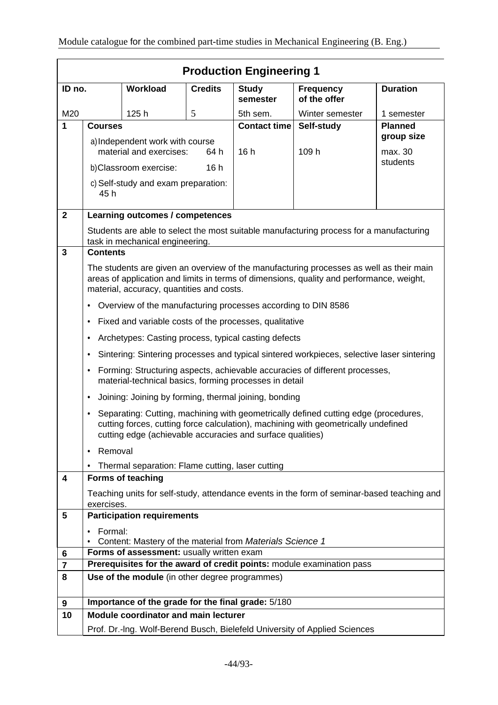|                         | <b>Production Engineering 1</b>                                                                                                                                                                                                                      |                                                               |                |                          |                                                                                           |                     |
|-------------------------|------------------------------------------------------------------------------------------------------------------------------------------------------------------------------------------------------------------------------------------------------|---------------------------------------------------------------|----------------|--------------------------|-------------------------------------------------------------------------------------------|---------------------|
| ID no.                  |                                                                                                                                                                                                                                                      | <b>Workload</b>                                               | <b>Credits</b> | <b>Study</b><br>semester | <b>Frequency</b><br>of the offer                                                          | <b>Duration</b>     |
| M20                     |                                                                                                                                                                                                                                                      | 125h                                                          | 5              | 5th sem.                 | Winter semester                                                                           | 1 semester          |
| 1                       | <b>Courses</b>                                                                                                                                                                                                                                       |                                                               |                | <b>Contact time</b>      | Self-study                                                                                | <b>Planned</b>      |
|                         |                                                                                                                                                                                                                                                      | a) Independent work with course                               |                |                          |                                                                                           | group size          |
|                         |                                                                                                                                                                                                                                                      | material and exercises:                                       | 64 h           | 16h                      | 109 h                                                                                     | max. 30<br>students |
|                         |                                                                                                                                                                                                                                                      | b)Classroom exercise:                                         | 16h            |                          |                                                                                           |                     |
|                         | 45 h                                                                                                                                                                                                                                                 | c) Self-study and exam preparation:                           |                |                          |                                                                                           |                     |
| $\mathbf{2}$            |                                                                                                                                                                                                                                                      | Learning outcomes / competences                               |                |                          |                                                                                           |                     |
|                         |                                                                                                                                                                                                                                                      | task in mechanical engineering.                               |                |                          | Students are able to select the most suitable manufacturing process for a manufacturing   |                     |
| 3                       | <b>Contents</b>                                                                                                                                                                                                                                      |                                                               |                |                          |                                                                                           |                     |
|                         | The students are given an overview of the manufacturing processes as well as their main<br>areas of application and limits in terms of dimensions, quality and performance, weight,<br>material, accuracy, quantities and costs.                     |                                                               |                |                          |                                                                                           |                     |
|                         | $\bullet$                                                                                                                                                                                                                                            | Overview of the manufacturing processes according to DIN 8586 |                |                          |                                                                                           |                     |
|                         | ٠                                                                                                                                                                                                                                                    | Fixed and variable costs of the processes, qualitative        |                |                          |                                                                                           |                     |
|                         | $\bullet$                                                                                                                                                                                                                                            | Archetypes: Casting process, typical casting defects          |                |                          |                                                                                           |                     |
|                         | $\bullet$                                                                                                                                                                                                                                            |                                                               |                |                          | Sintering: Sintering processes and typical sintered workpieces, selective laser sintering |                     |
|                         | ٠                                                                                                                                                                                                                                                    | material-technical basics, forming processes in detail        |                |                          | Forming: Structuring aspects, achievable accuracies of different processes,               |                     |
|                         | $\bullet$                                                                                                                                                                                                                                            | Joining: Joining by forming, thermal joining, bonding         |                |                          |                                                                                           |                     |
|                         | Separating: Cutting, machining with geometrically defined cutting edge (procedures,<br>$\bullet$<br>cutting forces, cutting force calculation), machining with geometrically undefined<br>cutting edge (achievable accuracies and surface qualities) |                                                               |                |                          |                                                                                           |                     |
|                         | Removal<br>٠                                                                                                                                                                                                                                         |                                                               |                |                          |                                                                                           |                     |
|                         |                                                                                                                                                                                                                                                      | Thermal separation: Flame cutting, laser cutting              |                |                          |                                                                                           |                     |
| 4                       |                                                                                                                                                                                                                                                      | <b>Forms of teaching</b>                                      |                |                          |                                                                                           |                     |
|                         | Teaching units for self-study, attendance events in the form of seminar-based teaching and<br>exercises.                                                                                                                                             |                                                               |                |                          |                                                                                           |                     |
| 5                       | <b>Participation requirements</b>                                                                                                                                                                                                                    |                                                               |                |                          |                                                                                           |                     |
|                         | Formal:<br>$\bullet$                                                                                                                                                                                                                                 | Content: Mastery of the material from Materials Science 1     |                |                          |                                                                                           |                     |
| 6                       | Forms of assessment: usually written exam                                                                                                                                                                                                            |                                                               |                |                          |                                                                                           |                     |
| $\overline{\mathbf{r}}$ |                                                                                                                                                                                                                                                      |                                                               |                |                          | Prerequisites for the award of credit points: module examination pass                     |                     |
| 8                       |                                                                                                                                                                                                                                                      | Use of the module (in other degree programmes)                |                |                          |                                                                                           |                     |
| 9                       |                                                                                                                                                                                                                                                      | Importance of the grade for the final grade: 5/180            |                |                          |                                                                                           |                     |
| 10                      |                                                                                                                                                                                                                                                      | Module coordinator and main lecturer                          |                |                          |                                                                                           |                     |
|                         |                                                                                                                                                                                                                                                      |                                                               |                |                          | Prof. Dr.-Ing. Wolf-Berend Busch, Bielefeld University of Applied Sciences                |                     |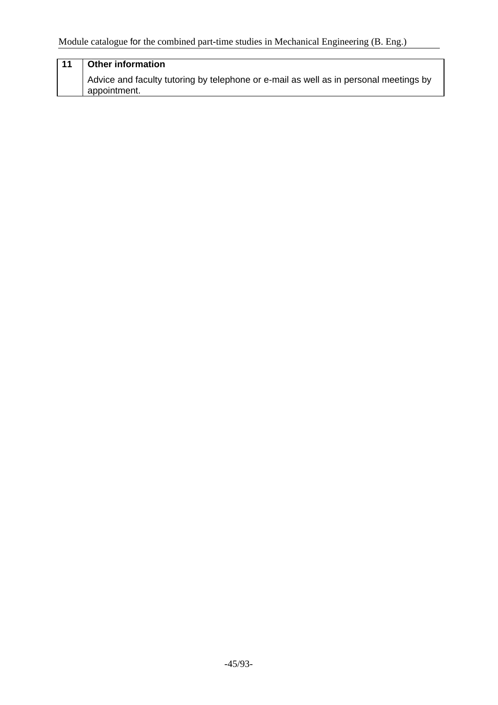## **11 Other information** Advice and faculty tutoring by telephone or e-mail as well as in personal meetings by appointment.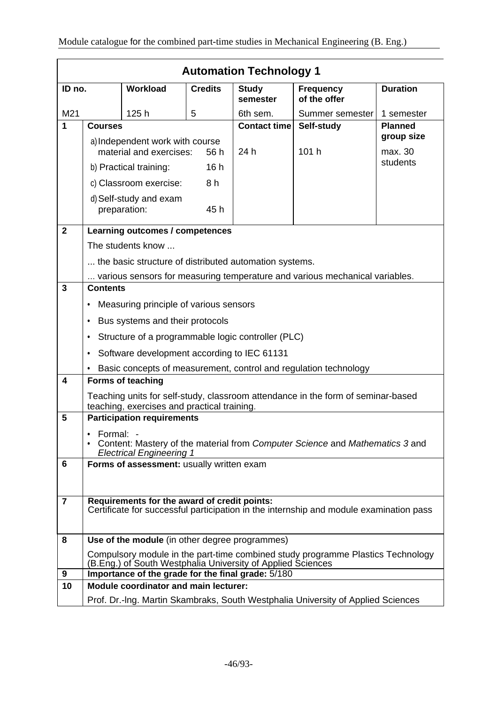|                | <b>Automation Technology 1</b>                                                                                                         |                                                             |                |                          |                                                                                  |                     |
|----------------|----------------------------------------------------------------------------------------------------------------------------------------|-------------------------------------------------------------|----------------|--------------------------|----------------------------------------------------------------------------------|---------------------|
| ID no.         |                                                                                                                                        | <b>Workload</b>                                             | <b>Credits</b> | <b>Study</b><br>semester | <b>Frequency</b><br>of the offer                                                 | <b>Duration</b>     |
| M21            |                                                                                                                                        | 125h                                                        | 5              | 6th sem.                 | Summer semester                                                                  | 1 semester          |
| 1              | <b>Courses</b>                                                                                                                         |                                                             |                | <b>Contact time</b>      | Self-study                                                                       | <b>Planned</b>      |
|                |                                                                                                                                        | a) Independent work with course                             |                |                          |                                                                                  | group size          |
|                |                                                                                                                                        | material and exercises:                                     | 56 h           | 24 h                     | 101 h                                                                            | max. 30<br>students |
|                |                                                                                                                                        | b) Practical training:                                      | 16h            |                          |                                                                                  |                     |
|                |                                                                                                                                        | c) Classroom exercise:                                      | 8h             |                          |                                                                                  |                     |
|                |                                                                                                                                        | d) Self-study and exam<br>preparation:                      | 45h            |                          |                                                                                  |                     |
| $\mathbf{2}$   |                                                                                                                                        | Learning outcomes / competences                             |                |                          |                                                                                  |                     |
|                |                                                                                                                                        | The students know                                           |                |                          |                                                                                  |                     |
|                |                                                                                                                                        | the basic structure of distributed automation systems.      |                |                          |                                                                                  |                     |
|                |                                                                                                                                        |                                                             |                |                          | various sensors for measuring temperature and various mechanical variables.      |                     |
| 3              | <b>Contents</b>                                                                                                                        |                                                             |                |                          |                                                                                  |                     |
|                | ٠                                                                                                                                      | Measuring principle of various sensors                      |                |                          |                                                                                  |                     |
|                | ٠                                                                                                                                      | Bus systems and their protocols                             |                |                          |                                                                                  |                     |
|                | Structure of a programmable logic controller (PLC)<br>٠                                                                                |                                                             |                |                          |                                                                                  |                     |
|                | Software development according to IEC 61131<br>٠                                                                                       |                                                             |                |                          |                                                                                  |                     |
|                | Basic concepts of measurement, control and regulation technology                                                                       |                                                             |                |                          |                                                                                  |                     |
| 4              | <b>Forms of teaching</b>                                                                                                               |                                                             |                |                          |                                                                                  |                     |
|                | Teaching units for self-study, classroom attendance in the form of seminar-based<br>teaching, exercises and practical training.        |                                                             |                |                          |                                                                                  |                     |
| 5              | <b>Participation requirements</b>                                                                                                      |                                                             |                |                          |                                                                                  |                     |
|                | $\bullet$ Formal: -<br>Content: Mastery of the material from Computer Science and Mathematics 3 and<br><b>Electrical Engineering 1</b> |                                                             |                |                          |                                                                                  |                     |
| 6              | Forms of assessment: usually written exam                                                                                              |                                                             |                |                          |                                                                                  |                     |
|                |                                                                                                                                        |                                                             |                |                          |                                                                                  |                     |
| $\overline{7}$ | Requirements for the award of credit points:<br>Certificate for successful participation in the internship and module examination pass |                                                             |                |                          |                                                                                  |                     |
|                |                                                                                                                                        |                                                             |                |                          |                                                                                  |                     |
| 8              |                                                                                                                                        | Use of the module (in other degree programmes)              |                |                          |                                                                                  |                     |
|                |                                                                                                                                        | (B.Eng.) of South Westphalia University of Applied Sciences |                |                          | Compulsory module in the part-time combined study programme Plastics Technology  |                     |
| 9              |                                                                                                                                        | Importance of the grade for the final grade: 5/180          |                |                          |                                                                                  |                     |
| 10             |                                                                                                                                        | <b>Module coordinator and main lecturer:</b>                |                |                          |                                                                                  |                     |
|                |                                                                                                                                        |                                                             |                |                          | Prof. Dr.-Ing. Martin Skambraks, South Westphalia University of Applied Sciences |                     |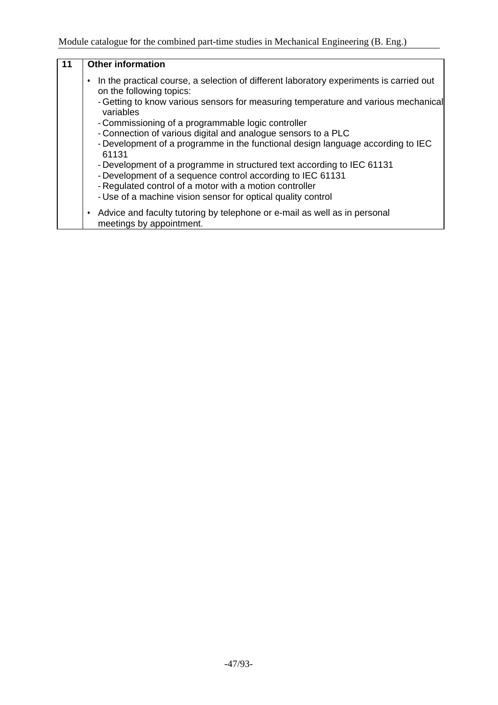| 11 | <b>Other information</b>                                                                                            |
|----|---------------------------------------------------------------------------------------------------------------------|
|    | In the practical course, a selection of different laboratory experiments is carried out<br>on the following topics: |
|    | - Getting to know various sensors for measuring temperature and various mechanical<br>variables                     |
|    | - Commissioning of a programmable logic controller                                                                  |
|    | - Connection of various digital and analogue sensors to a PLC                                                       |
|    | - Development of a programme in the functional design language according to IEC<br>61131                            |
|    | - Development of a programme in structured text according to IEC 61131                                              |
|    | - Development of a sequence control according to IEC 61131                                                          |
|    | - Regulated control of a motor with a motion controller                                                             |
|    | - Use of a machine vision sensor for optical quality control                                                        |
|    | • Advice and faculty tutoring by telephone or e-mail as well as in personal<br>meetings by appointment.             |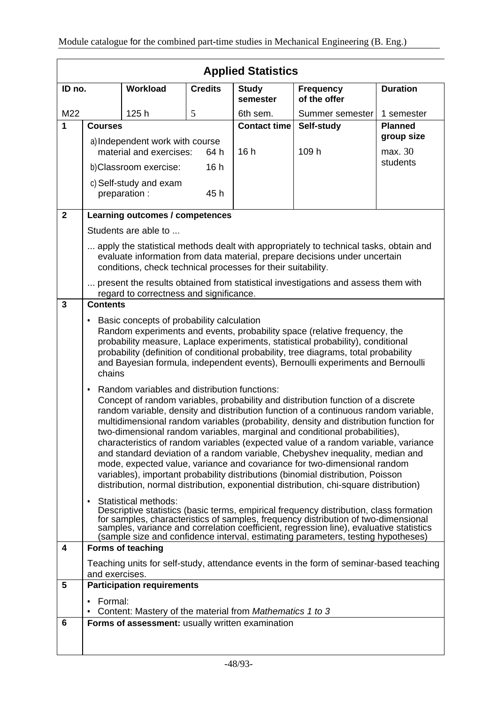|                | <b>Applied Statistics</b>                                                                                                                                                                                                                                                                                                                                                                                                                                                                                                                                                                                                                                                                                                                                                                                                                  |                                                              |                |                          |                                                                                                                                                                     |                     |
|----------------|--------------------------------------------------------------------------------------------------------------------------------------------------------------------------------------------------------------------------------------------------------------------------------------------------------------------------------------------------------------------------------------------------------------------------------------------------------------------------------------------------------------------------------------------------------------------------------------------------------------------------------------------------------------------------------------------------------------------------------------------------------------------------------------------------------------------------------------------|--------------------------------------------------------------|----------------|--------------------------|---------------------------------------------------------------------------------------------------------------------------------------------------------------------|---------------------|
| ID no.         |                                                                                                                                                                                                                                                                                                                                                                                                                                                                                                                                                                                                                                                                                                                                                                                                                                            | Workload                                                     | <b>Credits</b> | <b>Study</b><br>semester | <b>Frequency</b><br>of the offer                                                                                                                                    | <b>Duration</b>     |
| M22            |                                                                                                                                                                                                                                                                                                                                                                                                                                                                                                                                                                                                                                                                                                                                                                                                                                            | 125h                                                         | 5              | 6th sem.                 | Summer semester                                                                                                                                                     | 1 semester          |
| 1              | <b>Courses</b>                                                                                                                                                                                                                                                                                                                                                                                                                                                                                                                                                                                                                                                                                                                                                                                                                             |                                                              |                | <b>Contact time</b>      | Self-study                                                                                                                                                          | <b>Planned</b>      |
|                |                                                                                                                                                                                                                                                                                                                                                                                                                                                                                                                                                                                                                                                                                                                                                                                                                                            | a) Independent work with course                              |                |                          |                                                                                                                                                                     | group size          |
|                |                                                                                                                                                                                                                                                                                                                                                                                                                                                                                                                                                                                                                                                                                                                                                                                                                                            | material and exercises:                                      | 64 h<br>16h    | 16h                      | 109 h                                                                                                                                                               | max. 30<br>students |
|                |                                                                                                                                                                                                                                                                                                                                                                                                                                                                                                                                                                                                                                                                                                                                                                                                                                            | b) Classroom exercise:<br>c) Self-study and exam             |                |                          |                                                                                                                                                                     |                     |
|                |                                                                                                                                                                                                                                                                                                                                                                                                                                                                                                                                                                                                                                                                                                                                                                                                                                            | preparation :                                                | 45h            |                          |                                                                                                                                                                     |                     |
| $\overline{2}$ |                                                                                                                                                                                                                                                                                                                                                                                                                                                                                                                                                                                                                                                                                                                                                                                                                                            | Learning outcomes / competences                              |                |                          |                                                                                                                                                                     |                     |
|                |                                                                                                                                                                                                                                                                                                                                                                                                                                                                                                                                                                                                                                                                                                                                                                                                                                            | Students are able to                                         |                |                          |                                                                                                                                                                     |                     |
|                |                                                                                                                                                                                                                                                                                                                                                                                                                                                                                                                                                                                                                                                                                                                                                                                                                                            | conditions, check technical processes for their suitability. |                |                          | apply the statistical methods dealt with appropriately to technical tasks, obtain and<br>evaluate information from data material, prepare decisions under uncertain |                     |
|                |                                                                                                                                                                                                                                                                                                                                                                                                                                                                                                                                                                                                                                                                                                                                                                                                                                            | regard to correctness and significance.                      |                |                          | present the results obtained from statistical investigations and assess them with                                                                                   |                     |
| 3              | <b>Contents</b>                                                                                                                                                                                                                                                                                                                                                                                                                                                                                                                                                                                                                                                                                                                                                                                                                            |                                                              |                |                          |                                                                                                                                                                     |                     |
|                | Basic concepts of probability calculation<br>٠<br>Random experiments and events, probability space (relative frequency, the<br>probability measure, Laplace experiments, statistical probability), conditional<br>probability (definition of conditional probability, tree diagrams, total probability<br>and Bayesian formula, independent events), Bernoulli experiments and Bernoulli<br>chains                                                                                                                                                                                                                                                                                                                                                                                                                                         |                                                              |                |                          |                                                                                                                                                                     |                     |
|                | Random variables and distribution functions:<br>$\bullet$<br>Concept of random variables, probability and distribution function of a discrete<br>random variable, density and distribution function of a continuous random variable,<br>multidimensional random variables (probability, density and distribution function for<br>two-dimensional random variables, marginal and conditional probabilities),<br>characteristics of random variables (expected value of a random variable, variance<br>and standard deviation of a random variable, Chebyshev inequality, median and<br>mode, expected value, variance and covariance for two-dimensional random<br>variables), important probability distributions (binomial distribution, Poisson<br>distribution, normal distribution, exponential distribution, chi-square distribution) |                                                              |                |                          |                                                                                                                                                                     |                     |
|                | Statistical methods:<br>Descriptive statistics (basic terms, empirical frequency distribution, class formation<br>for samples, characteristics of samples, frequency distribution of two-dimensional<br>samples, variance and correlation coefficient, regression line), evaluative statistics<br>(sample size and confidence interval, estimating parameters, testing hypotheses)                                                                                                                                                                                                                                                                                                                                                                                                                                                         |                                                              |                |                          |                                                                                                                                                                     |                     |
| 4              |                                                                                                                                                                                                                                                                                                                                                                                                                                                                                                                                                                                                                                                                                                                                                                                                                                            | Forms of teaching                                            |                |                          |                                                                                                                                                                     |                     |
|                | and exercises.                                                                                                                                                                                                                                                                                                                                                                                                                                                                                                                                                                                                                                                                                                                                                                                                                             |                                                              |                |                          | Teaching units for self-study, attendance events in the form of seminar-based teaching                                                                              |                     |
| 5              |                                                                                                                                                                                                                                                                                                                                                                                                                                                                                                                                                                                                                                                                                                                                                                                                                                            | <b>Participation requirements</b>                            |                |                          |                                                                                                                                                                     |                     |
|                | Formal:<br>$\bullet$                                                                                                                                                                                                                                                                                                                                                                                                                                                                                                                                                                                                                                                                                                                                                                                                                       | Content: Mastery of the material from Mathematics 1 to 3     |                |                          |                                                                                                                                                                     |                     |
| 6              |                                                                                                                                                                                                                                                                                                                                                                                                                                                                                                                                                                                                                                                                                                                                                                                                                                            | Forms of assessment: usually written examination             |                |                          |                                                                                                                                                                     |                     |
|                |                                                                                                                                                                                                                                                                                                                                                                                                                                                                                                                                                                                                                                                                                                                                                                                                                                            |                                                              |                |                          |                                                                                                                                                                     |                     |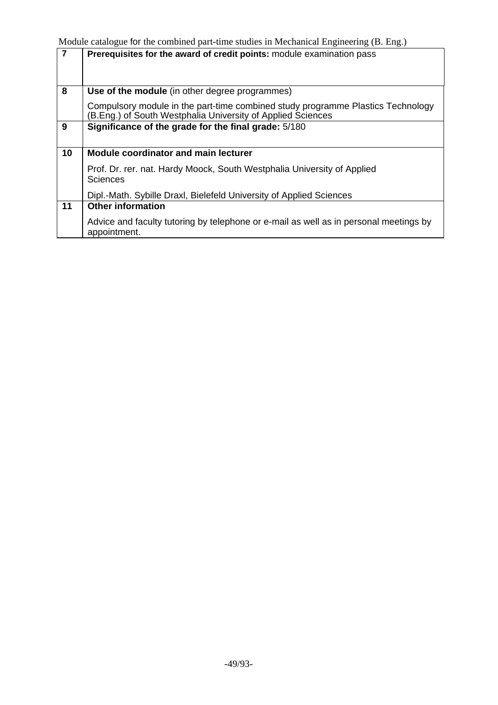| $\overline{7}$ | Prerequisites for the award of credit points: module examination pass                                                                          |
|----------------|------------------------------------------------------------------------------------------------------------------------------------------------|
| 8              | Use of the module (in other degree programmes)                                                                                                 |
|                | Compulsory module in the part-time combined study programme Plastics Technology<br>(B.Eng.) of South Westphalia University of Applied Sciences |
| 9              | Significance of the grade for the final grade: 5/180                                                                                           |
| 10             | <b>Module coordinator and main lecturer</b>                                                                                                    |
|                | Prof. Dr. rer. nat. Hardy Moock, South Westphalia University of Applied<br>Sciences                                                            |
|                | Dipl.-Math. Sybille Draxl, Bielefeld University of Applied Sciences                                                                            |
| 11             | <b>Other information</b>                                                                                                                       |
|                | Advice and faculty tutoring by telephone or e-mail as well as in personal meetings by<br>appointment.                                          |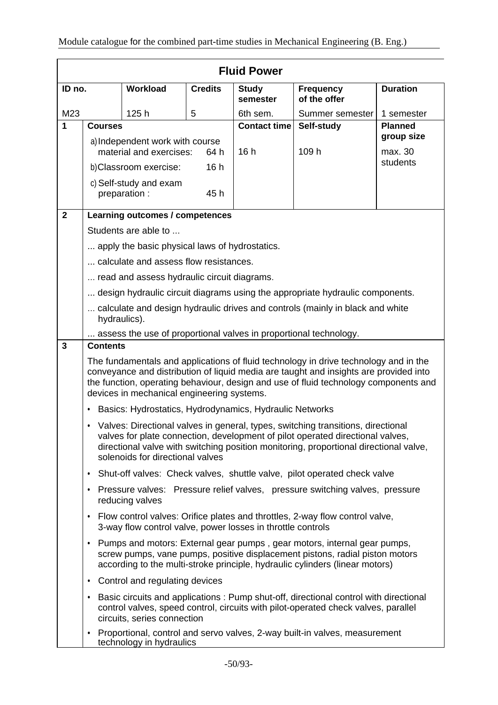|                |                                                                                                                                                                                                                                                                                                                     |                                                             |                | <b>Fluid Power</b>       |                                                                                                                                                                                                                                                             |                 |
|----------------|---------------------------------------------------------------------------------------------------------------------------------------------------------------------------------------------------------------------------------------------------------------------------------------------------------------------|-------------------------------------------------------------|----------------|--------------------------|-------------------------------------------------------------------------------------------------------------------------------------------------------------------------------------------------------------------------------------------------------------|-----------------|
| ID no.         |                                                                                                                                                                                                                                                                                                                     | <b>Workload</b>                                             | <b>Credits</b> | <b>Study</b><br>semester | <b>Frequency</b><br>of the offer                                                                                                                                                                                                                            | <b>Duration</b> |
| M23            |                                                                                                                                                                                                                                                                                                                     | 125h                                                        | 5              | 6th sem.                 | Summer semester                                                                                                                                                                                                                                             | 1 semester      |
| 1              | <b>Courses</b>                                                                                                                                                                                                                                                                                                      |                                                             |                | <b>Contact time</b>      | Self-study                                                                                                                                                                                                                                                  | <b>Planned</b>  |
|                |                                                                                                                                                                                                                                                                                                                     | a) Independent work with course                             |                |                          |                                                                                                                                                                                                                                                             | group size      |
|                | material and exercises:<br>64 h                                                                                                                                                                                                                                                                                     |                                                             | 16h            | 109 h                    | max. 30<br>students                                                                                                                                                                                                                                         |                 |
|                |                                                                                                                                                                                                                                                                                                                     | b)Classroom exercise:                                       | 16h            |                          |                                                                                                                                                                                                                                                             |                 |
|                |                                                                                                                                                                                                                                                                                                                     | c) Self-study and exam<br>preparation :                     | 45 h           |                          |                                                                                                                                                                                                                                                             |                 |
| $\overline{2}$ |                                                                                                                                                                                                                                                                                                                     | Learning outcomes / competences                             |                |                          |                                                                                                                                                                                                                                                             |                 |
|                |                                                                                                                                                                                                                                                                                                                     | Students are able to                                        |                |                          |                                                                                                                                                                                                                                                             |                 |
|                |                                                                                                                                                                                                                                                                                                                     | apply the basic physical laws of hydrostatics.              |                |                          |                                                                                                                                                                                                                                                             |                 |
|                |                                                                                                                                                                                                                                                                                                                     | calculate and assess flow resistances.                      |                |                          |                                                                                                                                                                                                                                                             |                 |
|                |                                                                                                                                                                                                                                                                                                                     | read and assess hydraulic circuit diagrams.                 |                |                          |                                                                                                                                                                                                                                                             |                 |
|                |                                                                                                                                                                                                                                                                                                                     |                                                             |                |                          | design hydraulic circuit diagrams using the appropriate hydraulic components.                                                                                                                                                                               |                 |
|                | calculate and design hydraulic drives and controls (mainly in black and white<br>hydraulics).                                                                                                                                                                                                                       |                                                             |                |                          |                                                                                                                                                                                                                                                             |                 |
|                |                                                                                                                                                                                                                                                                                                                     |                                                             |                |                          | assess the use of proportional valves in proportional technology.                                                                                                                                                                                           |                 |
| 3              | <b>Contents</b>                                                                                                                                                                                                                                                                                                     |                                                             |                |                          |                                                                                                                                                                                                                                                             |                 |
|                | The fundamentals and applications of fluid technology in drive technology and in the<br>conveyance and distribution of liquid media are taught and insights are provided into<br>the function, operating behaviour, design and use of fluid technology components and<br>devices in mechanical engineering systems. |                                                             |                |                          |                                                                                                                                                                                                                                                             |                 |
|                | Basics: Hydrostatics, Hydrodynamics, Hydraulic Networks<br>٠                                                                                                                                                                                                                                                        |                                                             |                |                          |                                                                                                                                                                                                                                                             |                 |
|                | ٠                                                                                                                                                                                                                                                                                                                   | solenoids for directional valves                            |                |                          | Valves: Directional valves in general, types, switching transitions, directional<br>valves for plate connection, development of pilot operated directional valves,<br>directional valve with switching position monitoring, proportional directional valve, |                 |
|                | Shut-off valves: Check valves, shuttle valve, pilot operated check valve<br>٠                                                                                                                                                                                                                                       |                                                             |                |                          |                                                                                                                                                                                                                                                             |                 |
|                | $\bullet$                                                                                                                                                                                                                                                                                                           | reducing valves                                             |                |                          | Pressure valves: Pressure relief valves, pressure switching valves, pressure                                                                                                                                                                                |                 |
|                | $\bullet$                                                                                                                                                                                                                                                                                                           | 3-way flow control valve, power losses in throttle controls |                |                          | Flow control valves: Orifice plates and throttles, 2-way flow control valve,                                                                                                                                                                                |                 |
|                | $\bullet$                                                                                                                                                                                                                                                                                                           |                                                             |                |                          | Pumps and motors: External gear pumps, gear motors, internal gear pumps,<br>screw pumps, vane pumps, positive displacement pistons, radial piston motors<br>according to the multi-stroke principle, hydraulic cylinders (linear motors)                    |                 |
|                | ٠                                                                                                                                                                                                                                                                                                                   | Control and regulating devices                              |                |                          |                                                                                                                                                                                                                                                             |                 |
|                | $\bullet$                                                                                                                                                                                                                                                                                                           | circuits, series connection                                 |                |                          | Basic circuits and applications : Pump shut-off, directional control with directional<br>control valves, speed control, circuits with pilot-operated check valves, parallel                                                                                 |                 |
|                | $\bullet$                                                                                                                                                                                                                                                                                                           | technology in hydraulics                                    |                |                          | Proportional, control and servo valves, 2-way built-in valves, measurement                                                                                                                                                                                  |                 |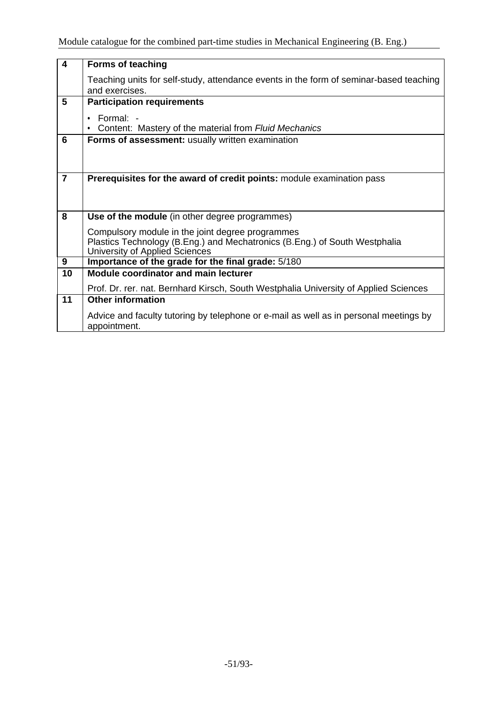| $\overline{4}$ | <b>Forms of teaching</b>                                                               |
|----------------|----------------------------------------------------------------------------------------|
|                | Teaching units for self-study, attendance events in the form of seminar-based teaching |
|                | and exercises.                                                                         |
| 5              | <b>Participation requirements</b>                                                      |
|                |                                                                                        |
|                | Formal: -<br>Content: Mastery of the material from Fluid Mechanics                     |
|                |                                                                                        |
| 6              | Forms of assessment: usually written examination                                       |
|                |                                                                                        |
|                |                                                                                        |
| $\overline{7}$ | <b>Prerequisites for the award of credit points:</b> module examination pass           |
|                |                                                                                        |
|                |                                                                                        |
|                |                                                                                        |
| 8              | Use of the module (in other degree programmes)                                         |
|                | Compulsory module in the joint degree programmes                                       |
|                | Plastics Technology (B.Eng.) and Mechatronics (B.Eng.) of South Westphalia             |
|                | University of Applied Sciences                                                         |
| 9              | Importance of the grade for the final grade: 5/180                                     |
| 10             | <b>Module coordinator and main lecturer</b>                                            |
|                | Prof. Dr. rer. nat. Bernhard Kirsch, South Westphalia University of Applied Sciences   |
| 11             | <b>Other information</b>                                                               |
|                |                                                                                        |
|                | Advice and faculty tutoring by telephone or e-mail as well as in personal meetings by  |
|                | appointment.                                                                           |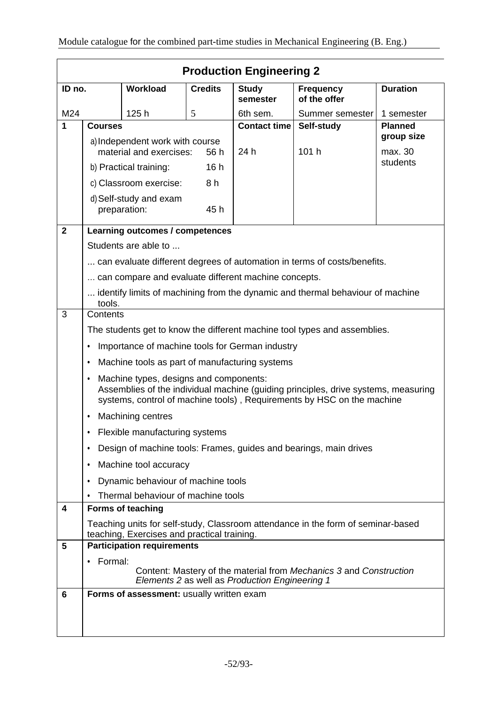|              | <b>Production Engineering 2</b>                                                                                                                                                                             |                                                      |                |                                                |                                                                                |                 |
|--------------|-------------------------------------------------------------------------------------------------------------------------------------------------------------------------------------------------------------|------------------------------------------------------|----------------|------------------------------------------------|--------------------------------------------------------------------------------|-----------------|
| ID no.       |                                                                                                                                                                                                             | Workload                                             | <b>Credits</b> | <b>Study</b><br>semester                       | <b>Frequency</b><br>of the offer                                               | <b>Duration</b> |
| M24          |                                                                                                                                                                                                             | 125h                                                 | 5              | 6th sem.                                       | Summer semester                                                                | 1 semester      |
| 1            | <b>Courses</b>                                                                                                                                                                                              |                                                      |                | <b>Contact time</b>                            | Self-study                                                                     | <b>Planned</b>  |
|              | a) Independent work with course                                                                                                                                                                             |                                                      |                |                                                |                                                                                | group size      |
|              | material and exercises:<br>56 h                                                                                                                                                                             |                                                      | 24 h           | 101 h                                          | max. 30                                                                        |                 |
|              | 16h<br>b) Practical training:                                                                                                                                                                               |                                                      |                |                                                |                                                                                | students        |
|              |                                                                                                                                                                                                             | c) Classroom exercise:                               | 8 h            |                                                |                                                                                |                 |
|              | d) Self-study and exam<br>preparation:<br>45 h                                                                                                                                                              |                                                      |                |                                                |                                                                                |                 |
| $\mathbf{2}$ |                                                                                                                                                                                                             | Learning outcomes / competences                      |                |                                                |                                                                                |                 |
|              |                                                                                                                                                                                                             | Students are able to                                 |                |                                                |                                                                                |                 |
|              |                                                                                                                                                                                                             |                                                      |                |                                                | can evaluate different degrees of automation in terms of costs/benefits.       |                 |
|              |                                                                                                                                                                                                             | can compare and evaluate different machine concepts. |                |                                                |                                                                                |                 |
|              |                                                                                                                                                                                                             |                                                      |                |                                                | identify limits of machining from the dynamic and thermal behaviour of machine |                 |
| 3            | tools.<br>Contents                                                                                                                                                                                          |                                                      |                |                                                |                                                                                |                 |
|              | The students get to know the different machine tool types and assemblies.                                                                                                                                   |                                                      |                |                                                |                                                                                |                 |
|              |                                                                                                                                                                                                             |                                                      |                |                                                |                                                                                |                 |
|              | Importance of machine tools for German industry<br>٠                                                                                                                                                        |                                                      |                |                                                |                                                                                |                 |
|              | Machine tools as part of manufacturing systems<br>٠                                                                                                                                                         |                                                      |                |                                                |                                                                                |                 |
|              | Machine types, designs and components:<br>٠<br>Assemblies of the individual machine (guiding principles, drive systems, measuring<br>systems, control of machine tools), Requirements by HSC on the machine |                                                      |                |                                                |                                                                                |                 |
|              | <b>Machining centres</b><br>٠                                                                                                                                                                               |                                                      |                |                                                |                                                                                |                 |
|              | Flexible manufacturing systems<br>٠                                                                                                                                                                         |                                                      |                |                                                |                                                                                |                 |
|              | Design of machine tools: Frames, guides and bearings, main drives                                                                                                                                           |                                                      |                |                                                |                                                                                |                 |
|              | Machine tool accuracy<br>٠                                                                                                                                                                                  |                                                      |                |                                                |                                                                                |                 |
|              | Dynamic behaviour of machine tools<br>٠                                                                                                                                                                     |                                                      |                |                                                |                                                                                |                 |
|              | Thermal behaviour of machine tools<br>$\bullet$                                                                                                                                                             |                                                      |                |                                                |                                                                                |                 |
| 4            |                                                                                                                                                                                                             | Forms of teaching                                    |                |                                                |                                                                                |                 |
|              | Teaching units for self-study, Classroom attendance in the form of seminar-based<br>teaching, Exercises and practical training.                                                                             |                                                      |                |                                                |                                                                                |                 |
| 5            |                                                                                                                                                                                                             | <b>Participation requirements</b>                    |                |                                                |                                                                                |                 |
|              | Formal:<br>٠                                                                                                                                                                                                |                                                      |                |                                                |                                                                                |                 |
|              |                                                                                                                                                                                                             |                                                      |                | Elements 2 as well as Production Engineering 1 | Content: Mastery of the material from Mechanics 3 and Construction             |                 |
| 6            |                                                                                                                                                                                                             | Forms of assessment: usually written exam            |                |                                                |                                                                                |                 |
|              |                                                                                                                                                                                                             |                                                      |                |                                                |                                                                                |                 |
|              |                                                                                                                                                                                                             |                                                      |                |                                                |                                                                                |                 |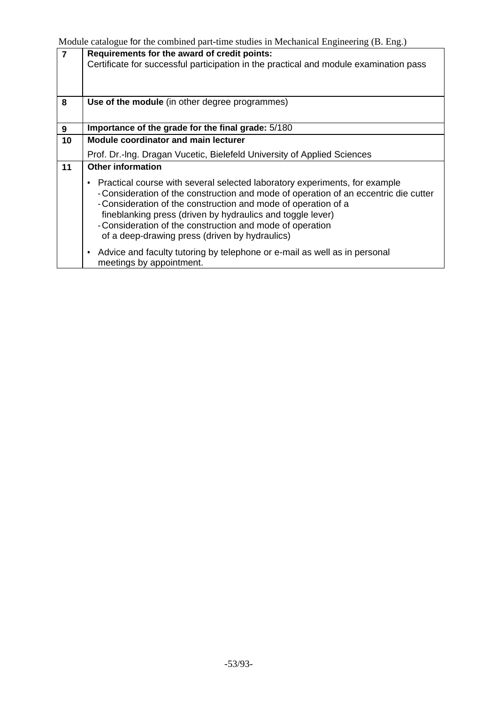| $\overline{7}$ | nouune ealanogue for the comformed part-time studies in meemanical Engineering (D. Eng.)<br>Requirements for the award of credit points:<br>Certificate for successful participation in the practical and module examination pass                                                                                                                                                                                  |
|----------------|--------------------------------------------------------------------------------------------------------------------------------------------------------------------------------------------------------------------------------------------------------------------------------------------------------------------------------------------------------------------------------------------------------------------|
| 8              | Use of the module (in other degree programmes)                                                                                                                                                                                                                                                                                                                                                                     |
| 9              | Importance of the grade for the final grade: 5/180                                                                                                                                                                                                                                                                                                                                                                 |
| 10             | Module coordinator and main lecturer                                                                                                                                                                                                                                                                                                                                                                               |
|                | Prof. Dr.-Ing. Dragan Vucetic, Bielefeld University of Applied Sciences                                                                                                                                                                                                                                                                                                                                            |
| 11             | <b>Other information</b>                                                                                                                                                                                                                                                                                                                                                                                           |
|                | • Practical course with several selected laboratory experiments, for example<br>-Consideration of the construction and mode of operation of an eccentric die cutter<br>- Consideration of the construction and mode of operation of a<br>fineblanking press (driven by hydraulics and toggle lever)<br>- Consideration of the construction and mode of operation<br>of a deep-drawing press (driven by hydraulics) |
|                | Advice and faculty tutoring by telephone or e-mail as well as in personal<br>٠<br>meetings by appointment.                                                                                                                                                                                                                                                                                                         |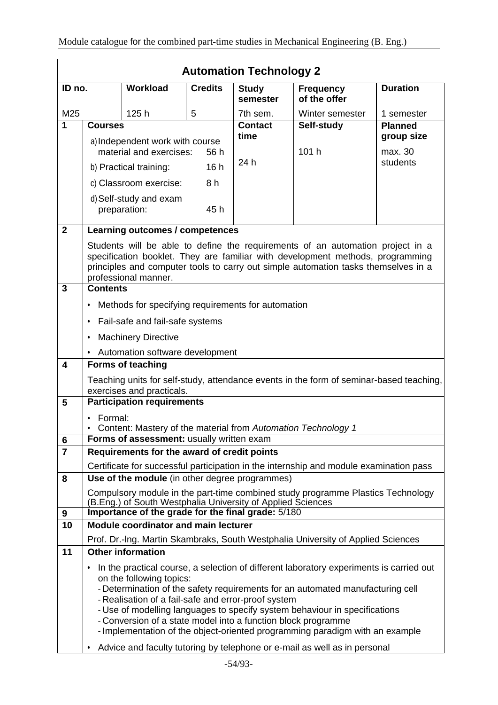|                         | <b>Automation Technology 2</b>                                                                                                                                                                                                                                                 |                                                                                                                                                  |                |                          |                                                                                                                                                                                                                                                                                                                                         |                              |
|-------------------------|--------------------------------------------------------------------------------------------------------------------------------------------------------------------------------------------------------------------------------------------------------------------------------|--------------------------------------------------------------------------------------------------------------------------------------------------|----------------|--------------------------|-----------------------------------------------------------------------------------------------------------------------------------------------------------------------------------------------------------------------------------------------------------------------------------------------------------------------------------------|------------------------------|
| ID no.                  |                                                                                                                                                                                                                                                                                | <b>Workload</b>                                                                                                                                  | <b>Credits</b> | <b>Study</b><br>semester | <b>Frequency</b><br>of the offer                                                                                                                                                                                                                                                                                                        | <b>Duration</b>              |
| M25                     |                                                                                                                                                                                                                                                                                | 125h                                                                                                                                             | 5              | 7th sem.                 | Winter semester                                                                                                                                                                                                                                                                                                                         | 1 semester                   |
| 1                       | <b>Courses</b>                                                                                                                                                                                                                                                                 |                                                                                                                                                  |                | <b>Contact</b><br>time   | Self-study                                                                                                                                                                                                                                                                                                                              | <b>Planned</b><br>group size |
|                         |                                                                                                                                                                                                                                                                                | a) Independent work with course<br>material and exercises:<br>56 h                                                                               |                |                          | 101 h                                                                                                                                                                                                                                                                                                                                   | max. 30                      |
|                         |                                                                                                                                                                                                                                                                                | 16h<br>b) Practical training:                                                                                                                    |                | 24 h                     |                                                                                                                                                                                                                                                                                                                                         | students                     |
|                         |                                                                                                                                                                                                                                                                                | c) Classroom exercise:                                                                                                                           | 8 h            |                          |                                                                                                                                                                                                                                                                                                                                         |                              |
|                         |                                                                                                                                                                                                                                                                                | d) Self-study and exam<br>preparation:                                                                                                           | 45 h           |                          |                                                                                                                                                                                                                                                                                                                                         |                              |
| $\overline{\mathbf{2}}$ |                                                                                                                                                                                                                                                                                | Learning outcomes / competences                                                                                                                  |                |                          |                                                                                                                                                                                                                                                                                                                                         |                              |
|                         | Students will be able to define the requirements of an automation project in a<br>specification booklet. They are familiar with development methods, programming<br>principles and computer tools to carry out simple automation tasks themselves in a<br>professional manner. |                                                                                                                                                  |                |                          |                                                                                                                                                                                                                                                                                                                                         |                              |
| $\overline{3}$          | <b>Contents</b>                                                                                                                                                                                                                                                                |                                                                                                                                                  |                |                          |                                                                                                                                                                                                                                                                                                                                         |                              |
|                         | ٠                                                                                                                                                                                                                                                                              | Methods for specifying requirements for automation                                                                                               |                |                          |                                                                                                                                                                                                                                                                                                                                         |                              |
|                         | Fail-safe and fail-safe systems<br>٠                                                                                                                                                                                                                                           |                                                                                                                                                  |                |                          |                                                                                                                                                                                                                                                                                                                                         |                              |
|                         | <b>Machinery Directive</b><br>٠                                                                                                                                                                                                                                                |                                                                                                                                                  |                |                          |                                                                                                                                                                                                                                                                                                                                         |                              |
|                         |                                                                                                                                                                                                                                                                                | • Automation software development                                                                                                                |                |                          |                                                                                                                                                                                                                                                                                                                                         |                              |
| 4                       |                                                                                                                                                                                                                                                                                | <b>Forms of teaching</b>                                                                                                                         |                |                          |                                                                                                                                                                                                                                                                                                                                         |                              |
|                         |                                                                                                                                                                                                                                                                                | exercises and practicals.                                                                                                                        |                |                          | Teaching units for self-study, attendance events in the form of seminar-based teaching,                                                                                                                                                                                                                                                 |                              |
| 5                       |                                                                                                                                                                                                                                                                                | <b>Participation requirements</b>                                                                                                                |                |                          |                                                                                                                                                                                                                                                                                                                                         |                              |
|                         | Formal:<br>٠                                                                                                                                                                                                                                                                   | Content: Mastery of the material from Automation Technology 1                                                                                    |                |                          |                                                                                                                                                                                                                                                                                                                                         |                              |
| 6                       | Forms of assessment: usually written exam                                                                                                                                                                                                                                      |                                                                                                                                                  |                |                          |                                                                                                                                                                                                                                                                                                                                         |                              |
| $\overline{7}$          | Requirements for the award of credit points                                                                                                                                                                                                                                    |                                                                                                                                                  |                |                          |                                                                                                                                                                                                                                                                                                                                         |                              |
|                         |                                                                                                                                                                                                                                                                                |                                                                                                                                                  |                |                          | Certificate for successful participation in the internship and module examination pass                                                                                                                                                                                                                                                  |                              |
| 8                       |                                                                                                                                                                                                                                                                                | Use of the module (in other degree programmes)                                                                                                   |                |                          |                                                                                                                                                                                                                                                                                                                                         |                              |
|                         |                                                                                                                                                                                                                                                                                | (B.Eng.) of South Westphalia University of Applied Sciences                                                                                      |                |                          | Compulsory module in the part-time combined study programme Plastics Technology                                                                                                                                                                                                                                                         |                              |
| 9                       |                                                                                                                                                                                                                                                                                | Importance of the grade for the final grade: 5/180                                                                                               |                |                          |                                                                                                                                                                                                                                                                                                                                         |                              |
| 10                      |                                                                                                                                                                                                                                                                                | <b>Module coordinator and main lecturer</b>                                                                                                      |                |                          |                                                                                                                                                                                                                                                                                                                                         |                              |
|                         |                                                                                                                                                                                                                                                                                |                                                                                                                                                  |                |                          | Prof. Dr.-Ing. Martin Skambraks, South Westphalia University of Applied Sciences                                                                                                                                                                                                                                                        |                              |
| 11                      |                                                                                                                                                                                                                                                                                | <b>Other information</b>                                                                                                                         |                |                          |                                                                                                                                                                                                                                                                                                                                         |                              |
|                         | ٠                                                                                                                                                                                                                                                                              | on the following topics:<br>- Realisation of a fail-safe and error-proof system<br>- Conversion of a state model into a function block programme |                |                          | In the practical course, a selection of different laboratory experiments is carried out<br>- Determination of the safety requirements for an automated manufacturing cell<br>- Use of modelling languages to specify system behaviour in specifications<br>- Implementation of the object-oriented programming paradigm with an example |                              |
|                         | ٠                                                                                                                                                                                                                                                                              |                                                                                                                                                  |                |                          | Advice and faculty tutoring by telephone or e-mail as well as in personal                                                                                                                                                                                                                                                               |                              |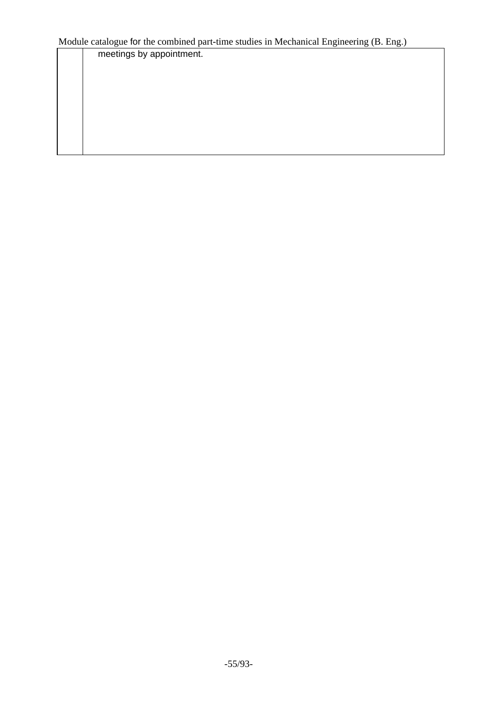meetings by appointment.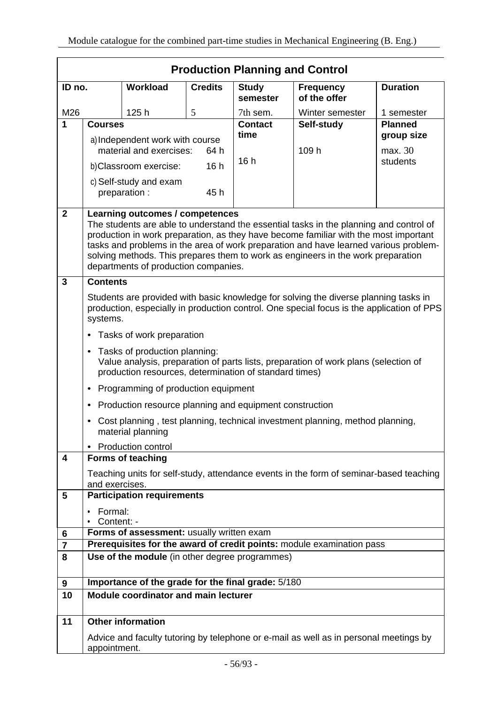|                              | <b>Production Planning and Control</b>                                                                                                                                                                                                                                                                                                                                                             |                                                         |                |                          |                                                                                        |                 |
|------------------------------|----------------------------------------------------------------------------------------------------------------------------------------------------------------------------------------------------------------------------------------------------------------------------------------------------------------------------------------------------------------------------------------------------|---------------------------------------------------------|----------------|--------------------------|----------------------------------------------------------------------------------------|-----------------|
| ID no.                       |                                                                                                                                                                                                                                                                                                                                                                                                    | <b>Workload</b>                                         | <b>Credits</b> | <b>Study</b><br>semester | <b>Frequency</b><br>of the offer                                                       | <b>Duration</b> |
| M26                          |                                                                                                                                                                                                                                                                                                                                                                                                    | 125h                                                    | 5              | 7th sem.                 | Winter semester                                                                        | 1 semester      |
| 1                            | <b>Courses</b>                                                                                                                                                                                                                                                                                                                                                                                     |                                                         |                | <b>Contact</b>           | Self-study                                                                             | <b>Planned</b>  |
|                              | a) Independent work with course                                                                                                                                                                                                                                                                                                                                                                    |                                                         | time           |                          | group size                                                                             |                 |
|                              |                                                                                                                                                                                                                                                                                                                                                                                                    | material and exercises:                                 | 64 h           |                          | 109 h                                                                                  | max. 30         |
|                              |                                                                                                                                                                                                                                                                                                                                                                                                    | b)Classroom exercise:                                   | 16h            | 16h                      |                                                                                        | students        |
|                              |                                                                                                                                                                                                                                                                                                                                                                                                    | c) Self-study and exam                                  |                |                          |                                                                                        |                 |
|                              |                                                                                                                                                                                                                                                                                                                                                                                                    | preparation :                                           | 45h            |                          |                                                                                        |                 |
| $\mathbf{2}$                 |                                                                                                                                                                                                                                                                                                                                                                                                    | Learning outcomes / competences                         |                |                          |                                                                                        |                 |
|                              | The students are able to understand the essential tasks in the planning and control of<br>production in work preparation, as they have become familiar with the most important<br>tasks and problems in the area of work preparation and have learned various problem-<br>solving methods. This prepares them to work as engineers in the work preparation<br>departments of production companies. |                                                         |                |                          |                                                                                        |                 |
| $\overline{3}$               | <b>Contents</b>                                                                                                                                                                                                                                                                                                                                                                                    |                                                         |                |                          |                                                                                        |                 |
|                              | Students are provided with basic knowledge for solving the diverse planning tasks in<br>production, especially in production control. One special focus is the application of PPS<br>systems.                                                                                                                                                                                                      |                                                         |                |                          |                                                                                        |                 |
|                              | Tasks of work preparation<br>$\bullet$                                                                                                                                                                                                                                                                                                                                                             |                                                         |                |                          |                                                                                        |                 |
|                              | Tasks of production planning:<br>$\bullet$<br>Value analysis, preparation of parts lists, preparation of work plans (selection of<br>production resources, determination of standard times)                                                                                                                                                                                                        |                                                         |                |                          |                                                                                        |                 |
|                              | ٠                                                                                                                                                                                                                                                                                                                                                                                                  | Programming of production equipment                     |                |                          |                                                                                        |                 |
|                              | $\bullet$                                                                                                                                                                                                                                                                                                                                                                                          | Production resource planning and equipment construction |                |                          |                                                                                        |                 |
|                              | ٠                                                                                                                                                                                                                                                                                                                                                                                                  | material planning                                       |                |                          | Cost planning, test planning, technical investment planning, method planning,          |                 |
|                              |                                                                                                                                                                                                                                                                                                                                                                                                    | • Production control                                    |                |                          |                                                                                        |                 |
| 4                            |                                                                                                                                                                                                                                                                                                                                                                                                    | <b>Forms of teaching</b>                                |                |                          |                                                                                        |                 |
|                              | and exercises.                                                                                                                                                                                                                                                                                                                                                                                     |                                                         |                |                          | Teaching units for self-study, attendance events in the form of seminar-based teaching |                 |
| 5                            |                                                                                                                                                                                                                                                                                                                                                                                                    | <b>Participation requirements</b>                       |                |                          |                                                                                        |                 |
|                              | Formal:<br>$\bullet$                                                                                                                                                                                                                                                                                                                                                                               |                                                         |                |                          |                                                                                        |                 |
|                              | Content: -                                                                                                                                                                                                                                                                                                                                                                                         |                                                         |                |                          |                                                                                        |                 |
| 6                            | Forms of assessment: usually written exam<br>Prerequisites for the award of credit points: module examination pass                                                                                                                                                                                                                                                                                 |                                                         |                |                          |                                                                                        |                 |
| $\overline{\mathbf{r}}$<br>8 |                                                                                                                                                                                                                                                                                                                                                                                                    |                                                         |                |                          |                                                                                        |                 |
|                              | Use of the module (in other degree programmes)                                                                                                                                                                                                                                                                                                                                                     |                                                         |                |                          |                                                                                        |                 |
| 9                            |                                                                                                                                                                                                                                                                                                                                                                                                    | Importance of the grade for the final grade: 5/180      |                |                          |                                                                                        |                 |
| 10                           |                                                                                                                                                                                                                                                                                                                                                                                                    | Module coordinator and main lecturer                    |                |                          |                                                                                        |                 |
| 11                           |                                                                                                                                                                                                                                                                                                                                                                                                    | <b>Other information</b>                                |                |                          |                                                                                        |                 |
|                              | appointment.                                                                                                                                                                                                                                                                                                                                                                                       |                                                         |                |                          | Advice and faculty tutoring by telephone or e-mail as well as in personal meetings by  |                 |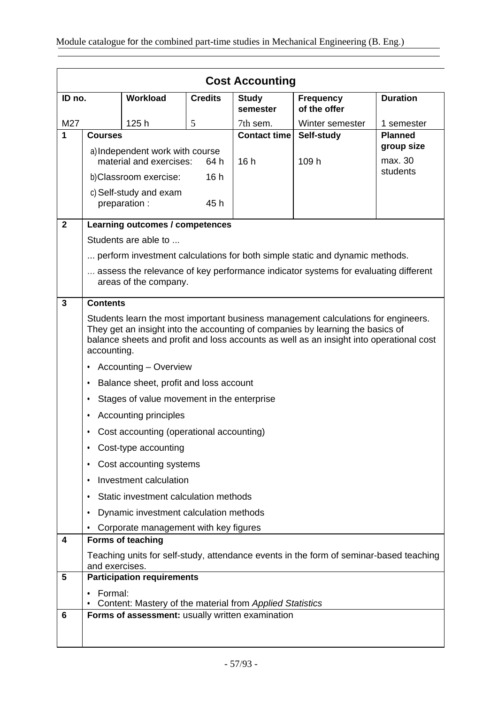|              | <b>Cost Accounting</b>                                                                                                                                                    |                                                          |                |                          |                                                                                    |                     |
|--------------|---------------------------------------------------------------------------------------------------------------------------------------------------------------------------|----------------------------------------------------------|----------------|--------------------------|------------------------------------------------------------------------------------|---------------------|
| ID no.       |                                                                                                                                                                           | <b>Workload</b>                                          | <b>Credits</b> | <b>Study</b><br>semester | <b>Frequency</b><br>of the offer                                                   | <b>Duration</b>     |
| M27          |                                                                                                                                                                           | 125h                                                     | 5              | 7th sem.                 | Winter semester                                                                    | 1 semester          |
| $\mathbf{1}$ | <b>Courses</b>                                                                                                                                                            |                                                          |                | <b>Contact time</b>      | Self-study                                                                         | <b>Planned</b>      |
|              |                                                                                                                                                                           | a) Independent work with course                          |                |                          |                                                                                    | group size          |
|              | material and exercises:<br>b)Classroom exercise:                                                                                                                          |                                                          | 64 h           | 16h                      | 109 h                                                                              | max. 30<br>students |
|              |                                                                                                                                                                           |                                                          | 16h            |                          |                                                                                    |                     |
|              |                                                                                                                                                                           | c) Self-study and exam<br>preparation :                  | 45 h           |                          |                                                                                    |                     |
|              |                                                                                                                                                                           |                                                          |                |                          |                                                                                    |                     |
| $\mathbf{2}$ |                                                                                                                                                                           | Learning outcomes / competences                          |                |                          |                                                                                    |                     |
|              |                                                                                                                                                                           | Students are able to                                     |                |                          |                                                                                    |                     |
|              |                                                                                                                                                                           |                                                          |                |                          | perform investment calculations for both simple static and dynamic methods.        |                     |
|              |                                                                                                                                                                           |                                                          |                |                          | assess the relevance of key performance indicator systems for evaluating different |                     |
|              |                                                                                                                                                                           | areas of the company.                                    |                |                          |                                                                                    |                     |
| $\mathbf{3}$ | <b>Contents</b>                                                                                                                                                           |                                                          |                |                          |                                                                                    |                     |
|              |                                                                                                                                                                           |                                                          |                |                          | Students learn the most important business management calculations for engineers.  |                     |
|              | They get an insight into the accounting of companies by learning the basics of<br>balance sheets and profit and loss accounts as well as an insight into operational cost |                                                          |                |                          |                                                                                    |                     |
|              | accounting.                                                                                                                                                               |                                                          |                |                          |                                                                                    |                     |
|              | Accounting - Overview<br>$\bullet$                                                                                                                                        |                                                          |                |                          |                                                                                    |                     |
|              | Balance sheet, profit and loss account<br>$\bullet$                                                                                                                       |                                                          |                |                          |                                                                                    |                     |
|              | ٠                                                                                                                                                                         | Stages of value movement in the enterprise               |                |                          |                                                                                    |                     |
|              | ٠                                                                                                                                                                         | Accounting principles                                    |                |                          |                                                                                    |                     |
|              | $\bullet$                                                                                                                                                                 | Cost accounting (operational accounting)                 |                |                          |                                                                                    |                     |
|              | ٠                                                                                                                                                                         | Cost-type accounting                                     |                |                          |                                                                                    |                     |
|              | ٠                                                                                                                                                                         | Cost accounting systems                                  |                |                          |                                                                                    |                     |
|              | ٠                                                                                                                                                                         | Investment calculation                                   |                |                          |                                                                                    |                     |
|              | $\bullet$                                                                                                                                                                 | Static investment calculation methods                    |                |                          |                                                                                    |                     |
|              | $\bullet$                                                                                                                                                                 | Dynamic investment calculation methods                   |                |                          |                                                                                    |                     |
|              | $\bullet$                                                                                                                                                                 | Corporate management with key figures                    |                |                          |                                                                                    |                     |
| 4            |                                                                                                                                                                           | Forms of teaching                                        |                |                          |                                                                                    |                     |
|              | Teaching units for self-study, attendance events in the form of seminar-based teaching<br>and exercises.                                                                  |                                                          |                |                          |                                                                                    |                     |
| 5            |                                                                                                                                                                           | <b>Participation requirements</b>                        |                |                          |                                                                                    |                     |
|              | Formal:<br>٠                                                                                                                                                              |                                                          |                |                          |                                                                                    |                     |
|              |                                                                                                                                                                           | Content: Mastery of the material from Applied Statistics |                |                          |                                                                                    |                     |
| 6            |                                                                                                                                                                           | Forms of assessment: usually written examination         |                |                          |                                                                                    |                     |
|              |                                                                                                                                                                           |                                                          |                |                          |                                                                                    |                     |
|              |                                                                                                                                                                           |                                                          |                |                          |                                                                                    |                     |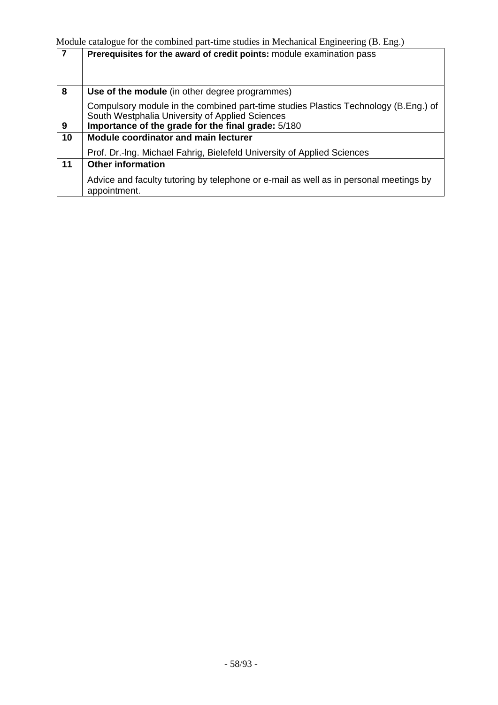|    | Prerequisites for the award of credit points: module examination pass                                                                  |
|----|----------------------------------------------------------------------------------------------------------------------------------------|
|    |                                                                                                                                        |
| 8  | Use of the module (in other degree programmes)                                                                                         |
|    | Compulsory module in the combined part-time studies Plastics Technology (B.Eng.) of<br>South Westphalia University of Applied Sciences |
| 9  | Importance of the grade for the final grade: 5/180                                                                                     |
| 10 | Module coordinator and main lecturer                                                                                                   |
|    | Prof. Dr.-Ing. Michael Fahrig, Bielefeld University of Applied Sciences                                                                |
| 11 | <b>Other information</b>                                                                                                               |
|    | Advice and faculty tutoring by telephone or e-mail as well as in personal meetings by<br>appointment.                                  |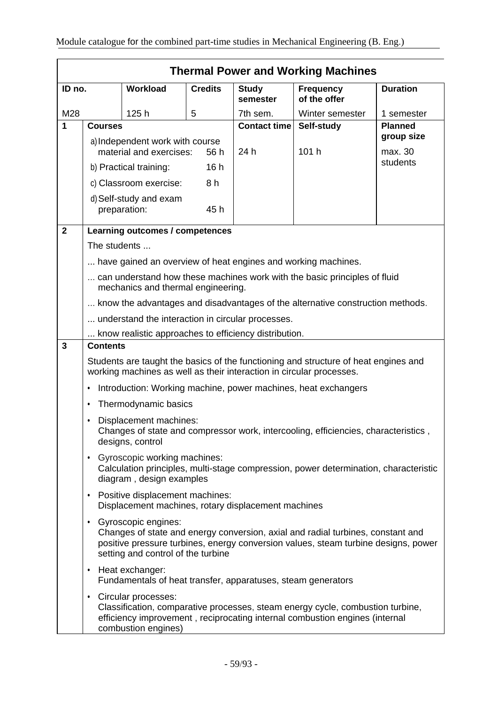|                |                                                                                                                                                               |                                                                                 |                |                          | <b>Thermal Power and Working Machines</b>                                                                                                                             |                 |
|----------------|---------------------------------------------------------------------------------------------------------------------------------------------------------------|---------------------------------------------------------------------------------|----------------|--------------------------|-----------------------------------------------------------------------------------------------------------------------------------------------------------------------|-----------------|
| ID no.         |                                                                                                                                                               | Workload                                                                        | <b>Credits</b> | <b>Study</b><br>semester | <b>Frequency</b><br>of the offer                                                                                                                                      | <b>Duration</b> |
| M28            |                                                                                                                                                               | 125h                                                                            | 5              | 7th sem.                 | Winter semester                                                                                                                                                       | 1 semester      |
| 1              | <b>Courses</b>                                                                                                                                                |                                                                                 |                | <b>Contact time</b>      | Self-study                                                                                                                                                            | <b>Planned</b>  |
|                |                                                                                                                                                               | a) Independent work with course                                                 |                |                          |                                                                                                                                                                       | group size      |
|                |                                                                                                                                                               | material and exercises:                                                         | 56 h           | 24 h                     | 101 h                                                                                                                                                                 | max. 30         |
|                |                                                                                                                                                               | b) Practical training:                                                          | 16h            |                          |                                                                                                                                                                       | students        |
|                |                                                                                                                                                               | c) Classroom exercise:                                                          | 8 h            |                          |                                                                                                                                                                       |                 |
|                |                                                                                                                                                               | d) Self-study and exam<br>preparation:                                          | 45 h           |                          |                                                                                                                                                                       |                 |
| $\overline{2}$ |                                                                                                                                                               | <b>Learning outcomes / competences</b>                                          |                |                          |                                                                                                                                                                       |                 |
|                | The students                                                                                                                                                  |                                                                                 |                |                          |                                                                                                                                                                       |                 |
|                |                                                                                                                                                               |                                                                                 |                |                          | have gained an overview of heat engines and working machines.                                                                                                         |                 |
|                | can understand how these machines work with the basic principles of fluid<br>mechanics and thermal engineering.                                               |                                                                                 |                |                          |                                                                                                                                                                       |                 |
|                | know the advantages and disadvantages of the alternative construction methods.                                                                                |                                                                                 |                |                          |                                                                                                                                                                       |                 |
|                | understand the interaction in circular processes.                                                                                                             |                                                                                 |                |                          |                                                                                                                                                                       |                 |
|                |                                                                                                                                                               | know realistic approaches to efficiency distribution.                           |                |                          |                                                                                                                                                                       |                 |
| 3              | <b>Contents</b>                                                                                                                                               |                                                                                 |                |                          |                                                                                                                                                                       |                 |
|                | Students are taught the basics of the functioning and structure of heat engines and<br>working machines as well as their interaction in circular processes.   |                                                                                 |                |                          |                                                                                                                                                                       |                 |
|                | Introduction: Working machine, power machines, heat exchangers<br>٠                                                                                           |                                                                                 |                |                          |                                                                                                                                                                       |                 |
|                | $\bullet$                                                                                                                                                     | Thermodynamic basics                                                            |                |                          |                                                                                                                                                                       |                 |
|                | $\bullet$                                                                                                                                                     | Displacement machines:<br>designs, control                                      |                |                          | Changes of state and compressor work, intercooling, efficiencies, characteristics,                                                                                    |                 |
|                | Gyroscopic working machines:<br>$\bullet$<br>Calculation principles, multi-stage compression, power determination, characteristic<br>diagram, design examples |                                                                                 |                |                          |                                                                                                                                                                       |                 |
|                | Positive displacement machines:<br>$\bullet$<br>Displacement machines, rotary displacement machines                                                           |                                                                                 |                |                          |                                                                                                                                                                       |                 |
|                | $\bullet$                                                                                                                                                     | Gyroscopic engines:<br>setting and control of the turbine                       |                |                          | Changes of state and energy conversion, axial and radial turbines, constant and<br>positive pressure turbines, energy conversion values, steam turbine designs, power |                 |
|                | ٠                                                                                                                                                             | Heat exchanger:<br>Fundamentals of heat transfer, apparatuses, steam generators |                |                          |                                                                                                                                                                       |                 |
|                | ٠                                                                                                                                                             | Circular processes:<br>combustion engines)                                      |                |                          | Classification, comparative processes, steam energy cycle, combustion turbine,<br>efficiency improvement, reciprocating internal combustion engines (internal         |                 |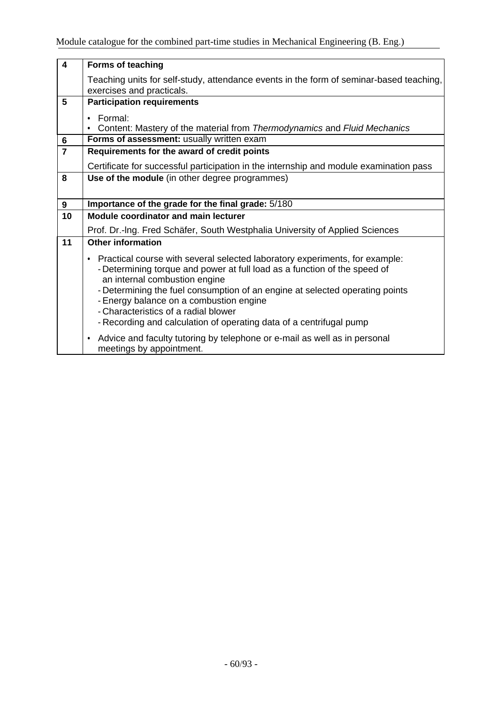| $\boldsymbol{4}$ | <b>Forms of teaching</b>                                                                                                                                                                                                                                                                                                                                                                                                              |
|------------------|---------------------------------------------------------------------------------------------------------------------------------------------------------------------------------------------------------------------------------------------------------------------------------------------------------------------------------------------------------------------------------------------------------------------------------------|
|                  | Teaching units for self-study, attendance events in the form of seminar-based teaching,<br>exercises and practicals.                                                                                                                                                                                                                                                                                                                  |
| 5                | <b>Participation requirements</b>                                                                                                                                                                                                                                                                                                                                                                                                     |
|                  | Formal:<br>$\bullet$                                                                                                                                                                                                                                                                                                                                                                                                                  |
|                  | Content: Mastery of the material from Thermodynamics and Fluid Mechanics                                                                                                                                                                                                                                                                                                                                                              |
| $6\phantom{1}$   | Forms of assessment: usually written exam                                                                                                                                                                                                                                                                                                                                                                                             |
| $\overline{7}$   | Requirements for the award of credit points                                                                                                                                                                                                                                                                                                                                                                                           |
|                  | Certificate for successful participation in the internship and module examination pass                                                                                                                                                                                                                                                                                                                                                |
| 8                | Use of the module (in other degree programmes)                                                                                                                                                                                                                                                                                                                                                                                        |
|                  |                                                                                                                                                                                                                                                                                                                                                                                                                                       |
| 9                | Importance of the grade for the final grade: 5/180                                                                                                                                                                                                                                                                                                                                                                                    |
| 10               | Module coordinator and main lecturer                                                                                                                                                                                                                                                                                                                                                                                                  |
|                  | Prof. Dr.-Ing. Fred Schäfer, South Westphalia University of Applied Sciences                                                                                                                                                                                                                                                                                                                                                          |
| 11               | <b>Other information</b>                                                                                                                                                                                                                                                                                                                                                                                                              |
|                  | • Practical course with several selected laboratory experiments, for example:<br>- Determining torque and power at full load as a function of the speed of<br>an internal combustion engine<br>- Determining the fuel consumption of an engine at selected operating points<br>- Energy balance on a combustion engine<br>- Characteristics of a radial blower<br>- Recording and calculation of operating data of a centrifugal pump |
|                  | • Advice and faculty tutoring by telephone or e-mail as well as in personal<br>meetings by appointment.                                                                                                                                                                                                                                                                                                                               |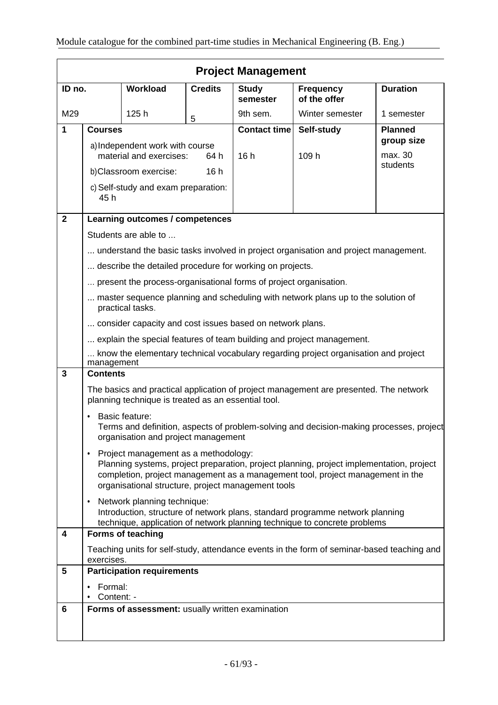|              | <b>Project Management</b>                                                                                                                                                                                                                                                             |                                                                   |                |                          |                                                                                     |                       |
|--------------|---------------------------------------------------------------------------------------------------------------------------------------------------------------------------------------------------------------------------------------------------------------------------------------|-------------------------------------------------------------------|----------------|--------------------------|-------------------------------------------------------------------------------------|-----------------------|
| ID no.       |                                                                                                                                                                                                                                                                                       | Workload                                                          | <b>Credits</b> | <b>Study</b><br>semester | <b>Frequency</b><br>of the offer                                                    | <b>Duration</b>       |
| M29          |                                                                                                                                                                                                                                                                                       | 125h                                                              | 5              | 9th sem.                 | Winter semester                                                                     | 1 semester            |
| 1            | <b>Courses</b>                                                                                                                                                                                                                                                                        |                                                                   |                | <b>Contact time</b>      | Self-study                                                                          | <b>Planned</b>        |
|              |                                                                                                                                                                                                                                                                                       | a) Independent work with course<br>material and exercises:        | 64 h           | 16h                      | 109 h                                                                               | group size<br>max. 30 |
|              |                                                                                                                                                                                                                                                                                       | b)Classroom exercise:                                             | 16h            |                          |                                                                                     | students              |
|              | c) Self-study and exam preparation:<br>45 h                                                                                                                                                                                                                                           |                                                                   |                |                          |                                                                                     |                       |
| $\mathbf{2}$ |                                                                                                                                                                                                                                                                                       | Learning outcomes / competences                                   |                |                          |                                                                                     |                       |
|              |                                                                                                                                                                                                                                                                                       | Students are able to                                              |                |                          |                                                                                     |                       |
|              |                                                                                                                                                                                                                                                                                       |                                                                   |                |                          | understand the basic tasks involved in project organisation and project management. |                       |
|              |                                                                                                                                                                                                                                                                                       | describe the detailed procedure for working on projects.          |                |                          |                                                                                     |                       |
|              |                                                                                                                                                                                                                                                                                       | present the process-organisational forms of project organisation. |                |                          |                                                                                     |                       |
|              | master sequence planning and scheduling with network plans up to the solution of<br>practical tasks.                                                                                                                                                                                  |                                                                   |                |                          |                                                                                     |                       |
|              | consider capacity and cost issues based on network plans.                                                                                                                                                                                                                             |                                                                   |                |                          |                                                                                     |                       |
|              | explain the special features of team building and project management.                                                                                                                                                                                                                 |                                                                   |                |                          |                                                                                     |                       |
|              | know the elementary technical vocabulary regarding project organisation and project<br>management                                                                                                                                                                                     |                                                                   |                |                          |                                                                                     |                       |
| 3            | <b>Contents</b>                                                                                                                                                                                                                                                                       |                                                                   |                |                          |                                                                                     |                       |
|              | The basics and practical application of project management are presented. The network<br>planning technique is treated as an essential tool.                                                                                                                                          |                                                                   |                |                          |                                                                                     |                       |
|              | <b>Basic feature:</b><br>Terms and definition, aspects of problem-solving and decision-making processes, project<br>organisation and project management                                                                                                                               |                                                                   |                |                          |                                                                                     |                       |
|              | Project management as a methodology:<br>$\bullet$<br>Planning systems, project preparation, project planning, project implementation, project<br>completion, project management as a management tool, project management in the<br>organisational structure, project management tools |                                                                   |                |                          |                                                                                     |                       |
|              | Network planning technique:<br>٠<br>Introduction, structure of network plans, standard programme network planning<br>technique, application of network planning technique to concrete problems                                                                                        |                                                                   |                |                          |                                                                                     |                       |
| 4            |                                                                                                                                                                                                                                                                                       | <b>Forms of teaching</b>                                          |                |                          |                                                                                     |                       |
|              | Teaching units for self-study, attendance events in the form of seminar-based teaching and<br>exercises.                                                                                                                                                                              |                                                                   |                |                          |                                                                                     |                       |
| 5            |                                                                                                                                                                                                                                                                                       | <b>Participation requirements</b>                                 |                |                          |                                                                                     |                       |
|              | Formal:<br>Content: -                                                                                                                                                                                                                                                                 |                                                                   |                |                          |                                                                                     |                       |
| 6            |                                                                                                                                                                                                                                                                                       | Forms of assessment: usually written examination                  |                |                          |                                                                                     |                       |
|              |                                                                                                                                                                                                                                                                                       |                                                                   |                |                          |                                                                                     |                       |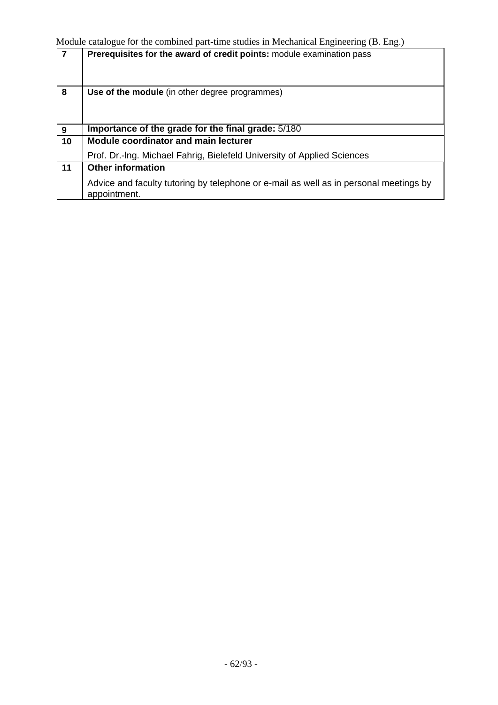| $\overline{7}$ | Prerequisites for the award of credit points: module examination pass                                 |
|----------------|-------------------------------------------------------------------------------------------------------|
| 8              | Use of the module (in other degree programmes)                                                        |
| 9              | Importance of the grade for the final grade: 5/180                                                    |
| 10             | <b>Module coordinator and main lecturer</b>                                                           |
|                | Prof. Dr.-Ing. Michael Fahrig, Bielefeld University of Applied Sciences                               |
| 11             | <b>Other information</b>                                                                              |
|                | Advice and faculty tutoring by telephone or e-mail as well as in personal meetings by<br>appointment. |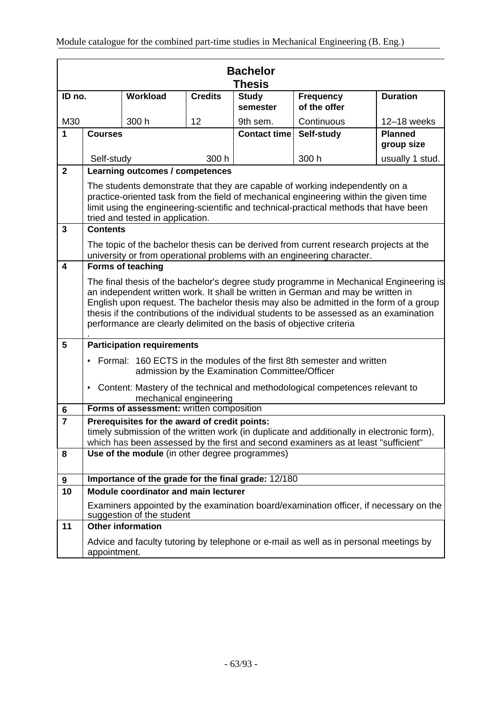|                         | <b>Bachelor</b><br>Thesis                                                                                                                                                                                                                                                                                                                                                                                                              |                                                                                                                    |                |                          |                                                                                                                                                                                                                                                                |                              |  |
|-------------------------|----------------------------------------------------------------------------------------------------------------------------------------------------------------------------------------------------------------------------------------------------------------------------------------------------------------------------------------------------------------------------------------------------------------------------------------|--------------------------------------------------------------------------------------------------------------------|----------------|--------------------------|----------------------------------------------------------------------------------------------------------------------------------------------------------------------------------------------------------------------------------------------------------------|------------------------------|--|
| ID no.                  |                                                                                                                                                                                                                                                                                                                                                                                                                                        | Workload                                                                                                           | <b>Credits</b> | <b>Study</b><br>semester | <b>Frequency</b><br>of the offer                                                                                                                                                                                                                               | <b>Duration</b>              |  |
| M30                     |                                                                                                                                                                                                                                                                                                                                                                                                                                        | 300 h                                                                                                              | 12             | 9th sem.                 | Continuous                                                                                                                                                                                                                                                     | 12-18 weeks                  |  |
| $\mathbf{1}$            | <b>Courses</b>                                                                                                                                                                                                                                                                                                                                                                                                                         |                                                                                                                    |                | <b>Contact time</b>      | Self-study                                                                                                                                                                                                                                                     | <b>Planned</b><br>group size |  |
|                         | Self-study                                                                                                                                                                                                                                                                                                                                                                                                                             |                                                                                                                    | 300 h          |                          | 300 h                                                                                                                                                                                                                                                          | usually 1 stud.              |  |
| $\overline{2}$          |                                                                                                                                                                                                                                                                                                                                                                                                                                        | Learning outcomes / competences                                                                                    |                |                          |                                                                                                                                                                                                                                                                |                              |  |
|                         |                                                                                                                                                                                                                                                                                                                                                                                                                                        | tried and tested in application.                                                                                   |                |                          | The students demonstrate that they are capable of working independently on a<br>practice-oriented task from the field of mechanical engineering within the given time<br>limit using the engineering-scientific and technical-practical methods that have been |                              |  |
| 3                       | <b>Contents</b>                                                                                                                                                                                                                                                                                                                                                                                                                        |                                                                                                                    |                |                          |                                                                                                                                                                                                                                                                |                              |  |
|                         |                                                                                                                                                                                                                                                                                                                                                                                                                                        |                                                                                                                    |                |                          | The topic of the bachelor thesis can be derived from current research projects at the<br>university or from operational problems with an engineering character.                                                                                                |                              |  |
| $\overline{\mathbf{4}}$ |                                                                                                                                                                                                                                                                                                                                                                                                                                        | <b>Forms of teaching</b>                                                                                           |                |                          |                                                                                                                                                                                                                                                                |                              |  |
|                         | The final thesis of the bachelor's degree study programme in Mechanical Engineering is<br>an independent written work. It shall be written in German and may be written in<br>English upon request. The bachelor thesis may also be admitted in the form of a group<br>thesis if the contributions of the individual students to be assessed as an examination<br>performance are clearly delimited on the basis of objective criteria |                                                                                                                    |                |                          |                                                                                                                                                                                                                                                                |                              |  |
| 5                       |                                                                                                                                                                                                                                                                                                                                                                                                                                        | <b>Participation requirements</b>                                                                                  |                |                          |                                                                                                                                                                                                                                                                |                              |  |
|                         | • Formal: 160 ECTS in the modules of the first 8th semester and written<br>admission by the Examination Committee/Officer                                                                                                                                                                                                                                                                                                              |                                                                                                                    |                |                          |                                                                                                                                                                                                                                                                |                              |  |
|                         | • Content: Mastery of the technical and methodological competences relevant to<br>mechanical engineering                                                                                                                                                                                                                                                                                                                               |                                                                                                                    |                |                          |                                                                                                                                                                                                                                                                |                              |  |
| 6                       | Forms of assessment: written composition                                                                                                                                                                                                                                                                                                                                                                                               |                                                                                                                    |                |                          |                                                                                                                                                                                                                                                                |                              |  |
| $\overline{7}$          | Prerequisites for the award of credit points:<br>timely submission of the written work (in duplicate and additionally in electronic form),<br>which has been assessed by the first and second examiners as at least "sufficient"                                                                                                                                                                                                       |                                                                                                                    |                |                          |                                                                                                                                                                                                                                                                |                              |  |
| 8                       | Use of the module (in other degree programmes)                                                                                                                                                                                                                                                                                                                                                                                         |                                                                                                                    |                |                          |                                                                                                                                                                                                                                                                |                              |  |
| 9                       | Importance of the grade for the final grade: 12/180                                                                                                                                                                                                                                                                                                                                                                                    |                                                                                                                    |                |                          |                                                                                                                                                                                                                                                                |                              |  |
| 10                      |                                                                                                                                                                                                                                                                                                                                                                                                                                        | Module coordinator and main lecturer                                                                               |                |                          |                                                                                                                                                                                                                                                                |                              |  |
|                         |                                                                                                                                                                                                                                                                                                                                                                                                                                        | Examiners appointed by the examination board/examination officer, if necessary on the<br>suggestion of the student |                |                          |                                                                                                                                                                                                                                                                |                              |  |
| 11                      |                                                                                                                                                                                                                                                                                                                                                                                                                                        | <b>Other information</b>                                                                                           |                |                          |                                                                                                                                                                                                                                                                |                              |  |
|                         | Advice and faculty tutoring by telephone or e-mail as well as in personal meetings by<br>appointment.                                                                                                                                                                                                                                                                                                                                  |                                                                                                                    |                |                          |                                                                                                                                                                                                                                                                |                              |  |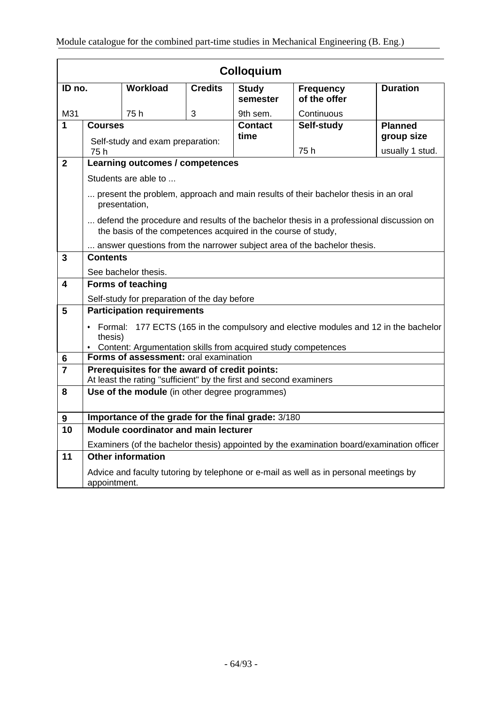| <b>Colloquium</b> |                                                                                                                                                                     |                                                               |                |                          |                                                                                           |                 |
|-------------------|---------------------------------------------------------------------------------------------------------------------------------------------------------------------|---------------------------------------------------------------|----------------|--------------------------|-------------------------------------------------------------------------------------------|-----------------|
| ID no.            |                                                                                                                                                                     | Workload                                                      | <b>Credits</b> | <b>Study</b><br>semester | <b>Frequency</b><br>of the offer                                                          | <b>Duration</b> |
| M31               |                                                                                                                                                                     | 75h                                                           | 3              | 9th sem.                 | Continuous                                                                                |                 |
| $\mathbf{1}$      | <b>Courses</b>                                                                                                                                                      |                                                               |                | <b>Contact</b>           | Self-study                                                                                | <b>Planned</b>  |
|                   |                                                                                                                                                                     | Self-study and exam preparation:                              |                | time                     |                                                                                           | group size      |
|                   | 75 h                                                                                                                                                                |                                                               |                |                          | 75h                                                                                       | usually 1 stud. |
| $\overline{2}$    |                                                                                                                                                                     | Learning outcomes / competences                               |                |                          |                                                                                           |                 |
|                   |                                                                                                                                                                     | Students are able to                                          |                |                          |                                                                                           |                 |
|                   |                                                                                                                                                                     | presentation,                                                 |                |                          | present the problem, approach and main results of their bachelor thesis in an oral        |                 |
|                   |                                                                                                                                                                     | the basis of the competences acquired in the course of study, |                |                          | defend the procedure and results of the bachelor thesis in a professional discussion on   |                 |
|                   |                                                                                                                                                                     |                                                               |                |                          | answer questions from the narrower subject area of the bachelor thesis.                   |                 |
| $\mathbf{3}$      | <b>Contents</b>                                                                                                                                                     |                                                               |                |                          |                                                                                           |                 |
|                   | See bachelor thesis.                                                                                                                                                |                                                               |                |                          |                                                                                           |                 |
| 4                 | <b>Forms of teaching</b>                                                                                                                                            |                                                               |                |                          |                                                                                           |                 |
|                   | Self-study for preparation of the day before                                                                                                                        |                                                               |                |                          |                                                                                           |                 |
| 5                 | <b>Participation requirements</b>                                                                                                                                   |                                                               |                |                          |                                                                                           |                 |
|                   | • Formal: 177 ECTS (165 in the compulsory and elective modules and 12 in the bachelor<br>thesis)<br>• Content: Argumentation skills from acquired study competences |                                                               |                |                          |                                                                                           |                 |
| 6                 |                                                                                                                                                                     | Forms of assessment: oral examination                         |                |                          |                                                                                           |                 |
| $\overline{7}$    | Prerequisites for the award of credit points:                                                                                                                       |                                                               |                |                          |                                                                                           |                 |
|                   | At least the rating "sufficient" by the first and second examiners                                                                                                  |                                                               |                |                          |                                                                                           |                 |
| 8                 | Use of the module (in other degree programmes)                                                                                                                      |                                                               |                |                          |                                                                                           |                 |
| $\boldsymbol{9}$  | Importance of the grade for the final grade: 3/180                                                                                                                  |                                                               |                |                          |                                                                                           |                 |
| 10                |                                                                                                                                                                     | Module coordinator and main lecturer                          |                |                          |                                                                                           |                 |
|                   |                                                                                                                                                                     |                                                               |                |                          | Examiners (of the bachelor thesis) appointed by the examination board/examination officer |                 |
| 11                |                                                                                                                                                                     | <b>Other information</b>                                      |                |                          |                                                                                           |                 |
|                   | Advice and faculty tutoring by telephone or e-mail as well as in personal meetings by<br>appointment.                                                               |                                                               |                |                          |                                                                                           |                 |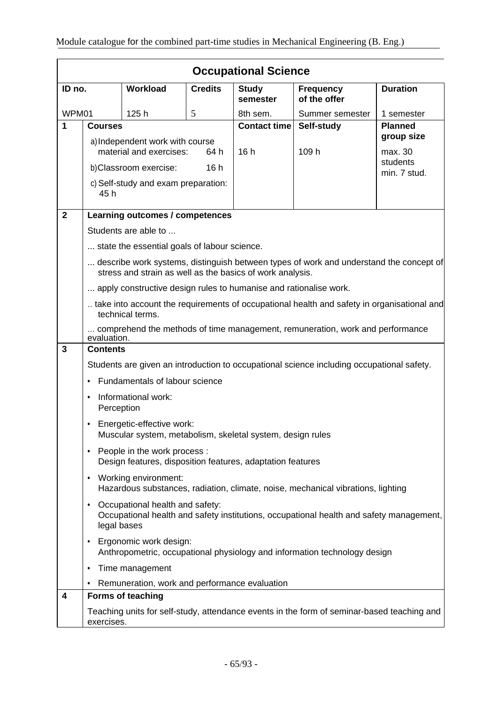|                | <b>Occupational Science</b>                                                                                                                            |                                                                   |                |                          |                                                                                            |                          |  |
|----------------|--------------------------------------------------------------------------------------------------------------------------------------------------------|-------------------------------------------------------------------|----------------|--------------------------|--------------------------------------------------------------------------------------------|--------------------------|--|
| ID no.         |                                                                                                                                                        | Workload                                                          | <b>Credits</b> | <b>Study</b><br>semester | <b>Frequency</b><br>of the offer                                                           | <b>Duration</b>          |  |
| WPM01          |                                                                                                                                                        | 125h                                                              | 5              | 8th sem.                 | Summer semester                                                                            | 1 semester               |  |
| 1              | <b>Courses</b>                                                                                                                                         |                                                                   |                | <b>Contact time</b>      | Self-study                                                                                 | <b>Planned</b>           |  |
|                |                                                                                                                                                        | a) Independent work with course                                   |                |                          |                                                                                            | group size               |  |
|                |                                                                                                                                                        | material and exercises:                                           | 64 h           | 16h                      | 109 h                                                                                      | max. 30                  |  |
|                |                                                                                                                                                        | b)Classroom exercise:                                             | 16h            |                          |                                                                                            | students<br>min. 7 stud. |  |
|                | 45 h                                                                                                                                                   | c) Self-study and exam preparation:                               |                |                          |                                                                                            |                          |  |
| $\overline{2}$ |                                                                                                                                                        | Learning outcomes / competences                                   |                |                          |                                                                                            |                          |  |
|                |                                                                                                                                                        | Students are able to                                              |                |                          |                                                                                            |                          |  |
|                |                                                                                                                                                        | state the essential goals of labour science.                      |                |                          |                                                                                            |                          |  |
|                |                                                                                                                                                        | stress and strain as well as the basics of work analysis.         |                |                          | describe work systems, distinguish between types of work and understand the concept of     |                          |  |
|                |                                                                                                                                                        | apply constructive design rules to humanise and rationalise work. |                |                          |                                                                                            |                          |  |
|                | take into account the requirements of occupational health and safety in organisational and<br>technical terms.                                         |                                                                   |                |                          |                                                                                            |                          |  |
|                | comprehend the methods of time management, remuneration, work and performance<br>evaluation.                                                           |                                                                   |                |                          |                                                                                            |                          |  |
| 3              | <b>Contents</b>                                                                                                                                        |                                                                   |                |                          |                                                                                            |                          |  |
|                |                                                                                                                                                        |                                                                   |                |                          | Students are given an introduction to occupational science including occupational safety.  |                          |  |
|                | Fundamentals of labour science                                                                                                                         |                                                                   |                |                          |                                                                                            |                          |  |
|                | Informational work:<br>$\bullet$<br>Perception                                                                                                         |                                                                   |                |                          |                                                                                            |                          |  |
|                | Energetic-effective work:<br>Muscular system, metabolism, skeletal system, design rules                                                                |                                                                   |                |                          |                                                                                            |                          |  |
|                | People in the work process :<br>٠<br>Design features, disposition features, adaptation features                                                        |                                                                   |                |                          |                                                                                            |                          |  |
|                | Working environment:<br>$\bullet$<br>Hazardous substances, radiation, climate, noise, mechanical vibrations, lighting                                  |                                                                   |                |                          |                                                                                            |                          |  |
|                | Occupational health and safety:<br>$\bullet$<br>Occupational health and safety institutions, occupational health and safety management,<br>legal bases |                                                                   |                |                          |                                                                                            |                          |  |
|                | ٠                                                                                                                                                      | Ergonomic work design:                                            |                |                          | Anthropometric, occupational physiology and information technology design                  |                          |  |
|                | ٠                                                                                                                                                      | Time management                                                   |                |                          |                                                                                            |                          |  |
|                |                                                                                                                                                        | Remuneration, work and performance evaluation                     |                |                          |                                                                                            |                          |  |
| 4              |                                                                                                                                                        | <b>Forms of teaching</b>                                          |                |                          |                                                                                            |                          |  |
|                | exercises.                                                                                                                                             |                                                                   |                |                          | Teaching units for self-study, attendance events in the form of seminar-based teaching and |                          |  |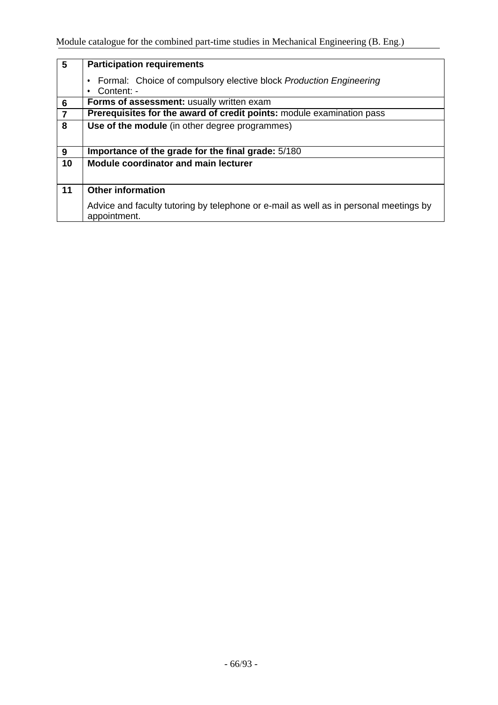| 5              | <b>Participation requirements</b>                                                                     |  |  |  |  |  |  |
|----------------|-------------------------------------------------------------------------------------------------------|--|--|--|--|--|--|
|                |                                                                                                       |  |  |  |  |  |  |
|                | Formal: Choice of compulsory elective block Production Engineering                                    |  |  |  |  |  |  |
|                | Content: -                                                                                            |  |  |  |  |  |  |
|                |                                                                                                       |  |  |  |  |  |  |
| $6\phantom{1}$ | Forms of assessment: usually written exam                                                             |  |  |  |  |  |  |
| $\overline{7}$ | Prerequisites for the award of credit points: module examination pass                                 |  |  |  |  |  |  |
| 8              | Use of the module (in other degree programmes)                                                        |  |  |  |  |  |  |
|                |                                                                                                       |  |  |  |  |  |  |
|                |                                                                                                       |  |  |  |  |  |  |
| 9              | Importance of the grade for the final grade: 5/180                                                    |  |  |  |  |  |  |
| 10             | <b>Module coordinator and main lecturer</b>                                                           |  |  |  |  |  |  |
|                |                                                                                                       |  |  |  |  |  |  |
|                |                                                                                                       |  |  |  |  |  |  |
| 11             | <b>Other information</b>                                                                              |  |  |  |  |  |  |
|                |                                                                                                       |  |  |  |  |  |  |
|                |                                                                                                       |  |  |  |  |  |  |
|                |                                                                                                       |  |  |  |  |  |  |
|                |                                                                                                       |  |  |  |  |  |  |
|                | Advice and faculty tutoring by telephone or e-mail as well as in personal meetings by<br>appointment. |  |  |  |  |  |  |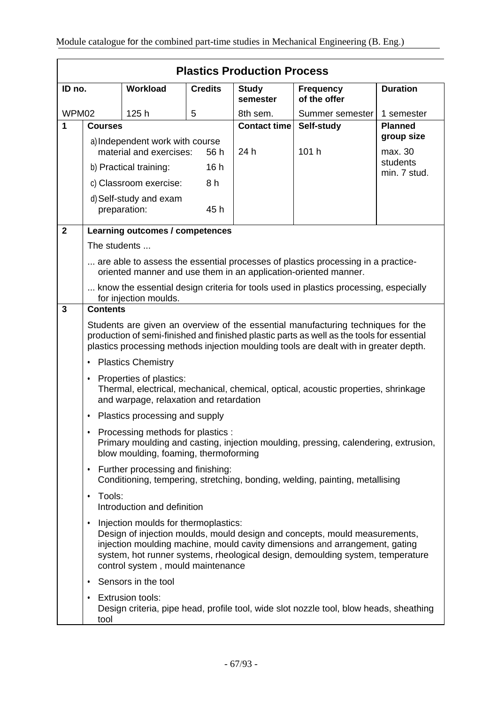|                | <b>Plastics Production Process</b>                                                                                                                                                                                                                                                                                                    |                                        |                |                          |                                                                                                                                                     |                          |  |
|----------------|---------------------------------------------------------------------------------------------------------------------------------------------------------------------------------------------------------------------------------------------------------------------------------------------------------------------------------------|----------------------------------------|----------------|--------------------------|-----------------------------------------------------------------------------------------------------------------------------------------------------|--------------------------|--|
| ID no.         |                                                                                                                                                                                                                                                                                                                                       | <b>Workload</b>                        | <b>Credits</b> | <b>Study</b><br>semester | <b>Frequency</b><br>of the offer                                                                                                                    | <b>Duration</b>          |  |
| WPM02          |                                                                                                                                                                                                                                                                                                                                       | 125h                                   | 5              | 8th sem.                 | Summer semester                                                                                                                                     | 1 semester               |  |
| 1              | <b>Courses</b>                                                                                                                                                                                                                                                                                                                        |                                        |                | <b>Contact time</b>      | Self-study                                                                                                                                          | <b>Planned</b>           |  |
|                |                                                                                                                                                                                                                                                                                                                                       | a) Independent work with course        |                |                          |                                                                                                                                                     | group size               |  |
|                |                                                                                                                                                                                                                                                                                                                                       | material and exercises:                | 56 h           | 24 h                     | 101 h                                                                                                                                               | max. 30                  |  |
|                |                                                                                                                                                                                                                                                                                                                                       | b) Practical training:                 | 16h            |                          |                                                                                                                                                     | students<br>min. 7 stud. |  |
|                |                                                                                                                                                                                                                                                                                                                                       | c) Classroom exercise:                 | 8 h            |                          |                                                                                                                                                     |                          |  |
|                |                                                                                                                                                                                                                                                                                                                                       | d) Self-study and exam<br>preparation: | 45 h           |                          |                                                                                                                                                     |                          |  |
| $\overline{2}$ |                                                                                                                                                                                                                                                                                                                                       | Learning outcomes / competences        |                |                          |                                                                                                                                                     |                          |  |
|                | The students                                                                                                                                                                                                                                                                                                                          |                                        |                |                          |                                                                                                                                                     |                          |  |
|                |                                                                                                                                                                                                                                                                                                                                       |                                        |                |                          | are able to assess the essential processes of plastics processing in a practice-<br>oriented manner and use them in an application-oriented manner. |                          |  |
|                | know the essential design criteria for tools used in plastics processing, especially<br>for injection moulds.                                                                                                                                                                                                                         |                                        |                |                          |                                                                                                                                                     |                          |  |
| 3              | <b>Contents</b>                                                                                                                                                                                                                                                                                                                       |                                        |                |                          |                                                                                                                                                     |                          |  |
|                | Students are given an overview of the essential manufacturing techniques for the<br>production of semi-finished and finished plastic parts as well as the tools for essential<br>plastics processing methods injection moulding tools are dealt with in greater depth.                                                                |                                        |                |                          |                                                                                                                                                     |                          |  |
|                | <b>Plastics Chemistry</b><br>٠                                                                                                                                                                                                                                                                                                        |                                        |                |                          |                                                                                                                                                     |                          |  |
|                | Properties of plastics:<br>$\bullet$<br>Thermal, electrical, mechanical, chemical, optical, acoustic properties, shrinkage<br>and warpage, relaxation and retardation                                                                                                                                                                 |                                        |                |                          |                                                                                                                                                     |                          |  |
|                | Plastics processing and supply<br>$\bullet$                                                                                                                                                                                                                                                                                           |                                        |                |                          |                                                                                                                                                     |                          |  |
|                | Processing methods for plastics :<br>Primary moulding and casting, injection moulding, pressing, calendering, extrusion,<br>blow moulding, foaming, thermoforming                                                                                                                                                                     |                                        |                |                          |                                                                                                                                                     |                          |  |
|                | Further processing and finishing:<br>٠<br>Conditioning, tempering, stretching, bonding, welding, painting, metallising                                                                                                                                                                                                                |                                        |                |                          |                                                                                                                                                     |                          |  |
|                | Tools:<br>٠<br>Introduction and definition                                                                                                                                                                                                                                                                                            |                                        |                |                          |                                                                                                                                                     |                          |  |
|                | Injection moulds for thermoplastics:<br>$\bullet$<br>Design of injection moulds, mould design and concepts, mould measurements,<br>injection moulding machine, mould cavity dimensions and arrangement, gating<br>system, hot runner systems, rheological design, demoulding system, temperature<br>control system, mould maintenance |                                        |                |                          |                                                                                                                                                     |                          |  |
|                | ٠                                                                                                                                                                                                                                                                                                                                     | Sensors in the tool                    |                |                          |                                                                                                                                                     |                          |  |
|                | ٠<br>tool                                                                                                                                                                                                                                                                                                                             | <b>Extrusion tools:</b>                |                |                          | Design criteria, pipe head, profile tool, wide slot nozzle tool, blow heads, sheathing                                                              |                          |  |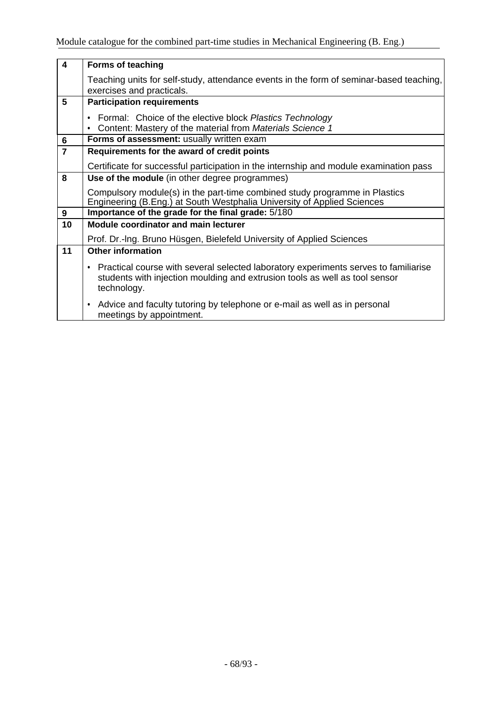| $\overline{\mathbf{4}}$ | <b>Forms of teaching</b>                                                                                                                                                                       |  |  |  |  |  |  |
|-------------------------|------------------------------------------------------------------------------------------------------------------------------------------------------------------------------------------------|--|--|--|--|--|--|
|                         | Teaching units for self-study, attendance events in the form of seminar-based teaching,<br>exercises and practicals.                                                                           |  |  |  |  |  |  |
| 5                       | <b>Participation requirements</b>                                                                                                                                                              |  |  |  |  |  |  |
|                         | Formal: Choice of the elective block Plastics Technology<br>$\bullet$<br>Content: Mastery of the material from Materials Science 1<br>٠                                                        |  |  |  |  |  |  |
| 6                       | Forms of assessment: usually written exam                                                                                                                                                      |  |  |  |  |  |  |
| $\overline{7}$          | Requirements for the award of credit points                                                                                                                                                    |  |  |  |  |  |  |
|                         | Certificate for successful participation in the internship and module examination pass                                                                                                         |  |  |  |  |  |  |
| 8                       | Use of the module (in other degree programmes)                                                                                                                                                 |  |  |  |  |  |  |
|                         | Compulsory module(s) in the part-time combined study programme in Plastics<br>Engineering (B.Eng.) at South Westphalia University of Applied Sciences                                          |  |  |  |  |  |  |
| 9                       | Importance of the grade for the final grade: 5/180                                                                                                                                             |  |  |  |  |  |  |
| 10                      | <b>Module coordinator and main lecturer</b>                                                                                                                                                    |  |  |  |  |  |  |
|                         | Prof. Dr.-Ing. Bruno Hüsgen, Bielefeld University of Applied Sciences                                                                                                                          |  |  |  |  |  |  |
| 11                      | <b>Other information</b>                                                                                                                                                                       |  |  |  |  |  |  |
|                         | Practical course with several selected laboratory experiments serves to familiarise<br>$\bullet$<br>students with injection moulding and extrusion tools as well as tool sensor<br>technology. |  |  |  |  |  |  |
|                         | Advice and faculty tutoring by telephone or e-mail as well as in personal<br>$\bullet$<br>meetings by appointment.                                                                             |  |  |  |  |  |  |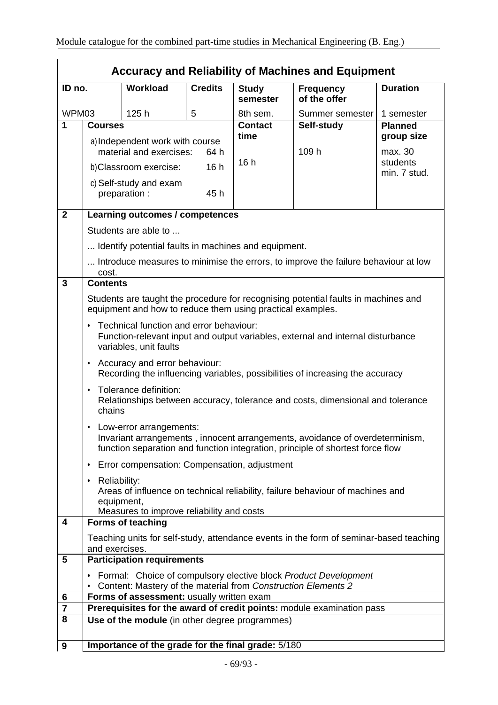|                         | <b>Accuracy and Reliability of Machines and Equipment</b>                                                                                                                                      |                                                                    |                |                          |                                                                                    |                              |
|-------------------------|------------------------------------------------------------------------------------------------------------------------------------------------------------------------------------------------|--------------------------------------------------------------------|----------------|--------------------------|------------------------------------------------------------------------------------|------------------------------|
| ID no.                  |                                                                                                                                                                                                | <b>Workload</b>                                                    | <b>Credits</b> | <b>Study</b><br>semester | <b>Frequency</b><br>of the offer                                                   | <b>Duration</b>              |
| WPM03                   |                                                                                                                                                                                                | 125h                                                               | 5              | 8th sem.                 | Summer semester                                                                    | 1 semester                   |
| 1                       | <b>Courses</b>                                                                                                                                                                                 |                                                                    |                | <b>Contact</b><br>time   | Self-study                                                                         | <b>Planned</b><br>group size |
|                         |                                                                                                                                                                                                | a) Independent work with course<br>material and exercises:<br>64 h |                | 109 h                    | max. 30                                                                            |                              |
|                         |                                                                                                                                                                                                | b) Classroom exercise:                                             | 16h            | 16h                      |                                                                                    | students<br>min. 7 stud.     |
|                         |                                                                                                                                                                                                | c) Self-study and exam<br>preparation :                            | 45 h           |                          |                                                                                    |                              |
| $\overline{2}$          |                                                                                                                                                                                                | Learning outcomes / competences                                    |                |                          |                                                                                    |                              |
|                         |                                                                                                                                                                                                | Students are able to                                               |                |                          |                                                                                    |                              |
|                         |                                                                                                                                                                                                | Identify potential faults in machines and equipment.               |                |                          |                                                                                    |                              |
|                         | cost.                                                                                                                                                                                          |                                                                    |                |                          | Introduce measures to minimise the errors, to improve the failure behaviour at low |                              |
| 3                       | <b>Contents</b>                                                                                                                                                                                |                                                                    |                |                          |                                                                                    |                              |
|                         | Students are taught the procedure for recognising potential faults in machines and<br>equipment and how to reduce them using practical examples.                                               |                                                                    |                |                          |                                                                                    |                              |
|                         | Technical function and error behaviour:<br>$\bullet$<br>Function-relevant input and output variables, external and internal disturbance<br>variables, unit faults                              |                                                                    |                |                          |                                                                                    |                              |
|                         | Accuracy and error behaviour:<br>$\bullet$<br>Recording the influencing variables, possibilities of increasing the accuracy                                                                    |                                                                    |                |                          |                                                                                    |                              |
|                         | Tolerance definition:<br>$\bullet$<br>Relationships between accuracy, tolerance and costs, dimensional and tolerance<br>chains                                                                 |                                                                    |                |                          |                                                                                    |                              |
|                         | Low-error arrangements:<br>٠<br>Invariant arrangements, innocent arrangements, avoidance of overdeterminism,<br>function separation and function integration, principle of shortest force flow |                                                                    |                |                          |                                                                                    |                              |
|                         | ٠                                                                                                                                                                                              | Error compensation: Compensation, adjustment                       |                |                          |                                                                                    |                              |
|                         | Reliability:<br>٠<br>Areas of influence on technical reliability, failure behaviour of machines and<br>equipment,<br>Measures to improve reliability and costs                                 |                                                                    |                |                          |                                                                                    |                              |
| $\overline{\mathbf{4}}$ |                                                                                                                                                                                                | <b>Forms of teaching</b>                                           |                |                          |                                                                                    |                              |
|                         | Teaching units for self-study, attendance events in the form of seminar-based teaching<br>and exercises.                                                                                       |                                                                    |                |                          |                                                                                    |                              |
| 5                       | <b>Participation requirements</b>                                                                                                                                                              |                                                                    |                |                          |                                                                                    |                              |
|                         | Formal: Choice of compulsory elective block Product Development<br>$\bullet$<br>Content: Mastery of the material from Construction Elements 2                                                  |                                                                    |                |                          |                                                                                    |                              |
| 6                       | Forms of assessment: usually written exam                                                                                                                                                      |                                                                    |                |                          |                                                                                    |                              |
| $\overline{7}$          |                                                                                                                                                                                                |                                                                    |                |                          | Prerequisites for the award of credit points: module examination pass              |                              |
| 8                       |                                                                                                                                                                                                | Use of the module (in other degree programmes)                     |                |                          |                                                                                    |                              |
| $\boldsymbol{9}$        |                                                                                                                                                                                                | Importance of the grade for the final grade: 5/180                 |                |                          |                                                                                    |                              |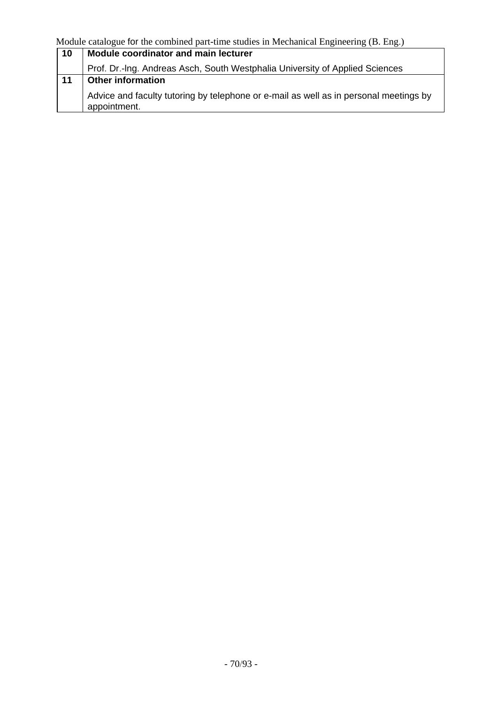| 10 | Module coordinator and main lecturer                                                                  |  |  |  |
|----|-------------------------------------------------------------------------------------------------------|--|--|--|
|    | Prof. Dr.-Ing. Andreas Asch, South Westphalia University of Applied Sciences                          |  |  |  |
| 11 | <b>Other information</b>                                                                              |  |  |  |
|    | Advice and faculty tutoring by telephone or e-mail as well as in personal meetings by<br>appointment. |  |  |  |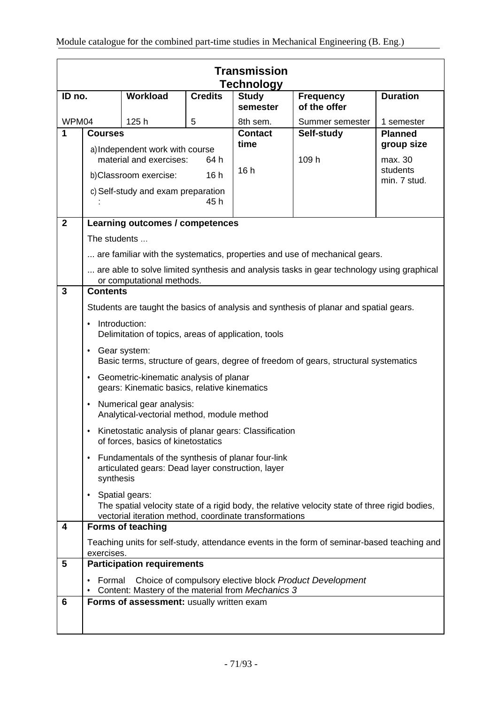|                                      | <b>Transmission</b><br><b>Technology</b>                                                                                                                                        |                                           |                                  |                            |                                                                                            |                              |
|--------------------------------------|---------------------------------------------------------------------------------------------------------------------------------------------------------------------------------|-------------------------------------------|----------------------------------|----------------------------|--------------------------------------------------------------------------------------------|------------------------------|
| Workload<br><b>Credits</b><br>ID no. |                                                                                                                                                                                 | <b>Study</b><br>semester                  | <b>Frequency</b><br>of the offer | <b>Duration</b>            |                                                                                            |                              |
| WPM04<br>1                           | <b>Courses</b>                                                                                                                                                                  | 125h                                      | 5                                | 8th sem.<br><b>Contact</b> | Summer semester<br>Self-study                                                              | 1 semester<br><b>Planned</b> |
|                                      | a) Independent work with course<br>material and exercises:<br>64 h                                                                                                              |                                           |                                  | time                       | 109 h                                                                                      | group size<br>max. 30        |
|                                      |                                                                                                                                                                                 | b)Classroom exercise:                     | 16h                              | 16h                        |                                                                                            | students<br>min. 7 stud.     |
|                                      |                                                                                                                                                                                 | c) Self-study and exam preparation        | 45 h                             |                            |                                                                                            |                              |
| $\mathbf{2}$                         |                                                                                                                                                                                 | Learning outcomes / competences           |                                  |                            |                                                                                            |                              |
|                                      | The students                                                                                                                                                                    |                                           |                                  |                            |                                                                                            |                              |
|                                      |                                                                                                                                                                                 |                                           |                                  |                            | are familiar with the systematics, properties and use of mechanical gears.                 |                              |
|                                      |                                                                                                                                                                                 | or computational methods.                 |                                  |                            | are able to solve limited synthesis and analysis tasks in gear technology using graphical  |                              |
| 3                                    | <b>Contents</b>                                                                                                                                                                 |                                           |                                  |                            |                                                                                            |                              |
|                                      |                                                                                                                                                                                 |                                           |                                  |                            | Students are taught the basics of analysis and synthesis of planar and spatial gears.      |                              |
|                                      | Introduction:<br>Delimitation of topics, areas of application, tools                                                                                                            |                                           |                                  |                            |                                                                                            |                              |
|                                      | Gear system:<br>٠<br>Basic terms, structure of gears, degree of freedom of gears, structural systematics                                                                        |                                           |                                  |                            |                                                                                            |                              |
|                                      | Geometric-kinematic analysis of planar<br>٠<br>gears: Kinematic basics, relative kinematics                                                                                     |                                           |                                  |                            |                                                                                            |                              |
|                                      | Numerical gear analysis:<br>$\bullet$<br>Analytical-vectorial method, module method                                                                                             |                                           |                                  |                            |                                                                                            |                              |
|                                      | Kinetostatic analysis of planar gears: Classification<br>of forces, basics of kinetostatics                                                                                     |                                           |                                  |                            |                                                                                            |                              |
|                                      | Fundamentals of the synthesis of planar four-link<br>$\bullet$<br>articulated gears: Dead layer construction, layer<br>synthesis                                                |                                           |                                  |                            |                                                                                            |                              |
|                                      | Spatial gears:<br>٠<br>The spatial velocity state of a rigid body, the relative velocity state of three rigid bodies,<br>vectorial iteration method, coordinate transformations |                                           |                                  |                            |                                                                                            |                              |
| 4                                    | <b>Forms of teaching</b>                                                                                                                                                        |                                           |                                  |                            |                                                                                            |                              |
|                                      | exercises.                                                                                                                                                                      |                                           |                                  |                            | Teaching units for self-study, attendance events in the form of seminar-based teaching and |                              |
| 5                                    |                                                                                                                                                                                 | <b>Participation requirements</b>         |                                  |                            |                                                                                            |                              |
|                                      | Choice of compulsory elective block Product Development<br>Formal<br>Content: Mastery of the material from Mechanics 3                                                          |                                           |                                  |                            |                                                                                            |                              |
| 6                                    |                                                                                                                                                                                 | Forms of assessment: usually written exam |                                  |                            |                                                                                            |                              |
|                                      |                                                                                                                                                                                 |                                           |                                  |                            |                                                                                            |                              |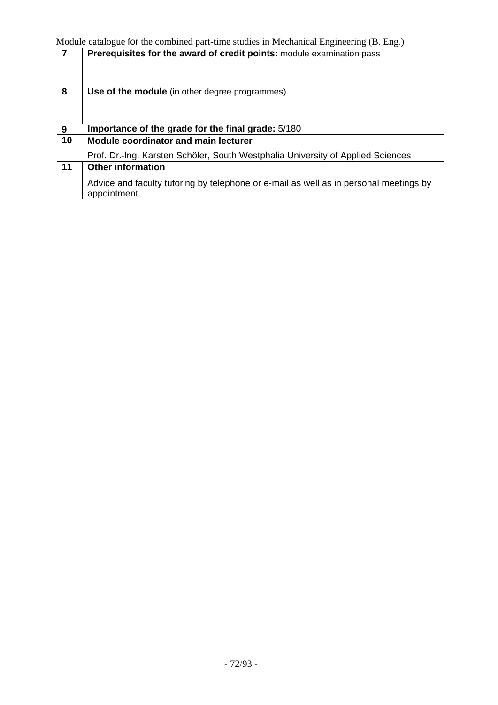|    | Prerequisites for the award of credit points: module examination pass                                 |
|----|-------------------------------------------------------------------------------------------------------|
| 8  | Use of the module (in other degree programmes)                                                        |
| 9  | Importance of the grade for the final grade: 5/180                                                    |
| 10 | <b>Module coordinator and main lecturer</b>                                                           |
|    | Prof. Dr.-Ing. Karsten Schöler, South Westphalia University of Applied Sciences                       |
| 11 | <b>Other information</b>                                                                              |
|    | Advice and faculty tutoring by telephone or e-mail as well as in personal meetings by<br>appointment. |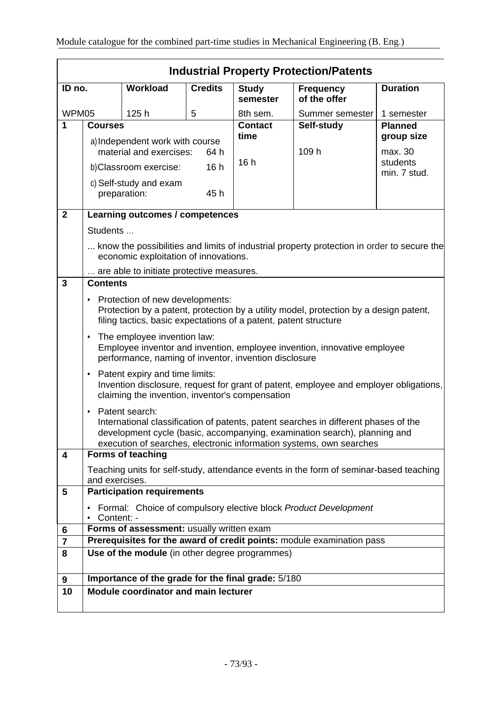|                         | <b>Industrial Property Protection/Patents</b>                                                                                                                                                                                                                  |                                                    |                |                          |                                                                                        |                          |
|-------------------------|----------------------------------------------------------------------------------------------------------------------------------------------------------------------------------------------------------------------------------------------------------------|----------------------------------------------------|----------------|--------------------------|----------------------------------------------------------------------------------------|--------------------------|
| ID no.                  |                                                                                                                                                                                                                                                                | Workload                                           | <b>Credits</b> | <b>Study</b><br>semester | <b>Frequency</b><br>of the offer                                                       | <b>Duration</b>          |
| WPM05                   |                                                                                                                                                                                                                                                                | 125h                                               | 5              | 8th sem.                 | Summer semester                                                                        | 1 semester               |
| 1                       | <b>Courses</b>                                                                                                                                                                                                                                                 |                                                    |                | <b>Contact</b>           | Self-study                                                                             | <b>Planned</b>           |
|                         | a) Independent work with course<br>material and exercises:<br>64 h                                                                                                                                                                                             |                                                    | time           | 109 h                    | group size<br>max. 30                                                                  |                          |
|                         |                                                                                                                                                                                                                                                                | b)Classroom exercise:                              | 16h            | 16h                      |                                                                                        | students<br>min. 7 stud. |
|                         |                                                                                                                                                                                                                                                                | c) Self-study and exam<br>preparation:             | 45h            |                          |                                                                                        |                          |
| $\mathbf{2}$            |                                                                                                                                                                                                                                                                | Learning outcomes / competences                    |                |                          |                                                                                        |                          |
|                         | Students                                                                                                                                                                                                                                                       |                                                    |                |                          |                                                                                        |                          |
|                         | know the possibilities and limits of industrial property protection in order to secure the<br>economic exploitation of innovations.                                                                                                                            |                                                    |                |                          |                                                                                        |                          |
|                         |                                                                                                                                                                                                                                                                | are able to initiate protective measures.          |                |                          |                                                                                        |                          |
| 3                       | <b>Contents</b>                                                                                                                                                                                                                                                |                                                    |                |                          |                                                                                        |                          |
|                         | Protection of new developments:<br>٠<br>Protection by a patent, protection by a utility model, protection by a design patent,<br>filing tactics, basic expectations of a patent, patent structure                                                              |                                                    |                |                          |                                                                                        |                          |
|                         | The employee invention law:<br>$\bullet$<br>Employee inventor and invention, employee invention, innovative employee<br>performance, naming of inventor, invention disclosure                                                                                  |                                                    |                |                          |                                                                                        |                          |
|                         | Patent expiry and time limits:<br>٠<br>Invention disclosure, request for grant of patent, employee and employer obligations,<br>claiming the invention, inventor's compensation                                                                                |                                                    |                |                          |                                                                                        |                          |
|                         | Patent search:<br>٠<br>International classification of patents, patent searches in different phases of the<br>development cycle (basic, accompanying, examination search), planning and<br>execution of searches, electronic information systems, own searches |                                                    |                |                          |                                                                                        |                          |
| $\overline{\mathbf{4}}$ |                                                                                                                                                                                                                                                                | <b>Forms of teaching</b>                           |                |                          |                                                                                        |                          |
|                         | and exercises.                                                                                                                                                                                                                                                 |                                                    |                |                          | Teaching units for self-study, attendance events in the form of seminar-based teaching |                          |
| 5                       |                                                                                                                                                                                                                                                                | <b>Participation requirements</b>                  |                |                          |                                                                                        |                          |
|                         | Content: -                                                                                                                                                                                                                                                     |                                                    |                |                          | Formal: Choice of compulsory elective block Product Development                        |                          |
| 6                       |                                                                                                                                                                                                                                                                | Forms of assessment: usually written exam          |                |                          |                                                                                        |                          |
| 7                       |                                                                                                                                                                                                                                                                |                                                    |                |                          | Prerequisites for the award of credit points: module examination pass                  |                          |
| 8                       |                                                                                                                                                                                                                                                                | Use of the module (in other degree programmes)     |                |                          |                                                                                        |                          |
| 9                       |                                                                                                                                                                                                                                                                | Importance of the grade for the final grade: 5/180 |                |                          |                                                                                        |                          |
| 10                      |                                                                                                                                                                                                                                                                | <b>Module coordinator and main lecturer</b>        |                |                          |                                                                                        |                          |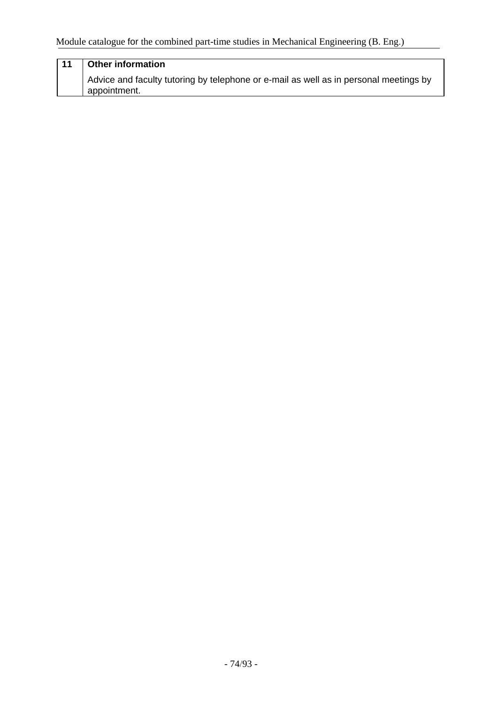## **11 Other information** Advice and faculty tutoring by telephone or e-mail as well as in personal meetings by appointment.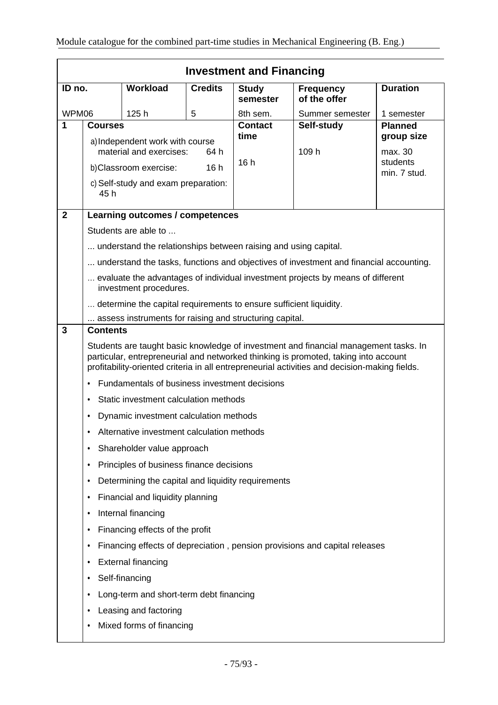|                | <b>Investment and Financing</b>                                                                                                                                                                                                                                              |                                                                 |                |                          |                                                                                        |                 |
|----------------|------------------------------------------------------------------------------------------------------------------------------------------------------------------------------------------------------------------------------------------------------------------------------|-----------------------------------------------------------------|----------------|--------------------------|----------------------------------------------------------------------------------------|-----------------|
| ID no.         |                                                                                                                                                                                                                                                                              | Workload                                                        | <b>Credits</b> | <b>Study</b><br>semester | <b>Frequency</b><br>of the offer                                                       | <b>Duration</b> |
| WPM06          |                                                                                                                                                                                                                                                                              | 125h                                                            | 5              | 8th sem.                 | Summer semester                                                                        | 1 semester      |
| 1              | <b>Courses</b>                                                                                                                                                                                                                                                               |                                                                 |                | <b>Contact</b>           | Self-study                                                                             | <b>Planned</b>  |
|                | a) Independent work with course                                                                                                                                                                                                                                              |                                                                 | time           |                          | group size                                                                             |                 |
|                | material and exercises:<br>64 h                                                                                                                                                                                                                                              |                                                                 | 16h            | 109 h                    | max. 30<br>students                                                                    |                 |
|                |                                                                                                                                                                                                                                                                              | b)Classroom exercise:                                           | 16h            |                          |                                                                                        | min. 7 stud.    |
|                | 45 h                                                                                                                                                                                                                                                                         | c) Self-study and exam preparation:                             |                |                          |                                                                                        |                 |
| $\overline{2}$ |                                                                                                                                                                                                                                                                              | Learning outcomes / competences                                 |                |                          |                                                                                        |                 |
|                |                                                                                                                                                                                                                                                                              | Students are able to                                            |                |                          |                                                                                        |                 |
|                |                                                                                                                                                                                                                                                                              | understand the relationships between raising and using capital. |                |                          |                                                                                        |                 |
|                |                                                                                                                                                                                                                                                                              |                                                                 |                |                          | understand the tasks, functions and objectives of investment and financial accounting. |                 |
|                | evaluate the advantages of individual investment projects by means of different<br>investment procedures.                                                                                                                                                                    |                                                                 |                |                          |                                                                                        |                 |
|                | determine the capital requirements to ensure sufficient liquidity.                                                                                                                                                                                                           |                                                                 |                |                          |                                                                                        |                 |
|                | assess instruments for raising and structuring capital.                                                                                                                                                                                                                      |                                                                 |                |                          |                                                                                        |                 |
| 3              | <b>Contents</b>                                                                                                                                                                                                                                                              |                                                                 |                |                          |                                                                                        |                 |
|                | Students are taught basic knowledge of investment and financial management tasks. In<br>particular, entrepreneurial and networked thinking is promoted, taking into account<br>profitability-oriented criteria in all entrepreneurial activities and decision-making fields. |                                                                 |                |                          |                                                                                        |                 |
|                | $\bullet$                                                                                                                                                                                                                                                                    | Fundamentals of business investment decisions                   |                |                          |                                                                                        |                 |
|                | ٠                                                                                                                                                                                                                                                                            | Static investment calculation methods                           |                |                          |                                                                                        |                 |
|                | ٠                                                                                                                                                                                                                                                                            | Dynamic investment calculation methods                          |                |                          |                                                                                        |                 |
|                |                                                                                                                                                                                                                                                                              | Alternative investment calculation methods                      |                |                          |                                                                                        |                 |
|                | ٠                                                                                                                                                                                                                                                                            | Shareholder value approach                                      |                |                          |                                                                                        |                 |
|                | ٠                                                                                                                                                                                                                                                                            | Principles of business finance decisions                        |                |                          |                                                                                        |                 |
|                | ٠                                                                                                                                                                                                                                                                            | Determining the capital and liquidity requirements              |                |                          |                                                                                        |                 |
|                | ٠                                                                                                                                                                                                                                                                            | Financial and liquidity planning                                |                |                          |                                                                                        |                 |
|                | ٠                                                                                                                                                                                                                                                                            | Internal financing                                              |                |                          |                                                                                        |                 |
|                | Financing effects of the profit<br>٠                                                                                                                                                                                                                                         |                                                                 |                |                          |                                                                                        |                 |
|                | ٠                                                                                                                                                                                                                                                                            |                                                                 |                |                          | Financing effects of depreciation, pension provisions and capital releases             |                 |
|                | <b>External financing</b><br>٠                                                                                                                                                                                                                                               |                                                                 |                |                          |                                                                                        |                 |
|                | ٠                                                                                                                                                                                                                                                                            | Self-financing                                                  |                |                          |                                                                                        |                 |
|                | ٠                                                                                                                                                                                                                                                                            | Long-term and short-term debt financing                         |                |                          |                                                                                        |                 |
|                | ٠                                                                                                                                                                                                                                                                            | Leasing and factoring                                           |                |                          |                                                                                        |                 |
|                |                                                                                                                                                                                                                                                                              | Mixed forms of financing                                        |                |                          |                                                                                        |                 |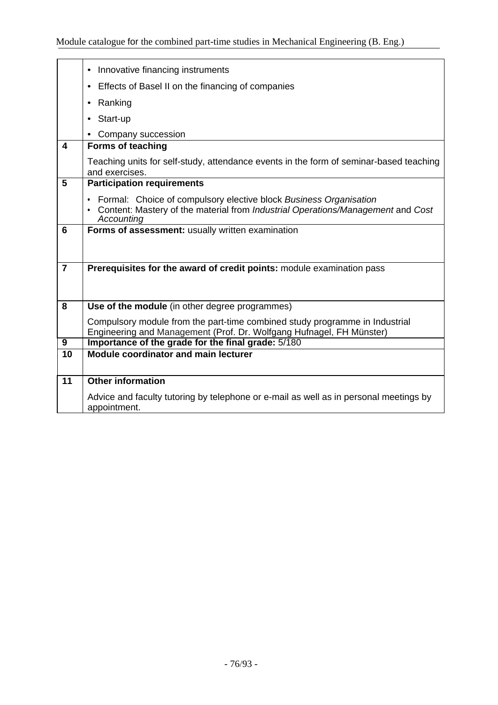|                         | Innovative financing instruments<br>$\bullet$                                                                                                                                     |
|-------------------------|-----------------------------------------------------------------------------------------------------------------------------------------------------------------------------------|
|                         | Effects of Basel II on the financing of companies                                                                                                                                 |
|                         | Ranking                                                                                                                                                                           |
|                         | Start-up                                                                                                                                                                          |
|                         | Company succession                                                                                                                                                                |
| $\overline{\mathbf{4}}$ | <b>Forms of teaching</b>                                                                                                                                                          |
|                         | Teaching units for self-study, attendance events in the form of seminar-based teaching<br>and exercises.                                                                          |
| 5                       | <b>Participation requirements</b>                                                                                                                                                 |
|                         | Formal: Choice of compulsory elective block Business Organisation<br>$\bullet$<br>• Content: Mastery of the material from Industrial Operations/Management and Cost<br>Accounting |
| 6                       | Forms of assessment: usually written examination                                                                                                                                  |
|                         |                                                                                                                                                                                   |
|                         |                                                                                                                                                                                   |
| $\overline{7}$          | Prerequisites for the award of credit points: module examination pass                                                                                                             |
|                         |                                                                                                                                                                                   |
| 8                       | Use of the module (in other degree programmes)                                                                                                                                    |
|                         | Compulsory module from the part-time combined study programme in Industrial                                                                                                       |
|                         | Engineering and Management (Prof. Dr. Wolfgang Hufnagel, FH Münster)                                                                                                              |
| $\overline{9}$          | Importance of the grade for the final grade: 5/180                                                                                                                                |
| 10                      | Module coordinator and main lecturer                                                                                                                                              |
|                         |                                                                                                                                                                                   |
| 11                      | <b>Other information</b>                                                                                                                                                          |
|                         | Advice and faculty tutoring by telephone or e-mail as well as in personal meetings by<br>appointment.                                                                             |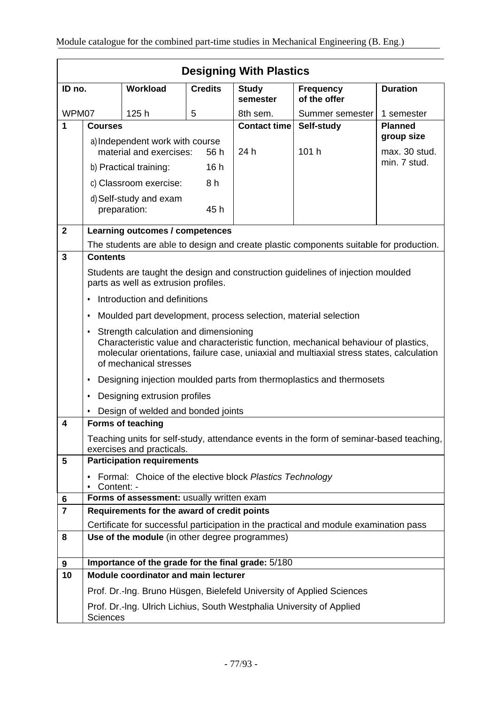|                     | <b>Designing With Plastics</b>                                                                                                                                                                                                                          |                                                                |                |                          |                                                                                         |                 |
|---------------------|---------------------------------------------------------------------------------------------------------------------------------------------------------------------------------------------------------------------------------------------------------|----------------------------------------------------------------|----------------|--------------------------|-----------------------------------------------------------------------------------------|-----------------|
| ID no.              |                                                                                                                                                                                                                                                         | <b>Workload</b>                                                | <b>Credits</b> | <b>Study</b><br>semester | <b>Frequency</b><br>of the offer                                                        | <b>Duration</b> |
| WPM07               |                                                                                                                                                                                                                                                         | 125h                                                           | 5              | 8th sem.                 | Summer semester                                                                         | 1 semester      |
| 1                   | <b>Courses</b>                                                                                                                                                                                                                                          |                                                                |                | <b>Contact time</b>      | Self-study                                                                              | <b>Planned</b>  |
|                     |                                                                                                                                                                                                                                                         | a) Independent work with course                                |                |                          |                                                                                         | group size      |
|                     |                                                                                                                                                                                                                                                         | material and exercises:                                        | 56 h           | 24 h                     | 101 h                                                                                   | max. 30 stud.   |
|                     |                                                                                                                                                                                                                                                         | b) Practical training:                                         | 16h            |                          |                                                                                         | min. 7 stud.    |
|                     |                                                                                                                                                                                                                                                         | c) Classroom exercise:                                         | 8 h            |                          |                                                                                         |                 |
|                     |                                                                                                                                                                                                                                                         | d) Self-study and exam<br>preparation:                         | 45h            |                          |                                                                                         |                 |
| $\mathbf{2}$        |                                                                                                                                                                                                                                                         | Learning outcomes / competences                                |                |                          |                                                                                         |                 |
|                     |                                                                                                                                                                                                                                                         |                                                                |                |                          | The students are able to design and create plastic components suitable for production.  |                 |
| 3                   | <b>Contents</b>                                                                                                                                                                                                                                         |                                                                |                |                          |                                                                                         |                 |
|                     | Students are taught the design and construction guidelines of injection moulded<br>parts as well as extrusion profiles.                                                                                                                                 |                                                                |                |                          |                                                                                         |                 |
|                     | Introduction and definitions<br>$\bullet$                                                                                                                                                                                                               |                                                                |                |                          |                                                                                         |                 |
|                     | ٠                                                                                                                                                                                                                                                       |                                                                |                |                          | Moulded part development, process selection, material selection                         |                 |
|                     | Strength calculation and dimensioning<br>٠<br>Characteristic value and characteristic function, mechanical behaviour of plastics,<br>molecular orientations, failure case, uniaxial and multiaxial stress states, calculation<br>of mechanical stresses |                                                                |                |                          |                                                                                         |                 |
|                     | ٠                                                                                                                                                                                                                                                       |                                                                |                |                          | Designing injection moulded parts from thermoplastics and thermosets                    |                 |
|                     | ٠                                                                                                                                                                                                                                                       | Designing extrusion profiles                                   |                |                          |                                                                                         |                 |
|                     |                                                                                                                                                                                                                                                         | Design of welded and bonded joints                             |                |                          |                                                                                         |                 |
| 4                   |                                                                                                                                                                                                                                                         | <b>Forms of teaching</b>                                       |                |                          |                                                                                         |                 |
|                     |                                                                                                                                                                                                                                                         |                                                                |                |                          | Teaching units for self-study, attendance events in the form of seminar-based teaching, |                 |
| 5                   |                                                                                                                                                                                                                                                         | exercises and practicals.<br><b>Participation requirements</b> |                |                          |                                                                                         |                 |
|                     |                                                                                                                                                                                                                                                         | Formal: Choice of the elective block Plastics Technology       |                |                          |                                                                                         |                 |
|                     | • Content: -                                                                                                                                                                                                                                            |                                                                |                |                          |                                                                                         |                 |
| 6<br>$\overline{7}$ | Forms of assessment: usually written exam<br>Requirements for the award of credit points                                                                                                                                                                |                                                                |                |                          |                                                                                         |                 |
|                     |                                                                                                                                                                                                                                                         |                                                                |                |                          | Certificate for successful participation in the practical and module examination pass   |                 |
| 8                   |                                                                                                                                                                                                                                                         | Use of the module (in other degree programmes)                 |                |                          |                                                                                         |                 |
|                     |                                                                                                                                                                                                                                                         |                                                                |                |                          |                                                                                         |                 |
| 9                   |                                                                                                                                                                                                                                                         | Importance of the grade for the final grade: 5/180             |                |                          |                                                                                         |                 |
| 10                  |                                                                                                                                                                                                                                                         | <b>Module coordinator and main lecturer</b>                    |                |                          |                                                                                         |                 |
|                     |                                                                                                                                                                                                                                                         |                                                                |                |                          | Prof. Dr.-Ing. Bruno Hüsgen, Bielefeld University of Applied Sciences                   |                 |
|                     | <b>Sciences</b>                                                                                                                                                                                                                                         |                                                                |                |                          | Prof. Dr.-Ing. Ulrich Lichius, South Westphalia University of Applied                   |                 |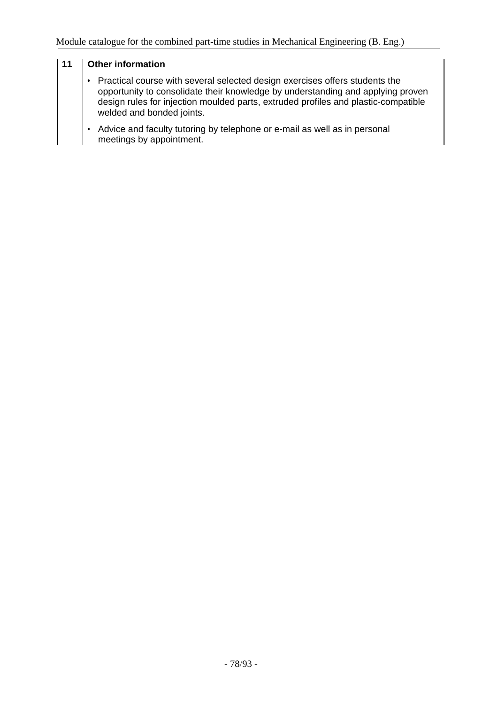## **11 Other information** • Practical course with several selected design exercises offers students the opportunity to consolidate their knowledge by understanding and applying proven design rules for injection moulded parts, extruded profiles and plastic-compatible welded and bonded joints. • Advice and faculty tutoring by telephone or e-mail as well as in personal meetings by appointment.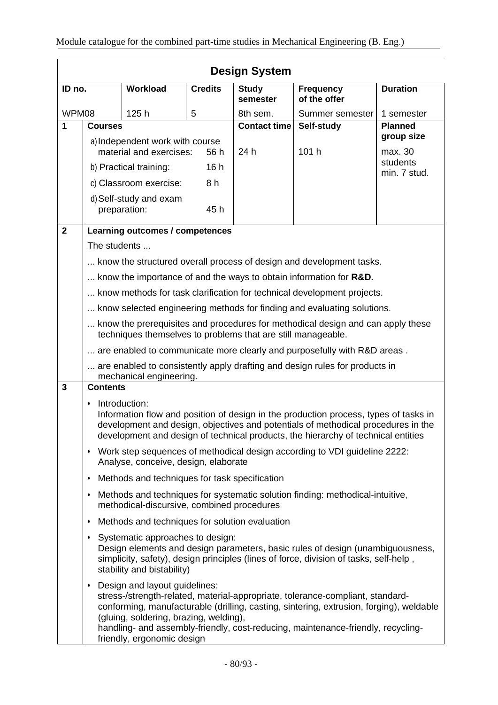|              |                                                                                                                                                 |                                                                                                       |                | <b>Design System</b>     |                                                                                                                                                                                                                                                                |                     |
|--------------|-------------------------------------------------------------------------------------------------------------------------------------------------|-------------------------------------------------------------------------------------------------------|----------------|--------------------------|----------------------------------------------------------------------------------------------------------------------------------------------------------------------------------------------------------------------------------------------------------------|---------------------|
| ID no.       |                                                                                                                                                 | Workload                                                                                              | <b>Credits</b> | <b>Study</b><br>semester | <b>Frequency</b><br>of the offer                                                                                                                                                                                                                               | <b>Duration</b>     |
|              | WPM08<br>125h<br>5                                                                                                                              |                                                                                                       |                | 8th sem.                 | Summer semester                                                                                                                                                                                                                                                | 1 semester          |
| 1            | <b>Courses</b>                                                                                                                                  |                                                                                                       |                | <b>Contact time</b>      | Self-study                                                                                                                                                                                                                                                     | <b>Planned</b>      |
|              |                                                                                                                                                 | a) Independent work with course                                                                       |                |                          |                                                                                                                                                                                                                                                                | group size          |
|              |                                                                                                                                                 | material and exercises:                                                                               | 56 h           | 24 h                     | 101 h                                                                                                                                                                                                                                                          | max. 30<br>students |
|              |                                                                                                                                                 | b) Practical training:                                                                                | 16h            |                          |                                                                                                                                                                                                                                                                | min. 7 stud.        |
|              |                                                                                                                                                 | c) Classroom exercise:                                                                                | 8 h            |                          |                                                                                                                                                                                                                                                                |                     |
|              |                                                                                                                                                 | d) Self-study and exam<br>preparation:                                                                | 45 h           |                          |                                                                                                                                                                                                                                                                |                     |
| $\mathbf{2}$ |                                                                                                                                                 | Learning outcomes / competences                                                                       |                |                          |                                                                                                                                                                                                                                                                |                     |
|              | The students                                                                                                                                    |                                                                                                       |                |                          |                                                                                                                                                                                                                                                                |                     |
|              |                                                                                                                                                 |                                                                                                       |                |                          | know the structured overall process of design and development tasks.                                                                                                                                                                                           |                     |
|              |                                                                                                                                                 |                                                                                                       |                |                          | know the importance of and the ways to obtain information for R&D.                                                                                                                                                                                             |                     |
|              |                                                                                                                                                 |                                                                                                       |                |                          | know methods for task clarification for technical development projects.                                                                                                                                                                                        |                     |
|              |                                                                                                                                                 |                                                                                                       |                |                          | know selected engineering methods for finding and evaluating solutions.                                                                                                                                                                                        |                     |
|              | know the prerequisites and procedures for methodical design and can apply these<br>techniques themselves to problems that are still manageable. |                                                                                                       |                |                          |                                                                                                                                                                                                                                                                |                     |
|              | are enabled to communicate more clearly and purposefully with R&D areas.                                                                        |                                                                                                       |                |                          |                                                                                                                                                                                                                                                                |                     |
|              | are enabled to consistently apply drafting and design rules for products in<br>mechanical engineering.                                          |                                                                                                       |                |                          |                                                                                                                                                                                                                                                                |                     |
| $\mathbf{3}$ | <b>Contents</b>                                                                                                                                 |                                                                                                       |                |                          |                                                                                                                                                                                                                                                                |                     |
|              | $\bullet$                                                                                                                                       | Introduction:                                                                                         |                |                          | Information flow and position of design in the production process, types of tasks in<br>development and design, objectives and potentials of methodical procedures in the<br>development and design of technical products, the hierarchy of technical entities |                     |
|              | $\bullet$                                                                                                                                       | Analyse, conceive, design, elaborate                                                                  |                |                          | Work step sequences of methodical design according to VDI guideline 2222:                                                                                                                                                                                      |                     |
|              | Methods and techniques for task specification<br>$\bullet$                                                                                      |                                                                                                       |                |                          |                                                                                                                                                                                                                                                                |                     |
|              | $\bullet$                                                                                                                                       | methodical-discursive, combined procedures                                                            |                |                          | Methods and techniques for systematic solution finding: methodical-intuitive,                                                                                                                                                                                  |                     |
|              | $\bullet$                                                                                                                                       | Methods and techniques for solution evaluation                                                        |                |                          |                                                                                                                                                                                                                                                                |                     |
|              | $\bullet$                                                                                                                                       | Systematic approaches to design:<br>stability and bistability)                                        |                |                          | Design elements and design parameters, basic rules of design (unambiguousness,<br>simplicity, safety), design principles (lines of force, division of tasks, self-help,                                                                                        |                     |
|              | $\bullet$                                                                                                                                       | Design and layout guidelines:<br>(gluing, soldering, brazing, welding),<br>friendly, ergonomic design |                |                          | stress-/strength-related, material-appropriate, tolerance-compliant, standard-<br>conforming, manufacturable (drilling, casting, sintering, extrusion, forging), weldable<br>handling- and assembly-friendly, cost-reducing, maintenance-friendly, recycling-  |                     |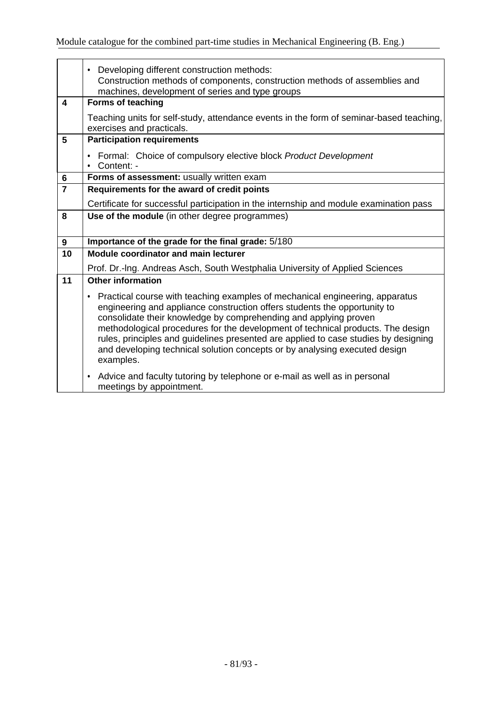|                         | Developing different construction methods:<br>$\bullet$<br>Construction methods of components, construction methods of assemblies and<br>machines, development of series and type groups                                                                                                                                                                                                                                                                                                                |
|-------------------------|---------------------------------------------------------------------------------------------------------------------------------------------------------------------------------------------------------------------------------------------------------------------------------------------------------------------------------------------------------------------------------------------------------------------------------------------------------------------------------------------------------|
| $\overline{\mathbf{4}}$ | <b>Forms of teaching</b>                                                                                                                                                                                                                                                                                                                                                                                                                                                                                |
|                         | Teaching units for self-study, attendance events in the form of seminar-based teaching,<br>exercises and practicals.                                                                                                                                                                                                                                                                                                                                                                                    |
| 5                       | <b>Participation requirements</b>                                                                                                                                                                                                                                                                                                                                                                                                                                                                       |
|                         | Formal: Choice of compulsory elective block Product Development<br>Content: -                                                                                                                                                                                                                                                                                                                                                                                                                           |
| 6                       | Forms of assessment: usually written exam                                                                                                                                                                                                                                                                                                                                                                                                                                                               |
| $\overline{7}$          | Requirements for the award of credit points                                                                                                                                                                                                                                                                                                                                                                                                                                                             |
|                         | Certificate for successful participation in the internship and module examination pass                                                                                                                                                                                                                                                                                                                                                                                                                  |
| 8                       | Use of the module (in other degree programmes)                                                                                                                                                                                                                                                                                                                                                                                                                                                          |
|                         |                                                                                                                                                                                                                                                                                                                                                                                                                                                                                                         |
| 9                       | Importance of the grade for the final grade: 5/180                                                                                                                                                                                                                                                                                                                                                                                                                                                      |
| 10                      | <b>Module coordinator and main lecturer</b>                                                                                                                                                                                                                                                                                                                                                                                                                                                             |
|                         | Prof. Dr.-Ing. Andreas Asch, South Westphalia University of Applied Sciences                                                                                                                                                                                                                                                                                                                                                                                                                            |
| 11                      | <b>Other information</b>                                                                                                                                                                                                                                                                                                                                                                                                                                                                                |
|                         | Practical course with teaching examples of mechanical engineering, apparatus<br>٠<br>engineering and appliance construction offers students the opportunity to<br>consolidate their knowledge by comprehending and applying proven<br>methodological procedures for the development of technical products. The design<br>rules, principles and guidelines presented are applied to case studies by designing<br>and developing technical solution concepts or by analysing executed design<br>examples. |
|                         | Advice and faculty tutoring by telephone or e-mail as well as in personal<br>$\bullet$<br>meetings by appointment.                                                                                                                                                                                                                                                                                                                                                                                      |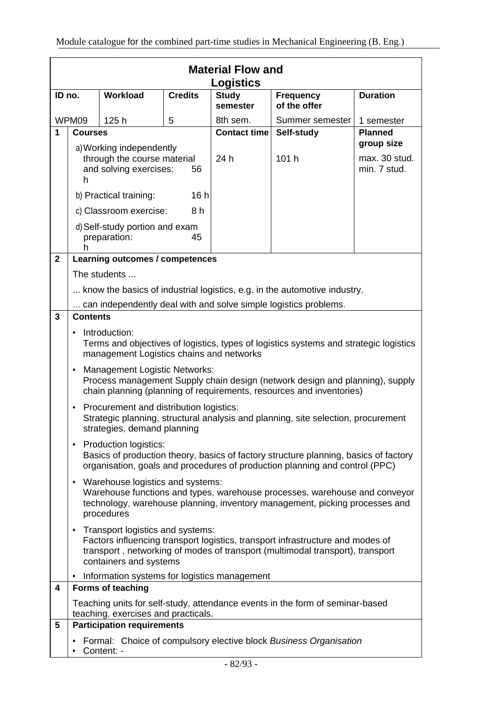|              |                                                                                                                                                                                                   |                                                                                   |                          | <b>Material Flow and</b><br><b>Logistics</b> |                                                                                                                                                                 |                                             |
|--------------|---------------------------------------------------------------------------------------------------------------------------------------------------------------------------------------------------|-----------------------------------------------------------------------------------|--------------------------|----------------------------------------------|-----------------------------------------------------------------------------------------------------------------------------------------------------------------|---------------------------------------------|
|              | Workload<br><b>Credits</b><br>ID no.                                                                                                                                                              |                                                                                   | <b>Study</b><br>semester | <b>Frequency</b><br>of the offer             | <b>Duration</b>                                                                                                                                                 |                                             |
|              | WPM09<br>125h<br>5                                                                                                                                                                                |                                                                                   | 8th sem.                 | Summer semester                              | 1 semester                                                                                                                                                      |                                             |
| 1            | <b>Courses</b>                                                                                                                                                                                    |                                                                                   |                          | <b>Contact time</b>                          | Self-study                                                                                                                                                      | <b>Planned</b>                              |
|              | $\mathsf{h}$                                                                                                                                                                                      | a) Working independently<br>through the course material<br>and solving exercises: | 56                       | 24 h                                         | 101 h                                                                                                                                                           | group size<br>max. 30 stud.<br>min. 7 stud. |
|              |                                                                                                                                                                                                   | b) Practical training:                                                            | 16h                      |                                              |                                                                                                                                                                 |                                             |
|              |                                                                                                                                                                                                   | c) Classroom exercise:                                                            | 8 h                      |                                              |                                                                                                                                                                 |                                             |
|              | h                                                                                                                                                                                                 | d) Self-study portion and exam<br>preparation:                                    | 45                       |                                              |                                                                                                                                                                 |                                             |
| $\mathbf{2}$ |                                                                                                                                                                                                   | Learning outcomes / competences                                                   |                          |                                              |                                                                                                                                                                 |                                             |
|              |                                                                                                                                                                                                   | The students                                                                      |                          |                                              |                                                                                                                                                                 |                                             |
|              |                                                                                                                                                                                                   |                                                                                   |                          |                                              | know the basics of industrial logistics, e.g. in the automotive industry.                                                                                       |                                             |
|              |                                                                                                                                                                                                   |                                                                                   |                          |                                              | can independently deal with and solve simple logistics problems.                                                                                                |                                             |
| 3            | <b>Contents</b>                                                                                                                                                                                   |                                                                                   |                          |                                              |                                                                                                                                                                 |                                             |
|              | Introduction:<br>Terms and objectives of logistics, types of logistics systems and strategic logistics<br>management Logistics chains and networks                                                |                                                                                   |                          |                                              |                                                                                                                                                                 |                                             |
|              | <b>Management Logistic Networks:</b><br>٠<br>Process management Supply chain design (network design and planning), supply<br>chain planning (planning of requirements, resources and inventories) |                                                                                   |                          |                                              |                                                                                                                                                                 |                                             |
|              | Procurement and distribution logistics:<br>٠<br>Strategic planning, structural analysis and planning, site selection, procurement<br>strategies, demand planning                                  |                                                                                   |                          |                                              |                                                                                                                                                                 |                                             |
|              | • Production logistics:<br>Basics of production theory, basics of factory structure planning, basics of factory<br>organisation, goals and procedures of production planning and control (PPC)    |                                                                                   |                          |                                              |                                                                                                                                                                 |                                             |
|              |                                                                                                                                                                                                   | • Warehouse logistics and systems:<br>procedures                                  |                          |                                              | Warehouse functions and types, warehouse processes, warehouse and conveyor<br>technology, warehouse planning, inventory management, picking processes and       |                                             |
|              | ٠                                                                                                                                                                                                 | Transport logistics and systems:<br>containers and systems                        |                          |                                              | Factors influencing transport logistics, transport infrastructure and modes of<br>transport, networking of modes of transport (multimodal transport), transport |                                             |
|              |                                                                                                                                                                                                   | • Information systems for logistics management                                    |                          |                                              |                                                                                                                                                                 |                                             |
| 4            |                                                                                                                                                                                                   | <b>Forms of teaching</b>                                                          |                          |                                              |                                                                                                                                                                 |                                             |
|              |                                                                                                                                                                                                   | teaching, exercises and practicals.                                               |                          |                                              | Teaching units for self-study, attendance events in the form of seminar-based                                                                                   |                                             |
| 5            |                                                                                                                                                                                                   | <b>Participation requirements</b>                                                 |                          |                                              |                                                                                                                                                                 |                                             |
|              |                                                                                                                                                                                                   | Content: -                                                                        |                          |                                              | Formal: Choice of compulsory elective block Business Organisation                                                                                               |                                             |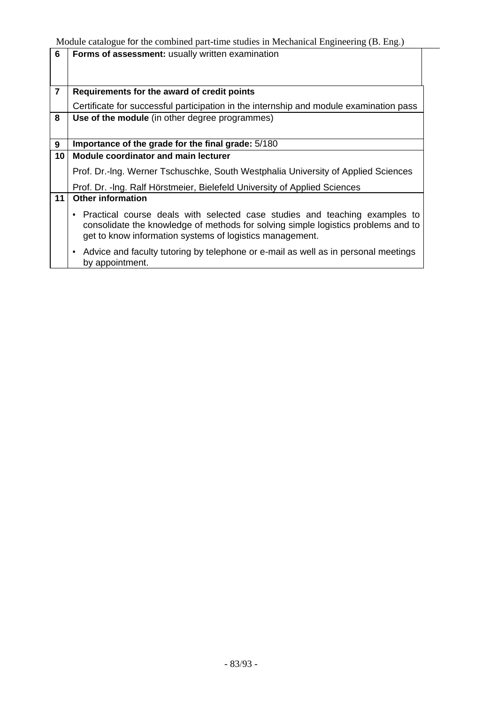| 6              | Forms of assessment: usually written examination                                                                                                                                                                              |
|----------------|-------------------------------------------------------------------------------------------------------------------------------------------------------------------------------------------------------------------------------|
|                |                                                                                                                                                                                                                               |
|                |                                                                                                                                                                                                                               |
| $\overline{7}$ | Requirements for the award of credit points                                                                                                                                                                                   |
|                | Certificate for successful participation in the internship and module examination pass                                                                                                                                        |
| 8              | Use of the module (in other degree programmes)                                                                                                                                                                                |
|                |                                                                                                                                                                                                                               |
| 9              | Importance of the grade for the final grade: 5/180                                                                                                                                                                            |
| 10             | <b>Module coordinator and main lecturer</b>                                                                                                                                                                                   |
|                | Prof. Dr.-Ing. Werner Tschuschke, South Westphalia University of Applied Sciences                                                                                                                                             |
|                | Prof. Dr. - Ing. Ralf Hörstmeier, Bielefeld University of Applied Sciences                                                                                                                                                    |
| 11             | <b>Other information</b>                                                                                                                                                                                                      |
|                | • Practical course deals with selected case studies and teaching examples to<br>consolidate the knowledge of methods for solving simple logistics problems and to<br>get to know information systems of logistics management. |
|                | Advice and faculty tutoring by telephone or e-mail as well as in personal meetings<br>by appointment.                                                                                                                         |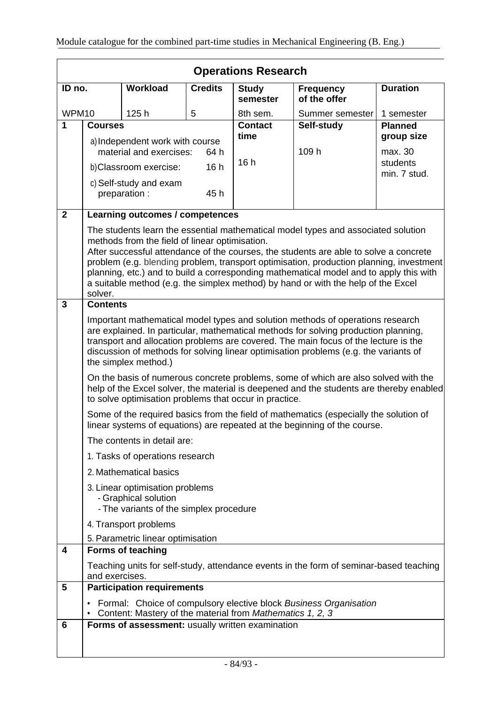|                | <b>Operations Research</b>                                                                                                                                                                                                                                                                                                                                                   |                                                                                                    |                |                          |                                                                                                                                                                                                                                                                                                                                                                                                                                                      |                              |
|----------------|------------------------------------------------------------------------------------------------------------------------------------------------------------------------------------------------------------------------------------------------------------------------------------------------------------------------------------------------------------------------------|----------------------------------------------------------------------------------------------------|----------------|--------------------------|------------------------------------------------------------------------------------------------------------------------------------------------------------------------------------------------------------------------------------------------------------------------------------------------------------------------------------------------------------------------------------------------------------------------------------------------------|------------------------------|
| ID no.         |                                                                                                                                                                                                                                                                                                                                                                              | <b>Workload</b>                                                                                    | <b>Credits</b> | <b>Study</b><br>semester | <b>Frequency</b><br>of the offer                                                                                                                                                                                                                                                                                                                                                                                                                     | <b>Duration</b>              |
| WPM10          |                                                                                                                                                                                                                                                                                                                                                                              | 125h                                                                                               | 5              | 8th sem.                 | Summer semester                                                                                                                                                                                                                                                                                                                                                                                                                                      | 1 semester                   |
| 1              | <b>Courses</b>                                                                                                                                                                                                                                                                                                                                                               |                                                                                                    |                | <b>Contact</b><br>time   | Self-study                                                                                                                                                                                                                                                                                                                                                                                                                                           | <b>Planned</b><br>group size |
|                | a) Independent work with course<br>material and exercises:<br>64 h                                                                                                                                                                                                                                                                                                           |                                                                                                    |                | 109 h                    | max. 30                                                                                                                                                                                                                                                                                                                                                                                                                                              |                              |
|                |                                                                                                                                                                                                                                                                                                                                                                              | b) Classroom exercise:                                                                             | 16h            | 16h                      |                                                                                                                                                                                                                                                                                                                                                                                                                                                      | students<br>min. 7 stud.     |
|                |                                                                                                                                                                                                                                                                                                                                                                              | c) Self-study and exam<br>preparation :                                                            | 45 h           |                          |                                                                                                                                                                                                                                                                                                                                                                                                                                                      |                              |
| $\overline{2}$ |                                                                                                                                                                                                                                                                                                                                                                              | Learning outcomes / competences                                                                    |                |                          |                                                                                                                                                                                                                                                                                                                                                                                                                                                      |                              |
|                | solver.                                                                                                                                                                                                                                                                                                                                                                      | methods from the field of linear optimisation.                                                     |                |                          | The students learn the essential mathematical model types and associated solution<br>After successful attendance of the courses, the students are able to solve a concrete<br>problem (e.g. blending problem, transport optimisation, production planning, investment<br>planning, etc.) and to build a corresponding mathematical model and to apply this with<br>a suitable method (e.g. the simplex method) by hand or with the help of the Excel |                              |
| $\overline{3}$ | <b>Contents</b>                                                                                                                                                                                                                                                                                                                                                              |                                                                                                    |                |                          |                                                                                                                                                                                                                                                                                                                                                                                                                                                      |                              |
|                | Important mathematical model types and solution methods of operations research<br>are explained. In particular, mathematical methods for solving production planning,<br>transport and allocation problems are covered. The main focus of the lecture is the<br>discussion of methods for solving linear optimisation problems (e.g. the variants of<br>the simplex method.) |                                                                                                    |                |                          |                                                                                                                                                                                                                                                                                                                                                                                                                                                      |                              |
|                | On the basis of numerous concrete problems, some of which are also solved with the<br>help of the Excel solver, the material is deepened and the students are thereby enabled<br>to solve optimisation problems that occur in practice.                                                                                                                                      |                                                                                                    |                |                          |                                                                                                                                                                                                                                                                                                                                                                                                                                                      |                              |
|                | Some of the required basics from the field of mathematics (especially the solution of<br>linear systems of equations) are repeated at the beginning of the course.                                                                                                                                                                                                           |                                                                                                    |                |                          |                                                                                                                                                                                                                                                                                                                                                                                                                                                      |                              |
|                |                                                                                                                                                                                                                                                                                                                                                                              | The contents in detail are:                                                                        |                |                          |                                                                                                                                                                                                                                                                                                                                                                                                                                                      |                              |
|                |                                                                                                                                                                                                                                                                                                                                                                              | 1. Tasks of operations research                                                                    |                |                          |                                                                                                                                                                                                                                                                                                                                                                                                                                                      |                              |
|                |                                                                                                                                                                                                                                                                                                                                                                              | 2. Mathematical basics                                                                             |                |                          |                                                                                                                                                                                                                                                                                                                                                                                                                                                      |                              |
|                |                                                                                                                                                                                                                                                                                                                                                                              | 3. Linear optimisation problems<br>- Graphical solution<br>- The variants of the simplex procedure |                |                          |                                                                                                                                                                                                                                                                                                                                                                                                                                                      |                              |
|                | 4. Transport problems                                                                                                                                                                                                                                                                                                                                                        |                                                                                                    |                |                          |                                                                                                                                                                                                                                                                                                                                                                                                                                                      |                              |
|                |                                                                                                                                                                                                                                                                                                                                                                              | 5. Parametric linear optimisation                                                                  |                |                          |                                                                                                                                                                                                                                                                                                                                                                                                                                                      |                              |
| 4              |                                                                                                                                                                                                                                                                                                                                                                              | <b>Forms of teaching</b>                                                                           |                |                          |                                                                                                                                                                                                                                                                                                                                                                                                                                                      |                              |
|                | and exercises.                                                                                                                                                                                                                                                                                                                                                               |                                                                                                    |                |                          | Teaching units for self-study, attendance events in the form of seminar-based teaching                                                                                                                                                                                                                                                                                                                                                               |                              |
| 5              |                                                                                                                                                                                                                                                                                                                                                                              | <b>Participation requirements</b>                                                                  |                |                          |                                                                                                                                                                                                                                                                                                                                                                                                                                                      |                              |
|                |                                                                                                                                                                                                                                                                                                                                                                              | Content: Mastery of the material from Mathematics 1, 2, 3                                          |                |                          | Formal: Choice of compulsory elective block Business Organisation                                                                                                                                                                                                                                                                                                                                                                                    |                              |
| 6              |                                                                                                                                                                                                                                                                                                                                                                              | Forms of assessment: usually written examination                                                   |                |                          |                                                                                                                                                                                                                                                                                                                                                                                                                                                      |                              |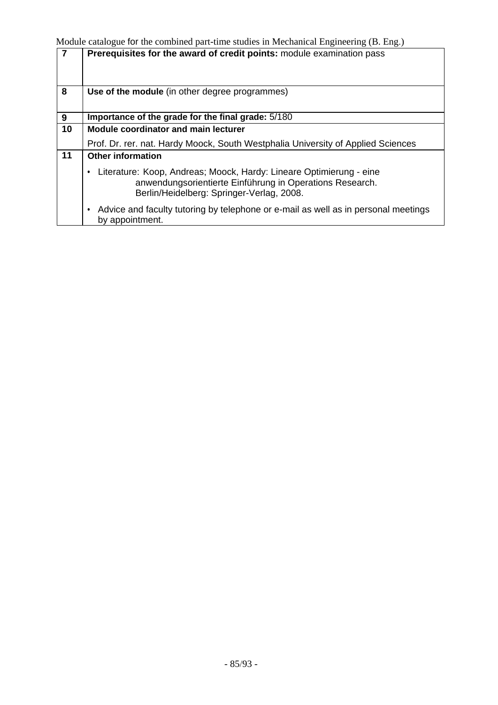| 7  | Prerequisites for the award of credit points: module examination pass                                                                                                             |
|----|-----------------------------------------------------------------------------------------------------------------------------------------------------------------------------------|
| 8  | Use of the module (in other degree programmes)                                                                                                                                    |
| 9  | Importance of the grade for the final grade: 5/180                                                                                                                                |
| 10 | <b>Module coordinator and main lecturer</b>                                                                                                                                       |
|    | Prof. Dr. rer. nat. Hardy Moock, South Westphalia University of Applied Sciences                                                                                                  |
| 11 | <b>Other information</b>                                                                                                                                                          |
|    | Literature: Koop, Andreas; Moock, Hardy: Lineare Optimierung - eine<br>٠<br>anwendungsorientierte Einführung in Operations Research.<br>Berlin/Heidelberg: Springer-Verlag, 2008. |
|    | Advice and faculty tutoring by telephone or e-mail as well as in personal meetings<br>by appointment.                                                                             |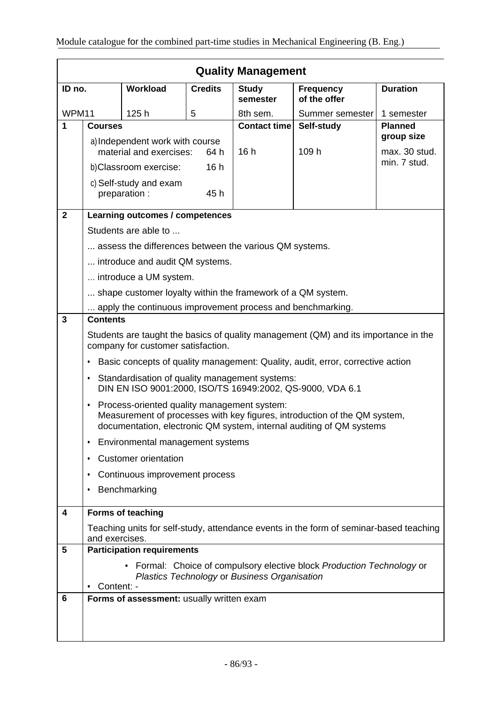|                | <b>Quality Management</b>                                                                                                                                                                             |                                                             |                          |                                  |                                                                                        |                |
|----------------|-------------------------------------------------------------------------------------------------------------------------------------------------------------------------------------------------------|-------------------------------------------------------------|--------------------------|----------------------------------|----------------------------------------------------------------------------------------|----------------|
| ID no.         | <b>Workload</b><br><b>Credits</b>                                                                                                                                                                     |                                                             | <b>Study</b><br>semester | <b>Frequency</b><br>of the offer | <b>Duration</b>                                                                        |                |
| WPM11          |                                                                                                                                                                                                       | 125h                                                        | 5                        | 8th sem.                         | Summer semester                                                                        | 1 semester     |
| 1              | <b>Courses</b>                                                                                                                                                                                        |                                                             |                          | <b>Contact time</b>              | Self-study                                                                             | <b>Planned</b> |
|                | a) Independent work with course                                                                                                                                                                       |                                                             |                          |                                  | group size                                                                             |                |
|                | material and exercises:<br>64 h                                                                                                                                                                       |                                                             | 16h                      | 109 h                            | max. 30 stud.<br>min. 7 stud.                                                          |                |
|                | 16h<br>b)Classroom exercise:                                                                                                                                                                          |                                                             |                          |                                  |                                                                                        |                |
|                |                                                                                                                                                                                                       | c) Self-study and exam                                      |                          |                                  |                                                                                        |                |
|                |                                                                                                                                                                                                       | preparation :                                               | 45 h                     |                                  |                                                                                        |                |
| $\mathbf{2}$   |                                                                                                                                                                                                       | Learning outcomes / competences                             |                          |                                  |                                                                                        |                |
|                |                                                                                                                                                                                                       | Students are able to                                        |                          |                                  |                                                                                        |                |
|                |                                                                                                                                                                                                       | assess the differences between the various QM systems.      |                          |                                  |                                                                                        |                |
|                |                                                                                                                                                                                                       | introduce and audit QM systems.                             |                          |                                  |                                                                                        |                |
|                |                                                                                                                                                                                                       | introduce a UM system.                                      |                          |                                  |                                                                                        |                |
|                |                                                                                                                                                                                                       | shape customer loyalty within the framework of a QM system. |                          |                                  |                                                                                        |                |
|                | apply the continuous improvement process and benchmarking.                                                                                                                                            |                                                             |                          |                                  |                                                                                        |                |
| $\overline{3}$ | <b>Contents</b>                                                                                                                                                                                       |                                                             |                          |                                  |                                                                                        |                |
|                | Students are taught the basics of quality management (QM) and its importance in the<br>company for customer satisfaction.                                                                             |                                                             |                          |                                  |                                                                                        |                |
|                | Basic concepts of quality management: Quality, audit, error, corrective action<br>٠                                                                                                                   |                                                             |                          |                                  |                                                                                        |                |
|                | Standardisation of quality management systems:<br>$\bullet$<br>DIN EN ISO 9001:2000, ISO/TS 16949:2002, QS-9000, VDA 6.1                                                                              |                                                             |                          |                                  |                                                                                        |                |
|                | Process-oriented quality management system:<br>٠<br>Measurement of processes with key figures, introduction of the QM system,<br>documentation, electronic QM system, internal auditing of QM systems |                                                             |                          |                                  |                                                                                        |                |
|                | Environmental management systems<br>٠                                                                                                                                                                 |                                                             |                          |                                  |                                                                                        |                |
|                | ٠                                                                                                                                                                                                     | <b>Customer orientation</b>                                 |                          |                                  |                                                                                        |                |
|                | ٠                                                                                                                                                                                                     | Continuous improvement process                              |                          |                                  |                                                                                        |                |
|                | ٠                                                                                                                                                                                                     | Benchmarking                                                |                          |                                  |                                                                                        |                |
| 4              |                                                                                                                                                                                                       | Forms of teaching                                           |                          |                                  |                                                                                        |                |
|                | and exercises.                                                                                                                                                                                        |                                                             |                          |                                  | Teaching units for self-study, attendance events in the form of seminar-based teaching |                |
| 5              |                                                                                                                                                                                                       | <b>Participation requirements</b>                           |                          |                                  |                                                                                        |                |
|                | • Formal: Choice of compulsory elective block Production Technology or<br>Plastics Technology or Business Organisation<br>Content: -                                                                  |                                                             |                          |                                  |                                                                                        |                |
| 6              |                                                                                                                                                                                                       | Forms of assessment: usually written exam                   |                          |                                  |                                                                                        |                |
|                |                                                                                                                                                                                                       |                                                             |                          |                                  |                                                                                        |                |
|                |                                                                                                                                                                                                       |                                                             |                          |                                  |                                                                                        |                |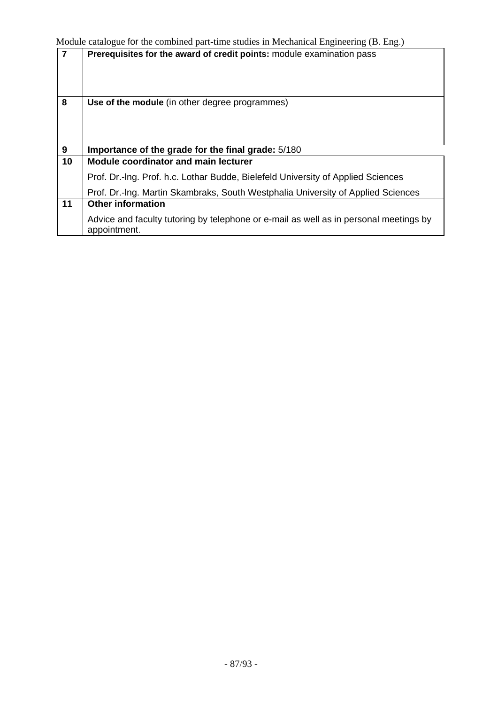| $\overline{7}$ | Prerequisites for the award of credit points: module examination pass                                 |
|----------------|-------------------------------------------------------------------------------------------------------|
| 8              | Use of the module (in other degree programmes)                                                        |
| $\overline{9}$ | Importance of the grade for the final grade: 5/180                                                    |
| 10             | <b>Module coordinator and main lecturer</b>                                                           |
|                | Prof. Dr.-Ing. Prof. h.c. Lothar Budde, Bielefeld University of Applied Sciences                      |
|                | Prof. Dr.-Ing. Martin Skambraks, South Westphalia University of Applied Sciences                      |
| 11             | <b>Other information</b>                                                                              |
|                | Advice and faculty tutoring by telephone or e-mail as well as in personal meetings by<br>appointment. |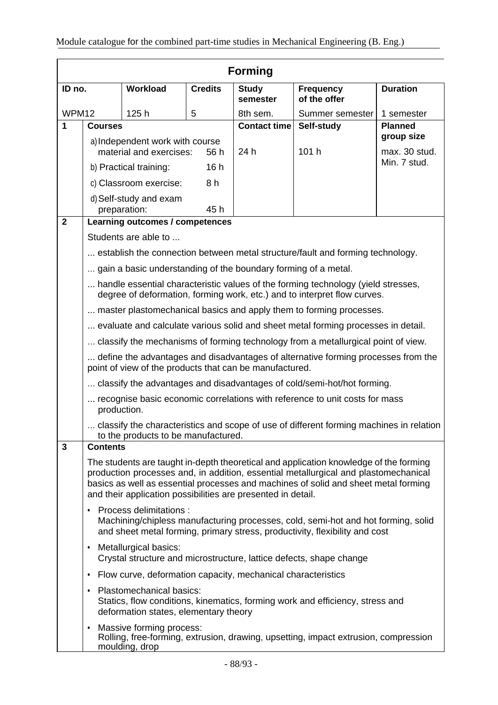|                | <b>Forming</b>                                                                                                                                                                                                                                                                                                                      |                                                                                              |                |                          |                                                                                     |                               |
|----------------|-------------------------------------------------------------------------------------------------------------------------------------------------------------------------------------------------------------------------------------------------------------------------------------------------------------------------------------|----------------------------------------------------------------------------------------------|----------------|--------------------------|-------------------------------------------------------------------------------------|-------------------------------|
| ID no.         |                                                                                                                                                                                                                                                                                                                                     | <b>Workload</b>                                                                              | <b>Credits</b> | <b>Study</b><br>semester | <b>Frequency</b><br>of the offer                                                    | <b>Duration</b>               |
| WPM12          | 125h<br>5                                                                                                                                                                                                                                                                                                                           |                                                                                              | 8th sem.       | Summer semester          | 1 semester                                                                          |                               |
| 1              | <b>Courses</b>                                                                                                                                                                                                                                                                                                                      |                                                                                              |                | <b>Contact time</b>      | Self-study                                                                          | <b>Planned</b>                |
|                | a) Independent work with course                                                                                                                                                                                                                                                                                                     |                                                                                              |                |                          | group size                                                                          |                               |
|                |                                                                                                                                                                                                                                                                                                                                     | material and exercises:                                                                      | 56 h           | 24 h                     | 101 h                                                                               | max. 30 stud.<br>Min. 7 stud. |
|                |                                                                                                                                                                                                                                                                                                                                     | b) Practical training:                                                                       | 16h            |                          |                                                                                     |                               |
|                |                                                                                                                                                                                                                                                                                                                                     | c) Classroom exercise:                                                                       | 8 h            |                          |                                                                                     |                               |
|                |                                                                                                                                                                                                                                                                                                                                     | d) Self-study and exam<br>preparation:                                                       | 45h            |                          |                                                                                     |                               |
| $\overline{2}$ |                                                                                                                                                                                                                                                                                                                                     | Learning outcomes / competences                                                              |                |                          |                                                                                     |                               |
|                |                                                                                                                                                                                                                                                                                                                                     | Students are able to                                                                         |                |                          |                                                                                     |                               |
|                |                                                                                                                                                                                                                                                                                                                                     |                                                                                              |                |                          | establish the connection between metal structure/fault and forming technology.      |                               |
|                |                                                                                                                                                                                                                                                                                                                                     | gain a basic understanding of the boundary forming of a metal.                               |                |                          |                                                                                     |                               |
|                | handle essential characteristic values of the forming technology (yield stresses,<br>degree of deformation, forming work, etc.) and to interpret flow curves.                                                                                                                                                                       |                                                                                              |                |                          |                                                                                     |                               |
|                |                                                                                                                                                                                                                                                                                                                                     |                                                                                              |                |                          | master plastomechanical basics and apply them to forming processes.                 |                               |
|                | evaluate and calculate various solid and sheet metal forming processes in detail.                                                                                                                                                                                                                                                   |                                                                                              |                |                          |                                                                                     |                               |
|                | classify the mechanisms of forming technology from a metallurgical point of view.                                                                                                                                                                                                                                                   |                                                                                              |                |                          |                                                                                     |                               |
|                | define the advantages and disadvantages of alternative forming processes from the<br>point of view of the products that can be manufactured.                                                                                                                                                                                        |                                                                                              |                |                          |                                                                                     |                               |
|                | classify the advantages and disadvantages of cold/semi-hot/hot forming.                                                                                                                                                                                                                                                             |                                                                                              |                |                          |                                                                                     |                               |
|                | recognise basic economic correlations with reference to unit costs for mass<br>production.                                                                                                                                                                                                                                          |                                                                                              |                |                          |                                                                                     |                               |
|                | classify the characteristics and scope of use of different forming machines in relation<br>to the products to be manufactured.                                                                                                                                                                                                      |                                                                                              |                |                          |                                                                                     |                               |
| 3              | <b>Contents</b>                                                                                                                                                                                                                                                                                                                     |                                                                                              |                |                          |                                                                                     |                               |
|                | The students are taught in-depth theoretical and application knowledge of the forming<br>production processes and, in addition, essential metallurgical and plastomechanical<br>basics as well as essential processes and machines of solid and sheet metal forming<br>and their application possibilities are presented in detail. |                                                                                              |                |                          |                                                                                     |                               |
|                | Process delimitations :<br>٠<br>Machining/chipless manufacturing processes, cold, semi-hot and hot forming, solid<br>and sheet metal forming, primary stress, productivity, flexibility and cost                                                                                                                                    |                                                                                              |                |                          |                                                                                     |                               |
|                | ٠                                                                                                                                                                                                                                                                                                                                   | Metallurgical basics:<br>Crystal structure and microstructure, lattice defects, shape change |                |                          |                                                                                     |                               |
|                | ٠                                                                                                                                                                                                                                                                                                                                   | Flow curve, deformation capacity, mechanical characteristics                                 |                |                          |                                                                                     |                               |
|                | Plastomechanical basics:<br>Statics, flow conditions, kinematics, forming work and efficiency, stress and<br>deformation states, elementary theory                                                                                                                                                                                  |                                                                                              |                |                          |                                                                                     |                               |
|                | ٠                                                                                                                                                                                                                                                                                                                                   | Massive forming process:<br>moulding, drop                                                   |                |                          | Rolling, free-forming, extrusion, drawing, upsetting, impact extrusion, compression |                               |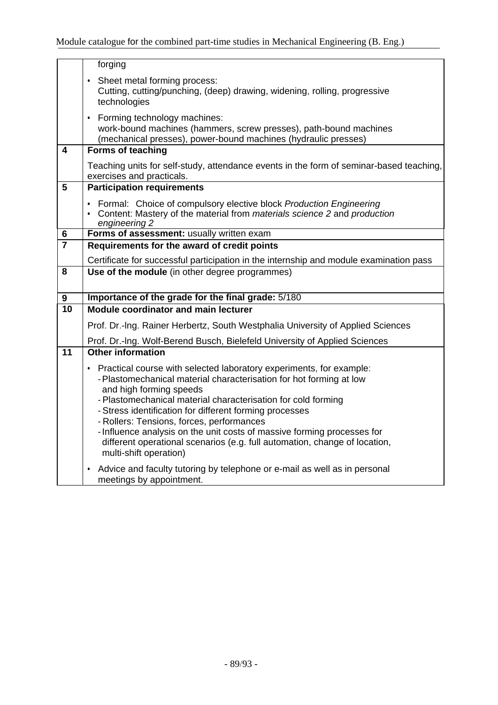|                         | forging                                                                                                                                                                                                                                                                                                                                                                                                                                                                                                                                        |
|-------------------------|------------------------------------------------------------------------------------------------------------------------------------------------------------------------------------------------------------------------------------------------------------------------------------------------------------------------------------------------------------------------------------------------------------------------------------------------------------------------------------------------------------------------------------------------|
|                         | • Sheet metal forming process:<br>Cutting, cutting/punching, (deep) drawing, widening, rolling, progressive<br>technologies                                                                                                                                                                                                                                                                                                                                                                                                                    |
|                         | • Forming technology machines:<br>work-bound machines (hammers, screw presses), path-bound machines<br>(mechanical presses), power-bound machines (hydraulic presses)                                                                                                                                                                                                                                                                                                                                                                          |
| 4                       | <b>Forms of teaching</b>                                                                                                                                                                                                                                                                                                                                                                                                                                                                                                                       |
|                         | Teaching units for self-study, attendance events in the form of seminar-based teaching,<br>exercises and practicals.                                                                                                                                                                                                                                                                                                                                                                                                                           |
| 5                       | <b>Participation requirements</b>                                                                                                                                                                                                                                                                                                                                                                                                                                                                                                              |
|                         | Formal: Choice of compulsory elective block Production Engineering<br>• Content: Mastery of the material from materials science 2 and production<br>engineering 2                                                                                                                                                                                                                                                                                                                                                                              |
| 6                       | Forms of assessment: usually written exam                                                                                                                                                                                                                                                                                                                                                                                                                                                                                                      |
| $\overline{\mathbf{7}}$ | Requirements for the award of credit points                                                                                                                                                                                                                                                                                                                                                                                                                                                                                                    |
|                         | Certificate for successful participation in the internship and module examination pass                                                                                                                                                                                                                                                                                                                                                                                                                                                         |
| 8                       | Use of the module (in other degree programmes)                                                                                                                                                                                                                                                                                                                                                                                                                                                                                                 |
| $\boldsymbol{9}$        | Importance of the grade for the final grade: 5/180                                                                                                                                                                                                                                                                                                                                                                                                                                                                                             |
| $\overline{10}$         | <b>Module coordinator and main lecturer</b>                                                                                                                                                                                                                                                                                                                                                                                                                                                                                                    |
|                         | Prof. Dr.-Ing. Rainer Herbertz, South Westphalia University of Applied Sciences                                                                                                                                                                                                                                                                                                                                                                                                                                                                |
|                         | Prof. Dr.-Ing. Wolf-Berend Busch, Bielefeld University of Applied Sciences                                                                                                                                                                                                                                                                                                                                                                                                                                                                     |
| 11                      | <b>Other information</b>                                                                                                                                                                                                                                                                                                                                                                                                                                                                                                                       |
|                         | Practical course with selected laboratory experiments, for example:<br>$\bullet$<br>- Plastomechanical material characterisation for hot forming at low<br>and high forming speeds<br>- Plastomechanical material characterisation for cold forming<br>- Stress identification for different forming processes<br>- Rollers: Tensions, forces, performances<br>- Influence analysis on the unit costs of massive forming processes for<br>different operational scenarios (e.g. full automation, change of location,<br>multi-shift operation) |
|                         | Advice and faculty tutoring by telephone or e-mail as well as in personal<br>٠<br>meetings by appointment.                                                                                                                                                                                                                                                                                                                                                                                                                                     |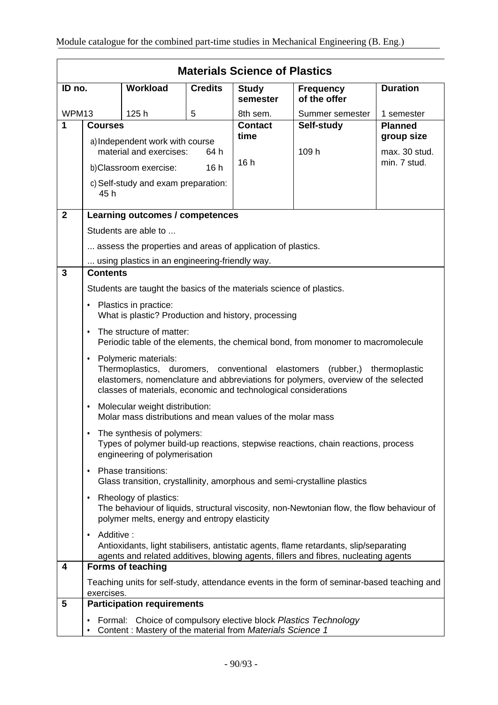| <b>Materials Science of Plastics</b>                                                                                                                                                                                                                                      |                                                                                                                                                                                                                                                                                                |                                                                       |                |                          |                                                                                                                                                                              |                              |
|---------------------------------------------------------------------------------------------------------------------------------------------------------------------------------------------------------------------------------------------------------------------------|------------------------------------------------------------------------------------------------------------------------------------------------------------------------------------------------------------------------------------------------------------------------------------------------|-----------------------------------------------------------------------|----------------|--------------------------|------------------------------------------------------------------------------------------------------------------------------------------------------------------------------|------------------------------|
| ID no.                                                                                                                                                                                                                                                                    |                                                                                                                                                                                                                                                                                                | <b>Workload</b>                                                       | <b>Credits</b> | <b>Study</b><br>semester | <b>Frequency</b><br>of the offer                                                                                                                                             | <b>Duration</b>              |
| WPM13                                                                                                                                                                                                                                                                     |                                                                                                                                                                                                                                                                                                | 125h                                                                  | 5              | 8th sem.                 | Summer semester                                                                                                                                                              | 1 semester                   |
| 1                                                                                                                                                                                                                                                                         | <b>Courses</b>                                                                                                                                                                                                                                                                                 |                                                                       |                | <b>Contact</b><br>time   | Self-study                                                                                                                                                                   | <b>Planned</b><br>group size |
|                                                                                                                                                                                                                                                                           | a) Independent work with course<br>material and exercises:<br>64 h                                                                                                                                                                                                                             |                                                                       | 16h            | 109 h                    | max. 30 stud.<br>min. 7 stud.                                                                                                                                                |                              |
|                                                                                                                                                                                                                                                                           |                                                                                                                                                                                                                                                                                                | b)Classroom exercise:                                                 | 16h            |                          |                                                                                                                                                                              |                              |
|                                                                                                                                                                                                                                                                           | 45 h                                                                                                                                                                                                                                                                                           | c) Self-study and exam preparation:                                   |                |                          |                                                                                                                                                                              |                              |
| $\overline{2}$                                                                                                                                                                                                                                                            | Learning outcomes / competences                                                                                                                                                                                                                                                                |                                                                       |                |                          |                                                                                                                                                                              |                              |
|                                                                                                                                                                                                                                                                           | Students are able to                                                                                                                                                                                                                                                                           |                                                                       |                |                          |                                                                                                                                                                              |                              |
|                                                                                                                                                                                                                                                                           | assess the properties and areas of application of plastics.                                                                                                                                                                                                                                    |                                                                       |                |                          |                                                                                                                                                                              |                              |
|                                                                                                                                                                                                                                                                           |                                                                                                                                                                                                                                                                                                | using plastics in an engineering-friendly way.                        |                |                          |                                                                                                                                                                              |                              |
| $\overline{3}$                                                                                                                                                                                                                                                            | <b>Contents</b>                                                                                                                                                                                                                                                                                |                                                                       |                |                          |                                                                                                                                                                              |                              |
|                                                                                                                                                                                                                                                                           | Students are taught the basics of the materials science of plastics.<br>Plastics in practice:<br>$\bullet$<br>What is plastic? Production and history, processing<br>The structure of matter:<br>$\bullet$<br>Periodic table of the elements, the chemical bond, from monomer to macromolecule |                                                                       |                |                          |                                                                                                                                                                              |                              |
|                                                                                                                                                                                                                                                                           |                                                                                                                                                                                                                                                                                                |                                                                       |                |                          |                                                                                                                                                                              |                              |
|                                                                                                                                                                                                                                                                           |                                                                                                                                                                                                                                                                                                |                                                                       |                |                          |                                                                                                                                                                              |                              |
| Polymeric materials:<br>$\bullet$<br>Thermoplastics, duromers, conventional elastomers<br>(rubber,) thermoplastic<br>elastomers, nomenclature and abbreviations for polymers, overview of the selected<br>classes of materials, economic and technological considerations |                                                                                                                                                                                                                                                                                                |                                                                       |                |                          |                                                                                                                                                                              |                              |
|                                                                                                                                                                                                                                                                           | Molecular weight distribution:<br>$\bullet$<br>Molar mass distributions and mean values of the molar mass                                                                                                                                                                                      |                                                                       |                |                          |                                                                                                                                                                              |                              |
| The synthesis of polymers:<br>٠<br>Types of polymer build-up reactions, stepwise reactions, chain reactions, process<br>engineering of polymerisation                                                                                                                     |                                                                                                                                                                                                                                                                                                |                                                                       |                |                          |                                                                                                                                                                              |                              |
|                                                                                                                                                                                                                                                                           | Phase transitions:<br>$\bullet$<br>Glass transition, crystallinity, amorphous and semi-crystalline plastics                                                                                                                                                                                    |                                                                       |                |                          |                                                                                                                                                                              |                              |
|                                                                                                                                                                                                                                                                           | $\bullet$                                                                                                                                                                                                                                                                                      | Rheology of plastics:<br>polymer melts, energy and entropy elasticity |                |                          | The behaviour of liquids, structural viscosity, non-Newtonian flow, the flow behaviour of                                                                                    |                              |
|                                                                                                                                                                                                                                                                           | Additive:<br>$\bullet$                                                                                                                                                                                                                                                                         |                                                                       |                |                          | Antioxidants, light stabilisers, antistatic agents, flame retardants, slip/separating<br>agents and related additives, blowing agents, fillers and fibres, nucleating agents |                              |
| 4                                                                                                                                                                                                                                                                         |                                                                                                                                                                                                                                                                                                | <b>Forms of teaching</b>                                              |                |                          |                                                                                                                                                                              |                              |
|                                                                                                                                                                                                                                                                           | exercises.                                                                                                                                                                                                                                                                                     |                                                                       |                |                          | Teaching units for self-study, attendance events in the form of seminar-based teaching and                                                                                   |                              |
| 5                                                                                                                                                                                                                                                                         |                                                                                                                                                                                                                                                                                                | <b>Participation requirements</b>                                     |                |                          |                                                                                                                                                                              |                              |
|                                                                                                                                                                                                                                                                           | ٠                                                                                                                                                                                                                                                                                              | Content: Mastery of the material from Materials Science 1             |                |                          | Formal: Choice of compulsory elective block Plastics Technology                                                                                                              |                              |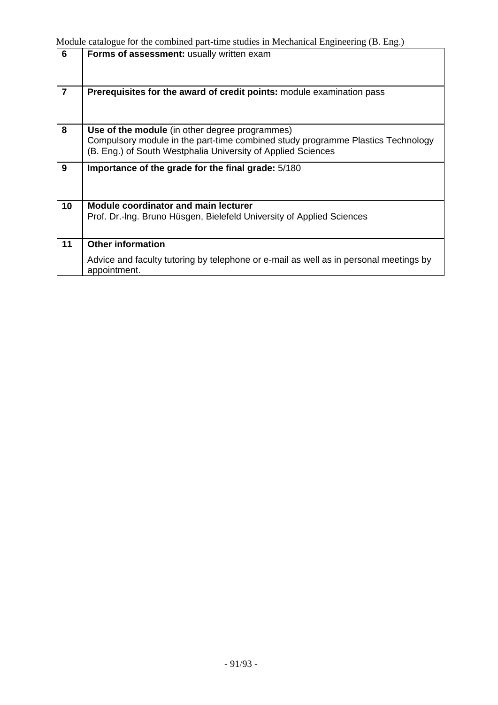| 6               | Forms of assessment: usually written exam                                                                                                                                                         |
|-----------------|---------------------------------------------------------------------------------------------------------------------------------------------------------------------------------------------------|
| $\overline{7}$  | Prerequisites for the award of credit points: module examination pass                                                                                                                             |
| 8               | Use of the module (in other degree programmes)<br>Compulsory module in the part-time combined study programme Plastics Technology<br>(B. Eng.) of South Westphalia University of Applied Sciences |
| 9               | Importance of the grade for the final grade: 5/180                                                                                                                                                |
| 10 <sup>1</sup> | <b>Module coordinator and main lecturer</b><br>Prof. Dr.-Ing. Bruno Hüsgen, Bielefeld University of Applied Sciences                                                                              |
| 11              | <b>Other information</b>                                                                                                                                                                          |
|                 | Advice and faculty tutoring by telephone or e-mail as well as in personal meetings by<br>appointment.                                                                                             |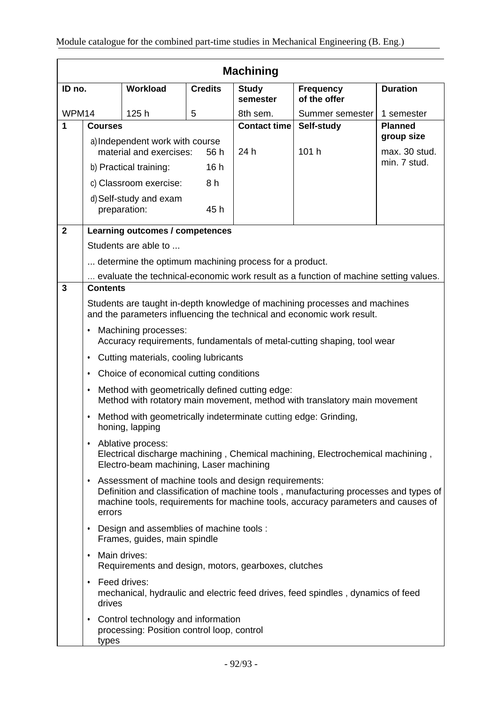| <b>Machining</b>        |                                                                                                                                                                                                                                              |                                                                                  |                |                          |                                                                                      |                               |
|-------------------------|----------------------------------------------------------------------------------------------------------------------------------------------------------------------------------------------------------------------------------------------|----------------------------------------------------------------------------------|----------------|--------------------------|--------------------------------------------------------------------------------------|-------------------------------|
| ID no.                  |                                                                                                                                                                                                                                              | Workload                                                                         | <b>Credits</b> | <b>Study</b><br>semester | <b>Frequency</b><br>of the offer                                                     | <b>Duration</b>               |
| WPM14                   |                                                                                                                                                                                                                                              | 125h                                                                             | 5              | 8th sem.                 | Summer semester                                                                      | 1 semester                    |
| 1                       | <b>Courses</b>                                                                                                                                                                                                                               |                                                                                  |                | <b>Contact time</b>      | Self-study                                                                           | <b>Planned</b>                |
|                         |                                                                                                                                                                                                                                              | a) Independent work with course                                                  |                |                          |                                                                                      | group size                    |
|                         |                                                                                                                                                                                                                                              | material and exercises:                                                          | 56 h           | 24 h                     | 101 h                                                                                | max. 30 stud.<br>min. 7 stud. |
|                         |                                                                                                                                                                                                                                              | b) Practical training:                                                           | 16h            |                          |                                                                                      |                               |
|                         |                                                                                                                                                                                                                                              | c) Classroom exercise:                                                           | 8h             |                          |                                                                                      |                               |
|                         |                                                                                                                                                                                                                                              | d) Self-study and exam<br>preparation:                                           | 45 h           |                          |                                                                                      |                               |
| $\overline{\mathbf{2}}$ |                                                                                                                                                                                                                                              | Learning outcomes / competences                                                  |                |                          |                                                                                      |                               |
|                         |                                                                                                                                                                                                                                              | Students are able to                                                             |                |                          |                                                                                      |                               |
|                         |                                                                                                                                                                                                                                              | determine the optimum machining process for a product.                           |                |                          |                                                                                      |                               |
|                         |                                                                                                                                                                                                                                              |                                                                                  |                |                          | evaluate the technical-economic work result as a function of machine setting values. |                               |
| 3                       | <b>Contents</b>                                                                                                                                                                                                                              |                                                                                  |                |                          |                                                                                      |                               |
|                         | Students are taught in-depth knowledge of machining processes and machines<br>and the parameters influencing the technical and economic work result.                                                                                         |                                                                                  |                |                          |                                                                                      |                               |
|                         | Machining processes:<br>٠<br>Accuracy requirements, fundamentals of metal-cutting shaping, tool wear                                                                                                                                         |                                                                                  |                |                          |                                                                                      |                               |
|                         | Cutting materials, cooling lubricants<br>٠                                                                                                                                                                                                   |                                                                                  |                |                          |                                                                                      |                               |
|                         | ٠                                                                                                                                                                                                                                            | Choice of economical cutting conditions                                          |                |                          |                                                                                      |                               |
|                         | Method with geometrically defined cutting edge:<br>٠<br>Method with rotatory main movement, method with translatory main movement                                                                                                            |                                                                                  |                |                          |                                                                                      |                               |
|                         | Method with geometrically indeterminate cutting edge: Grinding,<br>$\bullet$<br>honing, lapping                                                                                                                                              |                                                                                  |                |                          |                                                                                      |                               |
|                         | Ablative process:<br>$\bullet$<br>Electrical discharge machining, Chemical machining, Electrochemical machining,<br>Electro-beam machining, Laser machining                                                                                  |                                                                                  |                |                          |                                                                                      |                               |
|                         | • Assessment of machine tools and design requirements:<br>Definition and classification of machine tools, manufacturing processes and types of<br>machine tools, requirements for machine tools, accuracy parameters and causes of<br>errors |                                                                                  |                |                          |                                                                                      |                               |
|                         | Design and assemblies of machine tools :<br>Frames, guides, main spindle                                                                                                                                                                     |                                                                                  |                |                          |                                                                                      |                               |
|                         | Main drives:<br>٠                                                                                                                                                                                                                            | Requirements and design, motors, gearboxes, clutches                             |                |                          |                                                                                      |                               |
|                         | ٠<br>drives                                                                                                                                                                                                                                  | Feed drives:                                                                     |                |                          | mechanical, hydraulic and electric feed drives, feed spindles, dynamics of feed      |                               |
|                         | ٠<br>types                                                                                                                                                                                                                                   | Control technology and information<br>processing: Position control loop, control |                |                          |                                                                                      |                               |